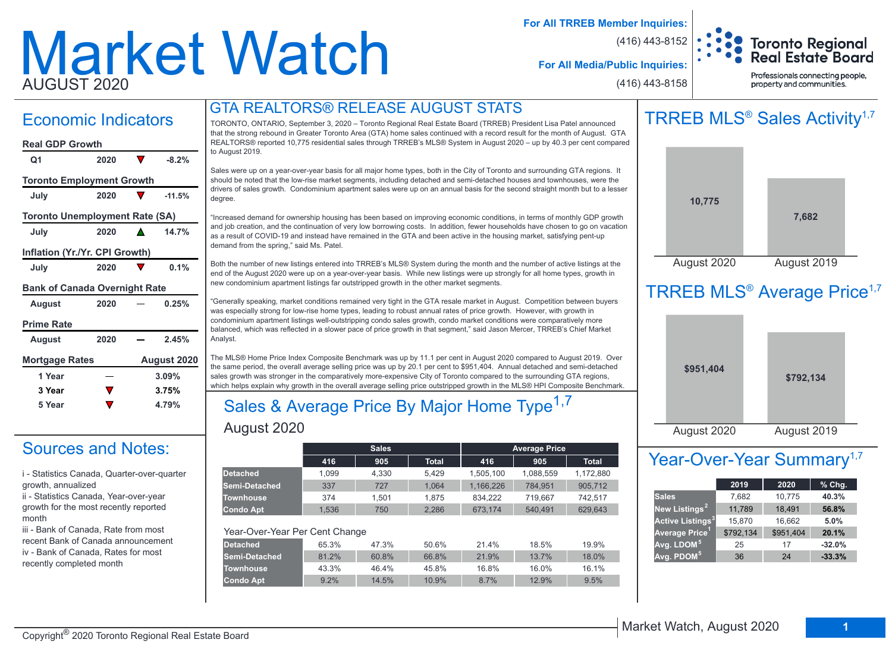# Market Watch AUGUST 2020

**For All TRREB Member Inquiries:**

(416) 443-8152



**For All Media/Public Inquiries:**

(416) 443-8158

Professionals connecting people, property and communities.

# GTA REALTORS® RELEASE AUGUST STATS

| <b>Economic Indicators</b>            |      |   |             |  |  |  |  |  |  |
|---------------------------------------|------|---|-------------|--|--|--|--|--|--|
| <b>Real GDP Growth</b>                |      |   |             |  |  |  |  |  |  |
| Q1                                    | 2020 | V | $-8.2%$     |  |  |  |  |  |  |
| <b>Toronto Employment Growth</b>      |      |   |             |  |  |  |  |  |  |
| July                                  | 2020 |   | $-11.5%$    |  |  |  |  |  |  |
| <b>Toronto Unemployment Rate (SA)</b> |      |   |             |  |  |  |  |  |  |
| July                                  | 2020 |   | 14.7%       |  |  |  |  |  |  |
| Inflation (Yr./Yr. CPI Growth)        |      |   |             |  |  |  |  |  |  |
| July                                  | 2020 |   | 0.1%        |  |  |  |  |  |  |
| <b>Bank of Canada Overnight Rate</b>  |      |   |             |  |  |  |  |  |  |
| <b>August</b>                         | 2020 |   | 0.25%       |  |  |  |  |  |  |
| <b>Prime Rate</b>                     |      |   |             |  |  |  |  |  |  |
| August                                | 2020 |   | 2.45%       |  |  |  |  |  |  |
| <b>Mortgage Rates</b>                 |      |   | August 2020 |  |  |  |  |  |  |
| 1 Year                                |      |   | 3.09%       |  |  |  |  |  |  |
| 3 Year                                |      |   | 3.75%       |  |  |  |  |  |  |

# Sources and Notes:

i - Statistics Canada, Quarter-over-quarter growth, annualized

**5 Year 4.79%**

ii - Statistics Canada, Year-over-year growth for the most recently reported month

iii - Bank of Canada, Rate from most recent Bank of Canada announcement iv - Bank of Canada, Rates for most recently completed month

TORONTO, ONTARIO, September 3, 2020 – Toronto Regional Real Estate Board (TRREB) President Lisa Patel announced that the strong rebound in Greater Toronto Area (GTA) home sales continued with a record result for the month of August. GTA REALTORS® reported 10,775 residential sales through TRREB's MLS® System in August 2020 – up by 40.3 per cent compared to August 2019.

Sales were up on a year-over-year basis for all major home types, both in the City of Toronto and surrounding GTA regions. It should be noted that the low-rise market segments, including detached and semi-detached houses and townhouses, were the drivers of sales growth. Condominium apartment sales were up on an annual basis for the second straight month but to a lesser degree.

"Increased demand for ownership housing has been based on improving economic conditions, in terms of monthly GDP growth and job creation, and the continuation of very low borrowing costs. In addition, fewer households have chosen to go on vacation as a result of COVID-19 and instead have remained in the GTA and been active in the housing market, satisfying pent-up demand from the spring," said Ms. Patel.

Both the number of new listings entered into TRREB's MLS® System during the month and the number of active listings at the end of the August 2020 were up on a year-over-year basis. While new listings were up strongly for all home types, growth in new condominium apartment listings far outstripped growth in the other market segments.

"Generally speaking, market conditions remained very tight in the GTA resale market in August. Competition between buyers was especially strong for low-rise home types, leading to robust annual rates of price growth. However, with growth in condominium apartment listings well-outstripping condo sales growth, condo market conditions were comparatively more balanced, which was reflected in a slower pace of price growth in that segment," said Jason Mercer, TRREB's Chief Market Analyst.

The MLS® Home Price Index Composite Benchmark was up by 11.1 per cent in August 2020 compared to August 2019. Over the same period, the overall average selling price was up by 20.1 per cent to \$951,404. Annual detached and semi-detached sales growth was stronger in the comparatively more-expensive City of Toronto compared to the surrounding GTA regions, which helps explain why growth in the overall average selling price outstripped growth in the MLS® HPI Composite Benchmark.

# August 2020 Sales & Average Price By Major Home Type<sup>1,7</sup>

|                                |       | <b>Sales</b> |        |           | <b>Average Price</b> |              |
|--------------------------------|-------|--------------|--------|-----------|----------------------|--------------|
|                                | 416   | 905          | Total. | 416       | 905                  | <b>Total</b> |
| <b>Detached</b>                | 1.099 | 4.330        | 5.429  | 1,505,100 | 1,088,559            | 1,172,880    |
| Semi-Detached                  | 337   | 727          | 1.064  | 1,166,226 | 784,951              | 905,712      |
| <b>Townhouse</b>               | 374   | 1.501        | 1.875  | 834.222   | 719.667              | 742.517      |
| <b>Condo Apt</b>               | 1.536 | 750          | 2.286  | 673.174   | 540.491              | 629.643      |
|                                |       |              |        |           |                      |              |
| Year-Over-Year Per Cent Change |       |              |        |           |                      |              |
| <b>Detached</b>                | 65.3% | 47.3%        | 50.6%  | 21.4%     | 18.5%                | 19.9%        |
| Semi-Detached                  | 81.2% | 60.8%        | 66.8%  | 21.9%     | 13.7%                | 18.0%        |
| <b>Townhouse</b>               | 43.3% | 46.4%        | 45.8%  | 16.8%     | 16.0%                | 16.1%        |
| <b>Condo Apt</b>               | 9.2%  | 14.5%        | 10.9%  | 8.7%      | 12.9%                | 9.5%         |
|                                |       |              |        |           |                      |              |

# TRREB MLS<sup>®</sup> Sales Activity<sup>1,7</sup>



# TRREB MLS<sup>®</sup> Average Price<sup>1,7</sup>

| \$951,404   | \$792,134   |  |
|-------------|-------------|--|
| August 2020 | August 2019 |  |

# Year-Over-Year Summary<sup>1,7</sup>

|                                    | 2019      | 2020      | $%$ Chg. |
|------------------------------------|-----------|-----------|----------|
| <b>Sales</b>                       | 7,682     | 10,775    | 40.3%    |
| New Listings <sup>2</sup>          | 11,789    | 18,491    | 56.8%    |
| <b>Active Listings<sup>3</sup></b> | 15,870    | 16,662    | 5.0%     |
| Average Price <sup>1</sup>         | \$792,134 | \$951,404 | 20.1%    |
| Avg. LDOM <sup>5</sup>             | 25        | 17        | $-32.0%$ |
| Avg. PDOM <sup>5</sup>             | 36        | 24        | $-33.3%$ |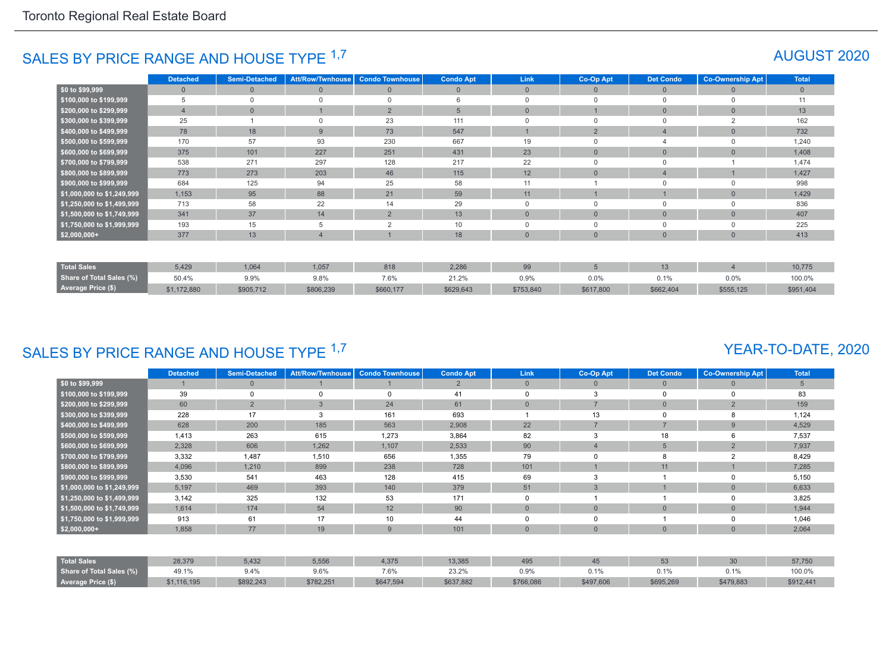# SALES BY PRICE RANGE AND HOUSE TYPE <sup>1,7</sup> AUGUST 2020

|                            | <b>Detached</b> | <b>Semi-Detached</b> | <b>Att/Row/Twnhouse</b> | <b>Condo Townhouse</b> | <b>Condo Apt</b> | Link           | Co-Op Apt       | <b>Det Condo</b> | <b>Co-Ownership Apt</b> | <b>Total</b> |
|----------------------------|-----------------|----------------------|-------------------------|------------------------|------------------|----------------|-----------------|------------------|-------------------------|--------------|
| \$0 to \$99,999            | $\mathbf{0}$    | $\Omega$             | $\overline{0}$          | $\Omega$               | $\mathbf{0}$     | $\mathbf{0}$   | $\Omega$        | $\overline{0}$   | $\Omega$                | $\mathbf{0}$ |
| \$100,000 to \$199,999     | 5               | $\Omega$             | $\cap$                  | $\Omega$               | 6                |                | $\Omega$        | $\Omega$         | $\cap$                  | 11           |
| \$200,000 to \$299,999     | $\overline{4}$  | $\Omega$             |                         | $\overline{2}$         | 5                | $\Omega$       |                 | $\mathbf{0}$     | $\Omega$                | 13           |
| \$300,000 to \$399,999     | 25              |                      |                         | 23                     | 111              |                | $\Omega$        | $\Omega$         |                         | 162          |
| \$400,000 to \$499,999     | 78              | 18                   | 9                       | 73                     | 547              |                | 2               |                  | $\Omega$                | 732          |
| \$500,000 to \$599,999     | 170             | 57                   | 93                      | 230                    | 667              | 19             | $\cap$          |                  |                         | 1,240        |
| \$600,000 to \$699,999     | 375             | 101                  | 227                     | 251                    | 431              | 23             | $\mathbf{0}$    | $\mathbf{0}$     | $\Omega$                | 1,408        |
| \$700,000 to \$799,999     | 538             | 271                  | 297                     | 128                    | 217              | 22             | $\Omega$        | $\mathbf 0$      |                         | 1,474        |
| \$800,000 to \$899,999     | 773             | 273                  | 203                     | 46                     | 115              | 12             | $\mathbf{0}$    | 4                |                         | 1,427        |
| \$900,000 to \$999,999     | 684             | 125                  | 94                      | 25                     | 58               | 11             |                 | $\Omega$         | $\Omega$                | 998          |
| \$1,000,000 to \$1,249,999 | 1,153           | 95                   | 88                      | 21                     | 59               | 11             |                 |                  | $\Omega$                | 1,429        |
| \$1,250,000 to \$1,499,999 | 713             | 58                   | 22                      | 14                     | 29               | $\mathbf 0$    | $\mathbf 0$     | $\mathbf 0$      | $\Omega$                | 836          |
| \$1,500,000 to \$1,749,999 | 341             | 37                   | 14                      | $\overline{2}$         | 13               | $\mathbf{0}$   | $\mathbf{0}$    | $\mathbf{0}$     | $\overline{0}$          | 407          |
| \$1,750,000 to \$1,999,999 | 193             | 15                   | 5                       | 2                      | 10               | 0              | $\Omega$        | $\mathbf 0$      | $\Omega$                | 225          |
| $$2,000,000+$              | 377             | 13                   | 4                       |                        | 18               | $\overline{0}$ | $\Omega$        | $\overline{0}$   | $\Omega$                | 413          |
|                            |                 |                      |                         |                        |                  |                |                 |                  |                         |              |
| <b>Total Sales</b>         | 5,429           | 1,064                | 1,057                   | 818                    | 2,286            | 99             | $5\overline{5}$ | 13               | $\overline{4}$          | 10,775       |
| Share of Total Sales (%)   | 50.4%           | 9.9%                 | 9.8%                    | 7.6%                   | 21.2%            | 0.9%           | $0.0\%$         | 0.1%             | 0.0%                    | 100.0%       |
| <b>Average Price (\$)</b>  | \$1,172,880     | \$905,712            | \$806,239               | \$660,177              | \$629,643        | \$753,840      | \$617,800       | \$662,404        | \$555,125               | \$951,404    |

# SALES BY PRICE RANGE AND HOUSE TYPE 1,7

#### YEAR-TO-DATE, 2020

|                            | <b>Detached</b> | <b>Semi-Detached</b> | <b>Att/Row/Twnhouse</b> | <b>Condo Townhouse</b> | <b>Condo Apt</b> | <b>Link</b>    | Co-Op Apt      | <b>Det Condo</b> | <b>Co-Ownership Apt</b> | <b>Total</b> |
|----------------------------|-----------------|----------------------|-------------------------|------------------------|------------------|----------------|----------------|------------------|-------------------------|--------------|
| \$0 to \$99,999            |                 |                      |                         |                        | $\overline{2}$   | $\overline{0}$ | $\overline{0}$ | $\mathbf{0}$     | $\Omega$                | 5            |
| \$100,000 to \$199,999     | 39              |                      | $\Omega$                | $\Omega$               | 41               | 0              | 3              | 0                | $\Omega$                | 83           |
| \$200,000 to \$299,999     | 60              | $\overline{2}$       | 3                       | 24                     | 61               | $\Omega$       | $\overline{ }$ | $\overline{0}$   | $\overline{2}$          | 159          |
| \$300,000 to \$399,999     | 228             | 17                   | 3                       | 161                    | 693              |                | 13             |                  | 8                       | 1,124        |
| \$400,000 to \$499,999     | 628             | 200                  | 185                     | 563                    | 2,908            | 22             |                | $\overline{7}$   | 9                       | 4,529        |
| \$500,000 to \$599,999     | 1,413           | 263                  | 615                     | 1,273                  | 3,864            | 82             | ີ              | 18               | 6                       | 7,537        |
| \$600,000 to \$699,999     | 2,328           | 606                  | 1,262                   | 1,107                  | 2,533            | 90             |                | 5                | $\overline{2}$          | 7,937        |
| \$700,000 to \$799,999     | 3,332           | 1,487                | 1,510                   | 656                    | 1,355            | 79             |                | 8                | $\mathcal{P}$           | 8,429        |
| \$800,000 to \$899,999     | 4,096           | 1,210                | 899                     | 238                    | 728              | 101            |                | 11               |                         | 7,285        |
| \$900,000 to \$999,999     | 3,530           | 541                  | 463                     | 128                    | 415              | 69             |                |                  | 0                       | 5,150        |
| \$1,000,000 to \$1,249,999 | 5,197           | 469                  | 393                     | 140                    | 379              | 51             |                |                  | $\Omega$                | 6,633        |
| \$1,250,000 to \$1,499,999 | 3,142           | 325                  | 132                     | 53                     | 171              | $\Omega$       |                |                  | 0                       | 3,825        |
| \$1,500,000 to \$1,749,999 | 1,614           | 174                  | 54                      | 12                     | 90               | $\Omega$       | $\Omega$       | $\mathbf{0}$     | $\overline{0}$          | 1,944        |
| \$1,750,000 to \$1,999,999 | 913             | 61                   | 17                      | 10                     | 44               | 0              |                |                  | 0                       | 1,046        |
| $$2,000,000+$              | 1,858           | 77                   | 19                      | 9                      | 101              | $\overline{0}$ | $\overline{0}$ | $\Omega$         | $\overline{0}$          | 2,064        |
|                            |                 |                      |                         |                        |                  |                |                |                  |                         |              |
| <b>Total Sales</b>         | 28,379          | 5,432                | 5,556                   | 4,375                  | 13,385           | 495            | 45             | 53               | 30                      | 57,750       |
| Share of Total Sales (%)   | 49.1%           | 9.4%                 | 9.6%                    | 7.6%                   | 23.2%            | 0.9%           | 0.1%           | 0.1%             | 0.1%                    | 100.0%       |
| Average Price (\$)         | \$1,116,195     | \$892,243            | \$782,251               | \$647,594              | \$637,882        | \$766,086      | \$497,606      | \$695,269        | \$479,883               | \$912,441    |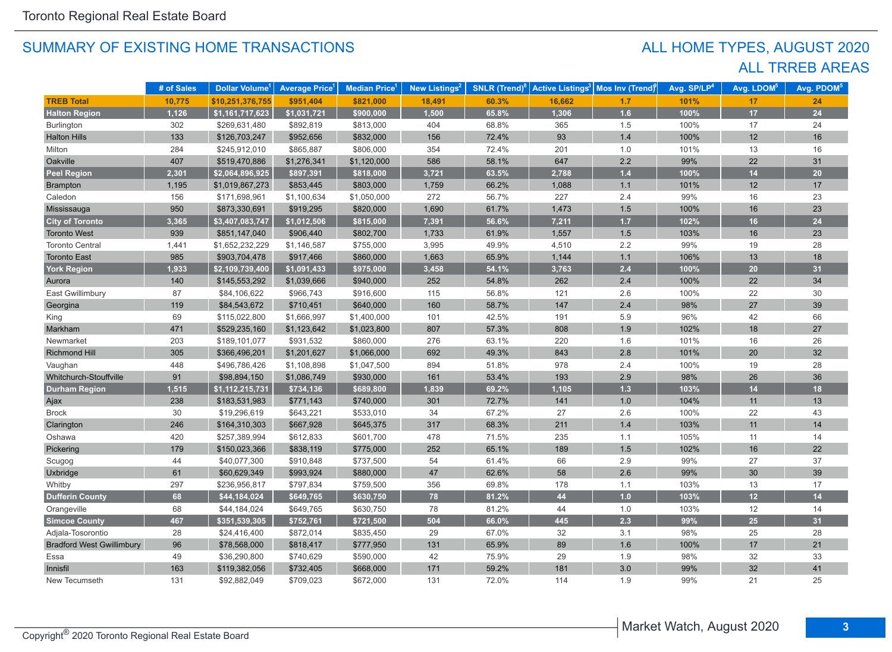# ALL TRREB AREAS ALL HOME TYPES, AUGUST 2020

|                                  | # of Sales | Dollar Volume <sup>1</sup> | <b>Average Price</b> | <b>Median Price</b> | New Listings <sup>2</sup> | <b>SNLR (Trend)</b> | <b>Active Listings<sup>3</sup></b> | Mos Inv (Trend) | Avg. SP/LP <sup>4</sup> | Avg. LDOM <sup>5</sup> | Avg. PDOM <sup>5</sup> |
|----------------------------------|------------|----------------------------|----------------------|---------------------|---------------------------|---------------------|------------------------------------|-----------------|-------------------------|------------------------|------------------------|
| <b>TREB Total</b>                | 10,775     | \$10,251,376,755           | \$951,404            | \$821,000           | 18,491                    | 60.3%               | 16,662                             | 1.7             | 101%                    | 17                     | 24                     |
| <b>Halton Region</b>             | 1,126      | \$1,161,717,623            | \$1,031,721          | \$900,000           | 1,500                     | 65.8%               | 1,306                              | 1.6             | 100%                    | 17                     | 24                     |
| Burlington                       | 302        | \$269,631,480              | \$892,819            | \$813,000           | 404                       | 68.8%               | 365                                | 1.5             | 100%                    | 17                     | 24                     |
| <b>Halton Hills</b>              | 133        | \$126,703,247              | \$952,656            | \$832,000           | 156                       | 72.4%               | 93                                 | 1.4             | 100%                    | 12                     | 16                     |
| Milton                           | 284        | \$245,912,010              | \$865,887            | \$806,000           | 354                       | 72.4%               | 201                                | 1.0             | 101%                    | 13                     | 16                     |
| Oakville                         | 407        | \$519,470,886              | \$1,276,341          | \$1,120,000         | 586                       | 58.1%               | 647                                | 2.2             | 99%                     | 22                     | 31                     |
| <b>Peel Region</b>               | 2,301      | \$2,064,896,925            | \$897,391            | \$818,000           | 3,721                     | 63.5%               | 2,788                              | $1.4$           | 100%                    | 14                     | 20                     |
| <b>Brampton</b>                  | 1,195      | \$1,019,867,273            | \$853,445            | \$803,000           | 1,759                     | 66.2%               | 1,088                              | 1.1             | 101%                    | 12                     | 17                     |
| Caledon                          | 156        | \$171,698,961              | \$1,100,634          | \$1,050,000         | 272                       | 56.7%               | 227                                | 2.4             | 99%                     | 16                     | 23                     |
| Mississauga                      | 950        | \$873,330,691              | \$919,295            | \$820,000           | 1,690                     | 61.7%               | 1,473                              | 1.5             | 100%                    | 16                     | 23                     |
| <b>City of Toronto</b>           | 3,365      | \$3,407,083,747            | \$1,012,506          | \$815,000           | 7,391                     | 56.6%               | 7,211                              | 1.7             | 102%                    | 16                     | 24                     |
| <b>Toronto West</b>              | 939        | \$851,147,040              | \$906,440            | \$802,700           | 1,733                     | 61.9%               | 1,557                              | 1.5             | 103%                    | 16                     | 23                     |
| <b>Toronto Central</b>           | 1,441      | \$1,652,232,229            | \$1,146,587          | \$755,000           | 3,995                     | 49.9%               | 4,510                              | 2.2             | 99%                     | 19                     | 28                     |
| <b>Toronto East</b>              | 985        | \$903,704,478              | \$917,466            | \$860,000           | 1,663                     | 65.9%               | 1,144                              | 1.1             | 106%                    | 13                     | 18                     |
| <b>York Region</b>               | 1,933      | \$2,109,739,400            | \$1,091,433          | \$975,000           | 3,458                     | 54.1%               | 3,763                              | 2.4             | 100%                    | 20                     | 31                     |
| Aurora                           | 140        | \$145,553,292              | \$1,039,666          | \$940,000           | 252                       | 54.8%               | 262                                | $2.4\,$         | 100%                    | 22                     | 34                     |
| East Gwillimbury                 | 87         | \$84,106,622               | \$966,743            | \$916,600           | 115                       | 56.8%               | 121                                | 2.6             | 100%                    | 22                     | 30                     |
| Georgina                         | 119        | \$84,543,672               | \$710,451            | \$640,000           | 160                       | 58.7%               | 147                                | 2.4             | 98%                     | 27                     | 39                     |
| King                             | 69         | \$115,022,800              | \$1,666,997          | \$1,400,000         | 101                       | 42.5%               | 191                                | 5.9             | 96%                     | 42                     | 66                     |
| Markham                          | 471        | \$529,235,160              | \$1,123,642          | \$1,023,800         | 807                       | 57.3%               | 808                                | 1.9             | 102%                    | 18                     | 27                     |
| Newmarket                        | 203        | \$189,101,077              | \$931,532            | \$860,000           | 276                       | 63.1%               | 220                                | 1.6             | 101%                    | 16                     | 26                     |
| Richmond Hill                    | 305        | \$366,496,201              | \$1,201,627          | \$1,066,000         | 692                       | 49.3%               | 843                                | 2.8             | 101%                    | 20                     | 32                     |
| Vaughan                          | 448        | \$496,786,426              | \$1,108,898          | \$1,047,500         | 894                       | 51.8%               | 978                                | 2.4             | 100%                    | 19                     | 28                     |
| Whitchurch-Stouffville           | 91         | \$98,894,150               | \$1,086,749          | \$930,000           | 161                       | 53.4%               | 193                                | 2.9             | 98%                     | 26                     | 36                     |
| <b>Durham Region</b>             | 1,515      | \$1,112,215,731            | \$734,136            | \$689,800           | 1,839                     | 69.2%               | 1,105                              | 1.3             | 103%                    | 14                     | 18                     |
| Ajax                             | 238        | \$183,531,983              | \$771,143            | \$740,000           | 301                       | 72.7%               | 141                                | 1.0             | 104%                    | 11                     | 13                     |
| <b>Brock</b>                     | 30         | \$19,296,619               | \$643,221            | \$533,010           | 34                        | 67.2%               | 27                                 | 2.6             | 100%                    | 22                     | 43                     |
| Clarington                       | 246        | \$164,310,303              | \$667,928            | \$645,375           | 317                       | 68.3%               | 211                                | 1.4             | 103%                    | 11                     | 14                     |
| Oshawa                           | 420        | \$257,389,994              | \$612,833            | \$601,700           | 478                       | 71.5%               | 235                                | 1.1             | 105%                    | 11                     | 14                     |
| Pickering                        | 179        | \$150,023,366              | \$838,119            | \$775,000           | 252                       | 65.1%               | 189                                | 1.5             | 102%                    | 16                     | 22                     |
| Scugog                           | 44         | \$40,077,300               | \$910,848            | \$737,500           | 54                        | 61.4%               | 66                                 | 2.9             | 99%                     | 27                     | 37                     |
| Uxbridge                         | 61         | \$60,629,349               | \$993,924            | \$880,000           | 47                        | 62.6%               | 58                                 | 2.6             | 99%                     | 30                     | 39                     |
| Whitby                           | 297        | \$236,956,817              | \$797,834            | \$759,500           | 356                       | 69.8%               | 178                                | 1.1             | 103%                    | 13                     | 17                     |
| <b>Dufferin County</b>           | 68         | \$44,184,024               | \$649,765            | \$630,750           | 78                        | 81.2%               | 44                                 | 1.0             | 103%                    | 12                     | 14                     |
| Orangeville                      | 68         | \$44,184,024               | \$649,765            | \$630,750           | 78                        | 81.2%               | 44                                 | 1.0             | 103%                    | 12                     | 14                     |
| <b>Simcoe County</b>             | 467        | \$351,539,305              | \$752,761            | \$721,500           | 504                       | 66.0%               | 445                                | 2.3             | 99%                     | 25                     | 31                     |
| Adjala-Tosorontio                | 28         | \$24,416,400               | \$872,014            | \$835,450           | 29                        | 67.0%               | 32                                 | 3.1             | 98%                     | 25                     | 28                     |
| <b>Bradford West Gwillimbury</b> | 96         | \$78,568,000               | \$818,417            | \$777,950           | 131                       | 65.9%               | 89                                 | 1.6             | 100%                    | 17                     | 21                     |
| Essa                             | 49         | \$36,290,800               | \$740,629            | \$590,000           | 42                        | 75.9%               | 29                                 | 1.9             | 98%                     | 32                     | 33                     |
| Innisfil                         | 163        | \$119,382,056              | \$732,405            | \$668,000           | 171                       | 59.2%               | 181                                | 3.0             | 99%                     | 32                     | 41                     |
| New Tecumseth                    | 131        | \$92,882,049               | \$709,023            | \$672,000           | 131                       | 72.0%               | 114                                | 1.9             | 99%                     | 21                     | 25                     |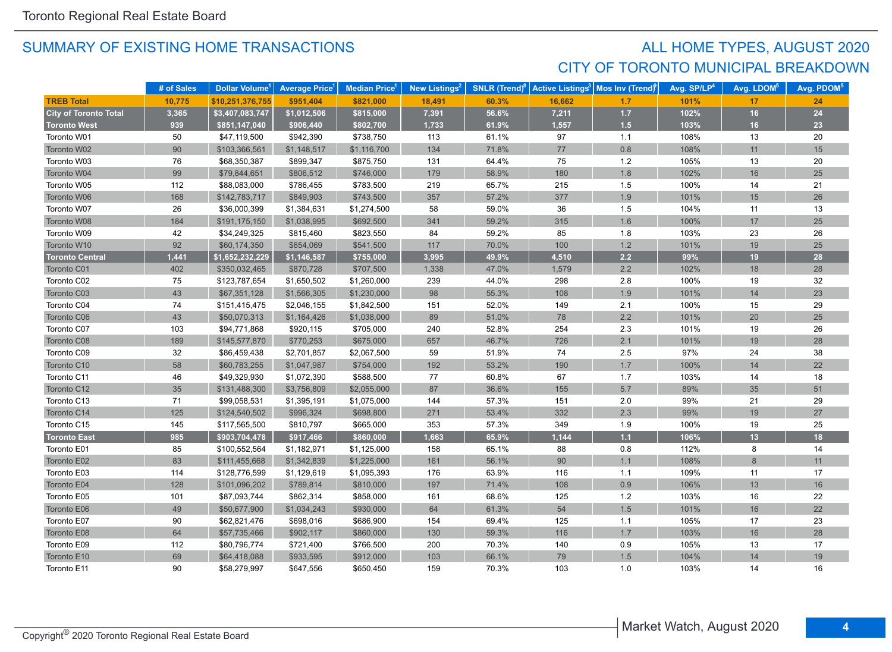# SUMMARY OF EXISTING HOME TRANSACTIONS **ALL HOME TYPES, AUGUST 2020** CITY OF TORONTO MUNICIPAL BREAKDOWN

|                              | # of Sales | Dollar Volume <sup>1</sup> | <b>Average Price</b> | <b>Median Price</b> <sup>1</sup> | New Listings <sup>2</sup> | <b>SNLR</b> (Trend) $8$ | <b>Active Listings<sup>3</sup></b> | Mos Inv (Trend) | Avg. SP/LP <sup>4</sup> | Avg. LDOM <sup>5</sup> | Avg. PDOM <sup>5</sup> |
|------------------------------|------------|----------------------------|----------------------|----------------------------------|---------------------------|-------------------------|------------------------------------|-----------------|-------------------------|------------------------|------------------------|
| <b>TREB Total</b>            | 10,775     | \$10,251,376,755           | \$951,404            | \$821,000                        | 18,491                    | 60.3%                   | 16,662                             | 1.7             | 101%                    | 17                     | 24                     |
| <b>City of Toronto Total</b> | 3,365      | \$3,407,083,747            | \$1,012,506          | \$815,000                        | 7,391                     | 56.6%                   | 7,211                              | $1.7$           | 102%                    | 16                     | 24                     |
| <b>Toronto West</b>          | 939        | \$851,147,040              | \$906,440            | \$802,700                        | 1,733                     | 61.9%                   | 1,557                              | 1.5             | 103%                    | 16                     | 23                     |
| Toronto W01                  | 50         | \$47,119,500               | \$942,390            | \$738,750                        | 113                       | 61.1%                   | 97                                 | 1.1             | 108%                    | 13                     | 20                     |
| Toronto W02                  | 90         | \$103,366,561              | \$1,148,517          | \$1,116,700                      | 134                       | 71.8%                   | 77                                 | 0.8             | 108%                    | 11                     | 15                     |
| Toronto W03                  | 76         | \$68,350,387               | \$899,347            | \$875,750                        | 131                       | 64.4%                   | 75                                 | $1.2$           | 105%                    | 13                     | 20                     |
| Toronto W04                  | 99         | \$79,844,651               | \$806,512            | \$746,000                        | 179                       | 58.9%                   | 180                                | 1.8             | 102%                    | 16                     | 25                     |
| Toronto W05                  | 112        | \$88,083,000               | \$786,455            | \$783,500                        | 219                       | 65.7%                   | 215                                | 1.5             | 100%                    | 14                     | 21                     |
| Toronto W06                  | 168        | \$142,783,717              | \$849,903            | \$743,500                        | 357                       | 57.2%                   | 377                                | 1.9             | 101%                    | 15                     | 26                     |
| Toronto W07                  | 26         | \$36,000,399               | \$1,384,631          | \$1,274,500                      | 58                        | 59.0%                   | 36                                 | 1.5             | 104%                    | 11                     | 13                     |
| Toronto W08                  | 184        | \$191,175,150              | \$1,038,995          | \$692,500                        | 341                       | 59.2%                   | 315                                | 1.6             | 100%                    | 17                     | 25                     |
| Toronto W09                  | 42         | \$34,249,325               | \$815,460            | \$823,550                        | 84                        | 59.2%                   | 85                                 | 1.8             | 103%                    | 23                     | 26                     |
| Toronto W10                  | 92         | \$60,174,350               | \$654,069            | \$541,500                        | 117                       | 70.0%                   | 100                                | $1.2$           | 101%                    | 19                     | 25                     |
| <b>Toronto Central</b>       | 1,441      | \$1,652,232,229            | \$1,146,587          | \$755,000                        | 3,995                     | 49.9%                   | 4,510                              | 2.2             | 99%                     | 19                     | 28                     |
| Toronto C01                  | 402        | \$350,032,465              | \$870,728            | \$707,500                        | 1,338                     | 47.0%                   | 1,579                              | 2.2             | 102%                    | 18                     | 28                     |
| Toronto C02                  | 75         | \$123,787,654              | \$1,650,502          | \$1,260,000                      | 239                       | 44.0%                   | 298                                | 2.8             | 100%                    | 19                     | 32                     |
| Toronto C03                  | 43         | \$67,351,128               | \$1,566,305          | \$1,230,000                      | 98                        | 55.3%                   | 108                                | 1.9             | 101%                    | 14                     | 23                     |
| Toronto C04                  | 74         | \$151,415,475              | \$2,046,155          | \$1,842,500                      | 151                       | 52.0%                   | 149                                | 2.1             | 100%                    | 15                     | 29                     |
| Toronto C06                  | 43         | \$50,070,313               | \$1,164,426          | \$1,038,000                      | 89                        | 51.0%                   | 78                                 | 2.2             | 101%                    | 20                     | 25                     |
| Toronto C07                  | 103        | \$94,771,868               | \$920,115            | \$705,000                        | 240                       | 52.8%                   | 254                                | 2.3             | 101%                    | 19                     | 26                     |
| Toronto C08                  | 189        | \$145,577,870              | \$770,253            | \$675,000                        | 657                       | 46.7%                   | 726                                | 2.1             | 101%                    | 19                     | 28                     |
| Toronto C09                  | 32         | \$86,459,438               | \$2,701,857          | \$2,067,500                      | 59                        | 51.9%                   | 74                                 | 2.5             | 97%                     | 24                     | 38                     |
| Toronto C10                  | 58         | \$60,783,255               | \$1,047,987          | \$754,000                        | 192                       | 53.2%                   | 190                                | 1.7             | 100%                    | 14                     | 22                     |
| Toronto C11                  | 46         | \$49,329,930               | \$1,072,390          | \$588,500                        | 77                        | 60.8%                   | 67                                 | 1.7             | 103%                    | 14                     | 18                     |
| Toronto C12                  | 35         | \$131,488,300              | \$3,756,809          | \$2,055,000                      | 87                        | 36.6%                   | 155                                | $5.7$           | 89%                     | 35                     | 51                     |
| Toronto C13                  | 71         | \$99,058,531               | \$1,395,191          | \$1,075,000                      | 144                       | 57.3%                   | 151                                | 2.0             | 99%                     | 21                     | 29                     |
| Toronto C14                  | 125        | \$124,540,502              | \$996,324            | \$698,800                        | 271                       | 53.4%                   | 332                                | 2.3             | 99%                     | 19                     | 27                     |
| Toronto C15                  | 145        | \$117,565,500              | \$810,797            | \$665,000                        | 353                       | 57.3%                   | 349                                | 1.9             | 100%                    | 19                     | 25                     |
| <b>Toronto East</b>          | 985        | \$903,704,478              | \$917,466            | \$860,000                        | 1,663                     | 65.9%                   | 1.144                              | $1.1$           | 106%                    | 13                     | 18                     |
| Toronto E01                  | 85         | \$100,552,564              | \$1,182,971          | \$1,125,000                      | 158                       | 65.1%                   | 88                                 | $0.8\,$         | 112%                    | 8                      | 14                     |
| Toronto E02                  | 83         | \$111,455,668              | \$1,342,839          | \$1,225,000                      | 161                       | 56.1%                   | 90                                 | 1.1             | 108%                    | $\boldsymbol{8}$       | 11                     |
| Toronto E03                  | 114        | \$128,776,599              | \$1,129,619          | \$1,095,393                      | 176                       | 63.9%                   | 116                                | 1.1             | 109%                    | 11                     | 17                     |
| Toronto E04                  | 128        | \$101,096,202              | \$789,814            | \$810,000                        | 197                       | 71.4%                   | 108                                | $0.9\,$         | 106%                    | 13                     | 16                     |
| Toronto E05                  | 101        | \$87,093,744               | \$862,314            | \$858,000                        | 161                       | 68.6%                   | 125                                | $1.2$           | 103%                    | 16                     | 22                     |
| Toronto E06                  | 49         | \$50,677,900               | \$1,034,243          | \$930,000                        | 64                        | 61.3%                   | 54                                 | $1.5$           | 101%                    | 16                     | 22                     |
| Toronto E07                  | 90         | \$62,821,476               | \$698,016            | \$686,900                        | 154                       | 69.4%                   | 125                                | 1.1             | 105%                    | 17                     | 23                     |
| Toronto E08                  | 64         | \$57,735,466               | \$902,117            | \$860,000                        | 130                       | 59.3%                   | 116                                | 1.7             | 103%                    | 16                     | 28                     |
| Toronto E09                  | 112        | \$80,796,774               | \$721,400            | \$766,500                        | 200                       | 70.3%                   | 140                                | 0.9             | 105%                    | 13                     | 17                     |
| Toronto E10                  | 69         | \$64,418,088               | \$933,595            | \$912,000                        | 103                       | 66.1%                   | 79                                 | 1.5             | 104%                    | 14                     | 19                     |
| Toronto E11                  | 90         | \$58,279,997               | \$647.556            | \$650,450                        | 159                       | 70.3%                   | 103                                | 1.0             | 103%                    | 14                     | 16                     |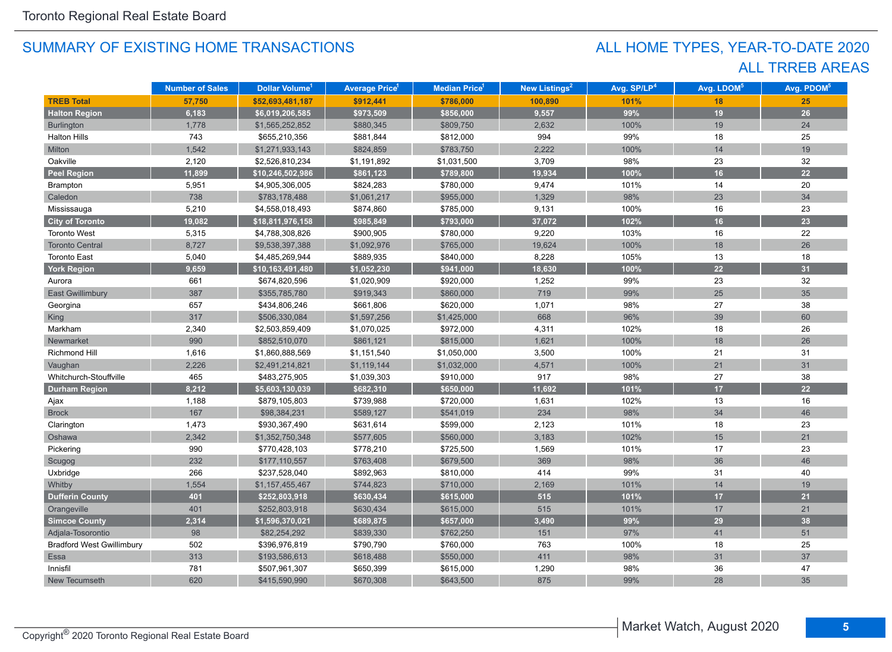# ALL TRREB AREAS ALL HOME TYPES, YEAR-TO-DATE 2020

|                                  | <b>Number of Sales</b> | Dollar Volume <sup>1</sup> | <b>Average Price</b> <sup>1</sup> | Median Price <sup>1</sup> | New Listings <sup>2</sup> | Avg. SP/LP <sup>4</sup> | Avg. LDOM <sup>5</sup> | Avg. PDOM <sup>5</sup> |
|----------------------------------|------------------------|----------------------------|-----------------------------------|---------------------------|---------------------------|-------------------------|------------------------|------------------------|
| <b>TREB Total</b>                | 57,750                 | \$52,693,481,187           | \$912,441                         | \$786,000                 | 100,890                   | 101%                    | 18                     | 25                     |
| <b>Halton Region</b>             | 6,183                  | \$6,019,206,585            | \$973,509                         | \$856,000                 | 9,557                     | 99%                     | 19                     | 26                     |
| Burlington                       | 1,778                  | \$1,565,252,852            | \$880,345                         | \$809,750                 | 2,632                     | 100%                    | 19                     | 24                     |
| <b>Halton Hills</b>              | 743                    | \$655,210,356              | \$881,844                         | \$812,000                 | 994                       | 99%                     | 18                     | 25                     |
| Milton                           | 1,542                  | \$1,271,933,143            | \$824,859                         | \$783,750                 | 2,222                     | 100%                    | 14                     | 19                     |
| Oakville                         | 2,120                  | \$2,526,810,234            | \$1,191,892                       | \$1,031,500               | 3,709                     | 98%                     | 23                     | 32                     |
| <b>Peel Region</b>               | 11,899                 | \$10,246,502,986           | \$861,123                         | \$789,800                 | 19,934                    | 100%                    | 16                     | 22                     |
| Brampton                         | 5,951                  | \$4,905,306,005            | \$824,283                         | \$780,000                 | 9,474                     | 101%                    | 14                     | 20                     |
| Caledon                          | 738                    | \$783,178,488              | \$1,061,217                       | \$955,000                 | 1,329                     | 98%                     | 23                     | 34                     |
| Mississauga                      | 5,210                  | \$4,558,018,493            | \$874,860                         | \$785,000                 | 9,131                     | 100%                    | 16                     | 23                     |
| <b>City of Toronto</b>           | 19,082                 | \$18,811,976,158           | \$985,849                         | \$793,000                 | 37,072                    | 102%                    | 16                     | 23                     |
| <b>Toronto West</b>              | 5,315                  | \$4,788,308,826            | \$900,905                         | \$780,000                 | 9,220                     | 103%                    | 16                     | 22                     |
| <b>Toronto Central</b>           | 8,727                  | \$9,538,397,388            | \$1,092,976                       | \$765,000                 | 19,624                    | 100%                    | $18$                   | 26                     |
| <b>Toronto East</b>              | 5,040                  | \$4,485,269,944            | \$889,935                         | \$840,000                 | 8,228                     | 105%                    | 13                     | 18                     |
| <b>York Region</b>               | 9,659                  | \$10,163,491,480           | $\sqrt{51,052,230}$               | \$941,000                 | 18,630                    | 100%                    | 22                     | 31                     |
| Aurora                           | 661                    | \$674,820,596              | \$1,020,909                       | \$920,000                 | 1,252                     | 99%                     | 23                     | 32                     |
| <b>East Gwillimbury</b>          | 387                    | \$355,785,780              | \$919,343                         | \$860,000                 | 719                       | 99%                     | 25                     | 35                     |
| Georgina                         | 657                    | \$434,806,246              | \$661,806                         | \$620,000                 | 1,071                     | 98%                     | 27                     | 38                     |
| <b>King</b>                      | 317                    | \$506,330,084              | \$1,597,256                       | \$1,425,000               | 668                       | 96%                     | 39                     | 60                     |
| Markham                          | 2,340                  | \$2,503,859,409            | \$1,070,025                       | \$972,000                 | 4,311                     | 102%                    | 18                     | 26                     |
| Newmarket                        | 990                    | \$852,510,070              | \$861,121                         | \$815,000                 | 1,621                     | 100%                    | 18                     | 26                     |
| Richmond Hill                    | 1,616                  | \$1,860,888,569            | \$1,151,540                       | \$1,050,000               | 3,500                     | 100%                    | 21                     | 31                     |
| Vaughan                          | 2,226                  | \$2,491,214,821            | \$1,119,144                       | \$1,032,000               | 4,571                     | 100%                    | 21                     | 31                     |
| Whitchurch-Stouffville           | 465                    | \$483,275,905              | \$1,039,303                       | \$910,000                 | 917                       | 98%                     | 27                     | 38                     |
| <b>Durham Region</b>             | 8,212                  | \$5,603,130,039            | \$682,310                         | \$650,000                 | 11,692                    | 101%                    | 17                     | 22                     |
| Ajax                             | 1,188                  | \$879,105,803              | \$739,988                         | \$720,000                 | 1,631                     | 102%                    | 13                     | 16                     |
| <b>Brock</b>                     | 167                    | \$98,384,231               | \$589,127                         | \$541,019                 | 234                       | 98%                     | 34                     | 46                     |
| Clarington                       | 1,473                  | \$930,367,490              | \$631,614                         | \$599,000                 | 2,123                     | 101%                    | 18                     | 23                     |
| Oshawa                           | 2,342                  | \$1,352,750,348            | \$577,605                         | \$560,000                 | 3,183                     | 102%                    | 15                     | 21                     |
| Pickering                        | 990                    | \$770,428,103              | \$778,210                         | \$725,500                 | 1,569                     | 101%                    | 17                     | 23                     |
| Scugog                           | 232                    | \$177,110,557              | \$763,408                         | \$679,500                 | 369                       | 98%                     | 36                     | 46                     |
| Uxbridge                         | 266                    | \$237,528,040              | \$892,963                         | \$810,000                 | 414                       | 99%                     | 31                     | 40                     |
| Whitby                           | 1,554                  | \$1,157,455,467            | \$744,823                         | \$710,000                 | 2,169                     | 101%                    | 14                     | 19                     |
| <b>Dufferin County</b>           | 401                    | \$252,803,918              | \$630,434                         | \$615,000                 | 515                       | 101%                    | 17                     | 21                     |
| Orangeville                      | 401                    | \$252,803,918              | \$630,434                         | \$615,000                 | 515                       | 101%                    | 17                     | 21                     |
| <b>Simcoe County</b>             | 2,314                  | \$1,596,370,021            | \$689,875                         | \$657,000                 | 3,490                     | 99%                     | 29                     | 38                     |
| Adjala-Tosorontio                | 98                     | \$82,254,292               | \$839,330                         | \$762,250                 | 151                       | 97%                     | 41                     | 51                     |
| <b>Bradford West Gwillimbury</b> | 502                    | \$396,976,819              | \$790,790                         | \$760,000                 | 763                       | 100%                    | 18                     | 25                     |
| Essa                             | 313                    | \$193,586,613              | \$618,488                         | \$550,000                 | 411                       | 98%                     | 31                     | 37                     |
| Innisfil                         | 781                    | \$507,961,307              | \$650,399                         | \$615,000                 | 1,290                     | 98%                     | 36                     | 47                     |
| New Tecumseth                    | 620                    | \$415,590,990              | \$670,308                         | \$643,500                 | 875                       | 99%                     | 28                     | 35                     |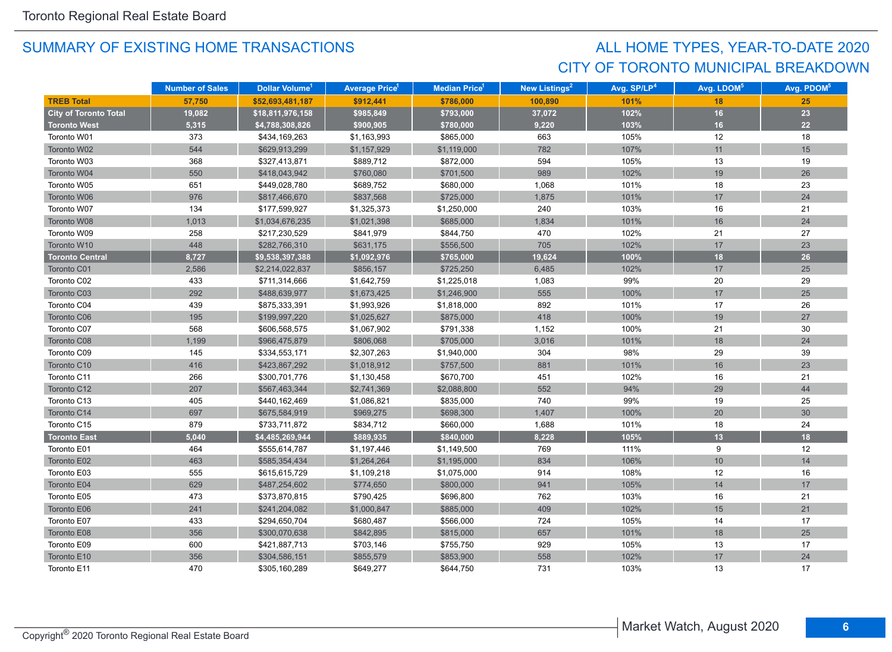# CITY OF TORONTO MUNICIPAL BREAKDOWN ALL HOME TYPES, YEAR-TO-DATE 2020

|                              | <b>Number of Sales</b> | Dollar Volume <sup>1</sup> | <b>Average Price</b> | Median Price <sup>1</sup> | <b>New Listings<sup>2</sup></b> | Avg. SP/LP <sup>4</sup> | Avg. LDOM <sup>5</sup> | Avg. PDOM <sup>5</sup> |
|------------------------------|------------------------|----------------------------|----------------------|---------------------------|---------------------------------|-------------------------|------------------------|------------------------|
| <b>TREB Total</b>            | 57,750                 | \$52,693,481,187           | \$912,441            | \$786,000                 | 100,890                         | 101%                    | 18                     | 25                     |
| <b>City of Toronto Total</b> | 19,082                 | \$18,811,976,158           | \$985,849            | \$793,000                 | 37,072                          | 102%                    | 16                     | 23                     |
| <b>Toronto West</b>          | 5,315                  | \$4,788,308,826            | \$900,905            | \$780,000                 | 9,220                           | 103%                    | 16                     | 22                     |
| Toronto W01                  | 373                    | \$434,169,263              | \$1,163,993          | \$865,000                 | 663                             | 105%                    | 12                     | 18                     |
| Toronto W02                  | 544                    | \$629,913,299              | \$1,157,929          | \$1,119,000               | 782                             | 107%                    | 11                     | 15                     |
| Toronto W03                  | 368                    | \$327,413,871              | \$889,712            | \$872,000                 | 594                             | 105%                    | 13                     | 19                     |
| Toronto W04                  | 550                    | \$418,043,942              | \$760,080            | \$701,500                 | 989                             | 102%                    | 19                     | 26                     |
| Toronto W05                  | 651                    | \$449,028,780              | \$689,752            | \$680,000                 | 1,068                           | 101%                    | 18                     | 23                     |
| Toronto W06                  | 976                    | \$817,466,670              | \$837,568            | \$725,000                 | 1,875                           | 101%                    | 17                     | 24                     |
| Toronto W07                  | 134                    | \$177,599,927              | \$1,325,373          | \$1,250,000               | 240                             | 103%                    | 16                     | 21                     |
| Toronto W08                  | 1,013                  | \$1,034,676,235            | \$1,021,398          | \$685,000                 | 1,834                           | 101%                    | 16                     | 24                     |
| Toronto W09                  | 258                    | \$217,230,529              | \$841,979            | \$844,750                 | 470                             | 102%                    | 21                     | 27                     |
| Toronto W10                  | 448                    | \$282,766,310              | \$631,175            | \$556,500                 | 705                             | 102%                    | 17                     | 23                     |
| <b>Toronto Central</b>       | 8,727                  | \$9,538,397,388            | \$1,092,976          | \$765,000                 | 19,624                          | 100%                    | 18                     | 26                     |
| Toronto C01                  | 2,586                  | \$2,214,022,837            | \$856,157            | \$725,250                 | 6,485                           | 102%                    | 17                     | 25                     |
| Toronto C02                  | 433                    | \$711,314,666              | \$1,642,759          | \$1,225,018               | 1,083                           | 99%                     | 20                     | 29                     |
| Toronto C03                  | 292                    | \$488,639,977              | \$1,673,425          | \$1,246,900               | 555                             | 100%                    | 17                     | 25                     |
| Toronto C04                  | 439                    | \$875,333,391              | \$1,993,926          | \$1,818,000               | 892                             | 101%                    | 17                     | 26                     |
| Toronto C06                  | 195                    | \$199,997,220              | \$1,025,627          | \$875,000                 | 418                             | 100%                    | 19                     | 27                     |
| Toronto C07                  | 568                    | \$606,568,575              | \$1,067,902          | \$791,338                 | 1,152                           | 100%                    | 21                     | 30                     |
| Toronto C08                  | 1,199                  | \$966,475,879              | \$806,068            | \$705,000                 | 3,016                           | 101%                    | 18                     | 24                     |
| Toronto C09                  | 145                    | \$334,553,171              | \$2,307,263          | \$1,940,000               | 304                             | 98%                     | 29                     | 39                     |
| Toronto C10                  | 416                    | \$423,867,292              | \$1,018,912          | \$757,500                 | 881                             | 101%                    | 16                     | 23                     |
| Toronto C11                  | 266                    | \$300,701,776              | \$1,130,458          | \$670,700                 | 451                             | 102%                    | 16                     | 21                     |
| Toronto C12                  | 207                    | \$567,463,344              | \$2,741,369          | \$2,088,800               | 552                             | 94%                     | 29                     | 44                     |
| Toronto C13                  | 405                    | \$440,162,469              | \$1,086,821          | \$835,000                 | 740                             | 99%                     | 19                     | 25                     |
| Toronto C14                  | 697                    | \$675,584,919              | \$969,275            | \$698,300                 | 1,407                           | 100%                    | 20                     | 30                     |
| Toronto C15                  | 879                    | \$733,711,872              | \$834,712            | \$660,000                 | 1,688                           | 101%                    | 18                     | 24                     |
| <b>Toronto East</b>          | 5.040                  | \$4,485,269,944            | \$889,935            | \$840,000                 | 8,228                           | 105%                    | 13                     | 18                     |
| Toronto E01                  | 464                    | \$555,614,787              | \$1,197,446          | \$1,149,500               | 769                             | 111%                    | 9                      | 12                     |
| Toronto E02                  | 463                    | \$585,354,434              | \$1,264,264          | \$1,195,000               | 834                             | 106%                    | $10$                   | 14                     |
| Toronto E03                  | 555                    | \$615,615,729              | \$1,109,218          | \$1,075,000               | 914                             | 108%                    | 12                     | 16                     |
| Toronto E04                  | 629                    | \$487,254,602              | \$774,650            | \$800,000                 | 941                             | 105%                    | 14                     | 17                     |
| Toronto E05                  | 473                    | \$373,870,815              | \$790,425            | \$696,800                 | 762                             | 103%                    | 16                     | 21                     |
| Toronto E06                  | 241                    | \$241,204,082              | \$1,000,847          | \$885,000                 | 409                             | 102%                    | 15                     | 21                     |
| Toronto E07                  | 433                    | \$294,650,704              | \$680,487            | \$566,000                 | 724                             | 105%                    | 14                     | 17                     |
| Toronto E08                  | 356                    | \$300,070,638              | \$842,895            | \$815,000                 | 657                             | 101%                    | 18                     | 25                     |
| Toronto E09                  | 600                    | \$421,887,713              | \$703,146            | \$755,750                 | 929                             | 105%                    | 13                     | 17                     |
| Toronto E10                  | 356                    | \$304,586,151              | \$855,579            | \$853,900                 | 558                             | 102%                    | 17                     | 24                     |
| Toronto E11                  | 470                    | \$305,160,289              | \$649,277            | \$644,750                 | 731                             | 103%                    | 13                     | 17                     |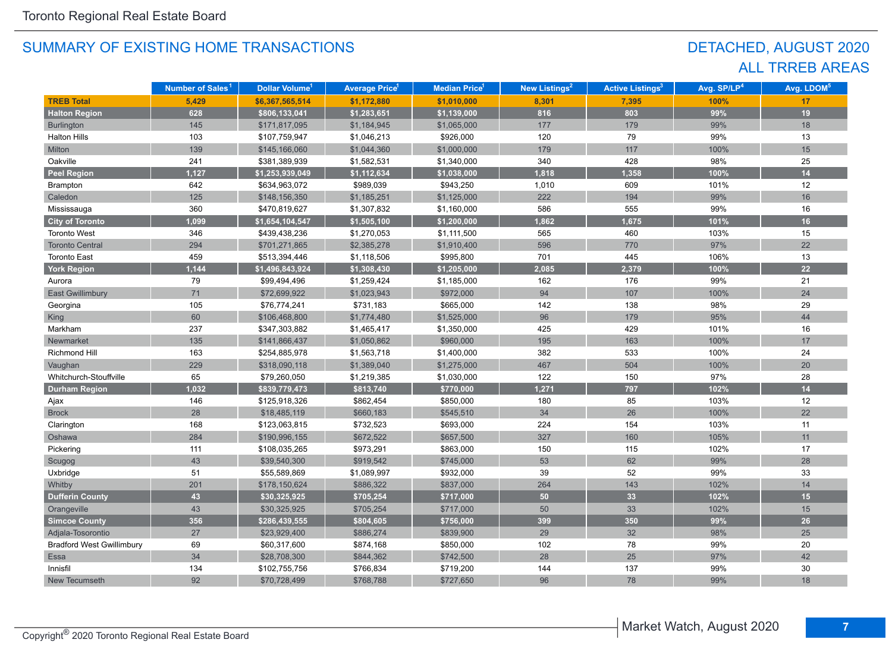# DETACHED, AUGUST 2020 ALL TRREB AREAS

|                                  | Number of Sales <sup>1</sup> | Dollar Volume <sup>1</sup> | <b>Average Price</b> <sup>1</sup> | <b>Median Price</b> <sup>1</sup> | New Listings <sup>2</sup> | <b>Active Listings<sup>3</sup></b> | Avg. SP/LP <sup>4</sup> | Avg. LDOM <sup>5</sup> |
|----------------------------------|------------------------------|----------------------------|-----------------------------------|----------------------------------|---------------------------|------------------------------------|-------------------------|------------------------|
| <b>TREB Total</b>                | 5,429                        | \$6,367,565,514            | \$1,172,880                       | \$1,010,000                      | 8,301                     | 7,395                              | 100%                    | 17                     |
| <b>Halton Region</b>             | 628                          | \$806,133,041              | \$1,283,651                       | \$1,139,000                      | 816                       | 803                                | 99%                     | 19                     |
| <b>Burlington</b>                | 145                          | \$171,817,095              | \$1,184,945                       | \$1,065,000                      | 177                       | 179                                | 99%                     | 18                     |
| <b>Halton Hills</b>              | 103                          | \$107,759,947              | \$1,046,213                       | \$926,000                        | 120                       | 79                                 | 99%                     | 13                     |
| Milton                           | 139                          | \$145,166,060              | \$1,044,360                       | \$1,000,000                      | 179                       | 117                                | 100%                    | 15                     |
| Oakville                         | 241                          | \$381,389,939              | \$1,582,531                       | \$1,340,000                      | 340                       | 428                                | 98%                     | 25                     |
| <b>Peel Region</b>               | 1,127                        | \$1,253,939,049            | \$1,112,634                       | \$1,038,000                      | 1,818                     | 1,358                              | 100%                    | 14                     |
| Brampton                         | 642                          | \$634,963,072              | \$989,039                         | \$943,250                        | 1,010                     | 609                                | 101%                    | 12                     |
| Caledon                          | 125                          | \$148,156,350              | \$1,185,251                       | \$1,125,000                      | 222                       | 194                                | 99%                     | 16                     |
| Mississauga                      | 360                          | \$470,819,627              | \$1,307,832                       | \$1,160,000                      | 586                       | 555                                | 99%                     | 16                     |
| <b>City of Toronto</b>           | 1,099                        | \$1,654,104,547            | \$1,505,100                       | \$1,200,000                      | 1,862                     | 1,675                              | 101%                    | 16                     |
| <b>Toronto West</b>              | 346                          | \$439,438,236              | \$1,270,053                       | \$1,111,500                      | 565                       | 460                                | 103%                    | 15                     |
| <b>Toronto Central</b>           | 294                          | \$701,271,865              | \$2,385,278                       | \$1,910,400                      | 596                       | 770                                | 97%                     | 22                     |
| <b>Toronto East</b>              | 459                          | \$513,394,446              | \$1,118,506                       | \$995,800                        | 701                       | 445                                | 106%                    | 13                     |
| York Region                      | 1,144                        | \$1,496,843,924            | \$1,308,430                       | \$1,205,000                      | 2,085                     | 2,379                              | 100%                    | 22                     |
| Aurora                           | 79                           | \$99,494,496               | \$1,259,424                       | \$1,185,000                      | 162                       | 176                                | 99%                     | 21                     |
| <b>East Gwillimbury</b>          | 71                           | \$72,699,922               | \$1,023,943                       | \$972,000                        | 94                        | 107                                | 100%                    | 24                     |
| Georgina                         | 105                          | \$76,774,241               | \$731,183                         | \$665,000                        | 142                       | 138                                | 98%                     | 29                     |
| King                             | 60                           | \$106,468,800              | \$1,774,480                       | \$1,525,000                      | 96                        | 179                                | 95%                     | 44                     |
| Markham                          | 237                          | \$347,303,882              | \$1,465,417                       | \$1,350,000                      | 425                       | 429                                | 101%                    | 16                     |
| Newmarket                        | 135                          | \$141,866,437              | \$1,050,862                       | \$960,000                        | 195                       | 163                                | 100%                    | 17                     |
| <b>Richmond Hill</b>             | 163                          | \$254,885,978              | \$1,563,718                       | \$1,400,000                      | 382                       | 533                                | 100%                    | 24                     |
| Vaughan                          | 229                          | \$318,090,118              | \$1,389,040                       | \$1,275,000                      | 467                       | 504                                | 100%                    | 20                     |
| Whitchurch-Stouffville           | 65                           | \$79,260,050               | \$1,219,385                       | \$1,030,000                      | 122                       | 150                                | 97%                     | 28                     |
| <b>Durham Region</b>             | 1,032                        | \$839,779,473              | \$813,740                         | \$770,000                        | 1,271                     | 797                                | 102%                    | 14                     |
| Ajax                             | 146                          | \$125,918,326              | \$862,454                         | \$850,000                        | 180                       | 85                                 | 103%                    | 12                     |
| <b>Brock</b>                     | 28                           | \$18,485,119               | \$660,183                         | \$545,510                        | 34                        | 26                                 | 100%                    | 22                     |
| Clarington                       | 168                          | \$123,063,815              | \$732,523                         | \$693,000                        | 224                       | 154                                | 103%                    | 11                     |
| Oshawa                           | 284                          | \$190,996,155              | \$672,522                         | \$657,500                        | 327                       | 160                                | 105%                    | 11                     |
| Pickering                        | 111                          | \$108,035,265              | \$973,291                         | \$863,000                        | 150                       | 115                                | 102%                    | 17                     |
| Scugog                           | 43                           | \$39,540,300               | \$919,542                         | \$745,000                        | 53                        | 62                                 | 99%                     | 28                     |
| Uxbridge                         | 51                           | \$55,589,869               | \$1,089,997                       | \$932,000                        | 39                        | 52                                 | 99%                     | 33                     |
| Whitby                           | 201                          | \$178,150,624              | \$886,322                         | \$837,000                        | 264                       | 143                                | 102%                    | 14                     |
| <b>Dufferin County</b>           | 43                           | \$30,325,925               | \$705,254                         | \$717,000                        | 50                        | 33                                 | 102%                    | 15                     |
| Orangeville                      | 43                           | \$30,325,925               | \$705,254                         | \$717,000                        | 50                        | 33                                 | 102%                    | 15                     |
| <b>Simcoe County</b>             | 356                          | \$286,439,555              | \$804,605                         | \$756,000                        | 399                       | 350                                | 99%                     | 26                     |
| Adjala-Tosorontio                | 27                           | \$23,929,400               | \$886,274                         | \$839,900                        | 29                        | 32                                 | 98%                     | 25                     |
| <b>Bradford West Gwillimbury</b> | 69                           | \$60,317,600               | \$874,168                         | \$850,000                        | 102                       | 78                                 | 99%                     | 20                     |
| Essa                             | 34                           | \$28,708,300               | \$844,362                         | \$742,500                        | 28                        | 25                                 | 97%                     | 42                     |
| Innisfil                         | 134                          | \$102,755,756              | \$766,834                         | \$719,200                        | 144                       | 137                                | 99%                     | 30                     |
| New Tecumseth                    | 92                           | \$70,728,499               | \$768,788                         | \$727,650                        | 96                        | 78                                 | 99%                     | 18                     |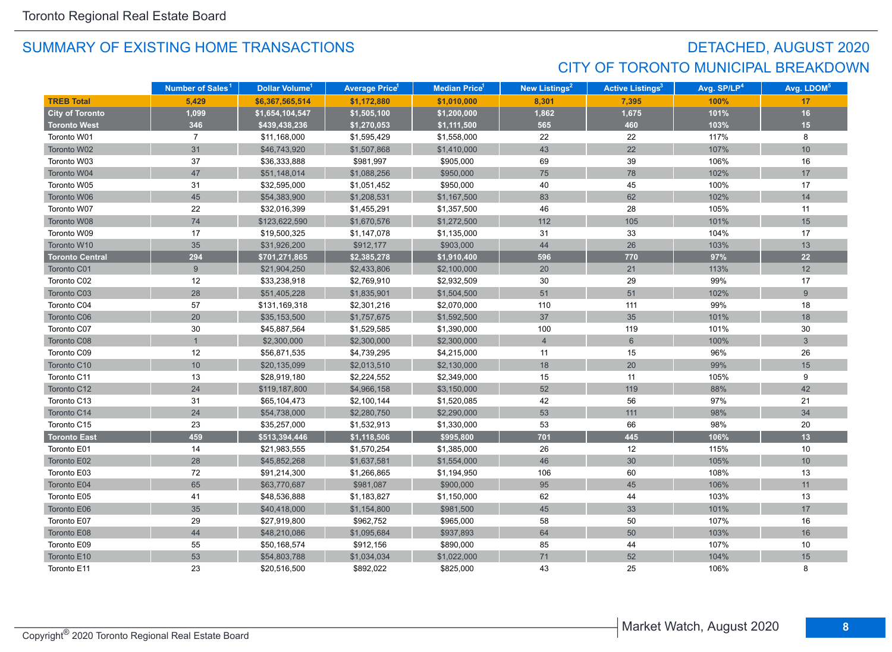# DETACHED, AUGUST 2020 CITY OF TORONTO MUNICIPAL BREAKDOWN

|                        | Number of Sales <sup>1</sup> | Dollar Volume <sup>1</sup> | <b>Average Price<sup>1</sup></b> | Median Price <sup>1</sup> | New Listings <sup>2</sup> | <b>Active Listings<sup>3</sup></b> | Avg. SP/LP <sup>4</sup> | Avg. LDOM <sup>5</sup> |
|------------------------|------------------------------|----------------------------|----------------------------------|---------------------------|---------------------------|------------------------------------|-------------------------|------------------------|
| <b>TREB Total</b>      | 5,429                        | \$6,367,565,514            | \$1,172,880                      | \$1,010,000               | 8,301                     | 7,395                              | 100%                    | 17                     |
| <b>City of Toronto</b> | 1,099                        | \$1,654,104,547            | \$1,505,100                      | \$1,200,000               | 1,862                     | 1,675                              | 101%                    | 16                     |
| <b>Toronto West</b>    | 346                          | \$439,438,236              | \$1,270,053                      | \$1,111,500               | 565                       | 460                                | 103%                    | 15                     |
| Toronto W01            | $\overline{7}$               | \$11,168,000               | \$1,595,429                      | \$1,558,000               | 22                        | 22                                 | 117%                    | 8                      |
| Toronto W02            | 31                           | \$46,743,920               | \$1,507,868                      | \$1,410,000               | 43                        | 22                                 | 107%                    | 10                     |
| Toronto W03            | 37                           | \$36,333,888               | \$981,997                        | \$905,000                 | 69                        | 39                                 | 106%                    | 16                     |
| Toronto W04            | 47                           | \$51,148,014               | \$1,088,256                      | \$950,000                 | 75                        | 78                                 | 102%                    | 17                     |
| Toronto W05            | 31                           | \$32,595,000               | \$1,051,452                      | \$950,000                 | 40                        | 45                                 | 100%                    | 17                     |
| Toronto W06            | 45                           | \$54,383,900               | \$1,208,531                      | \$1,167,500               | 83                        | 62                                 | 102%                    | 14                     |
| Toronto W07            | 22                           | \$32,016,399               | \$1,455,291                      | \$1,357,500               | 46                        | 28                                 | 105%                    | 11                     |
| Toronto W08            | 74                           | \$123,622,590              | \$1,670,576                      | \$1,272,500               | 112                       | 105                                | 101%                    | 15                     |
| Toronto W09            | 17                           | \$19,500,325               | \$1,147,078                      | \$1,135,000               | 31                        | 33                                 | 104%                    | 17                     |
| Toronto W10            | 35                           | \$31,926,200               | \$912,177                        | \$903,000                 | 44                        | 26                                 | 103%                    | 13                     |
| <b>Toronto Central</b> | 294                          | \$701,271,865              | \$2,385,278                      | \$1,910,400               | 596                       | 770                                | 97%                     | 22                     |
| Toronto C01            | $9\,$                        | \$21,904,250               | \$2,433,806                      | \$2,100,000               | 20                        | 21                                 | 113%                    | 12                     |
| Toronto C02            | 12                           | \$33,238,918               | \$2,769,910                      | \$2,932,509               | 30                        | 29                                 | 99%                     | 17                     |
| Toronto C03            | 28                           | \$51,405,228               | \$1,835,901                      | \$1,504,500               | 51                        | 51                                 | 102%                    | 9                      |
| Toronto C04            | 57                           | \$131,169,318              | \$2,301,216                      | \$2,070,000               | 110                       | 111                                | 99%                     | 18                     |
| Toronto C06            | 20                           | \$35,153,500               | \$1,757,675                      | \$1,592,500               | 37                        | 35                                 | 101%                    | 18                     |
| Toronto C07            | 30                           | \$45,887,564               | \$1,529,585                      | \$1,390,000               | 100                       | 119                                | 101%                    | 30                     |
| Toronto C08            |                              | \$2,300,000                | \$2,300,000                      | \$2,300,000               | $\overline{4}$            | $6\phantom{a}$                     | 100%                    | $\mathbf{3}$           |
| Toronto C09            | 12                           | \$56,871,535               | \$4,739,295                      | \$4,215,000               | 11                        | 15                                 | 96%                     | 26                     |
| Toronto C10            | 10                           | \$20,135,099               | \$2,013,510                      | \$2,130,000               | 18                        | 20                                 | 99%                     | 15                     |
| Toronto C11            | 13                           | \$28,919,180               | \$2,224,552                      | \$2,349,000               | 15                        | 11                                 | 105%                    | 9                      |
| Toronto C12            | 24                           | \$119,187,800              | \$4,966,158                      | \$3,150,000               | 52                        | 119                                | 88%                     | 42                     |
| Toronto C13            | 31                           | \$65,104,473               | \$2,100,144                      | \$1,520,085               | 42                        | 56                                 | 97%                     | 21                     |
| Toronto C14            | 24                           | \$54,738,000               | \$2,280,750                      | \$2,290,000               | 53                        | $111$                              | 98%                     | 34                     |
| Toronto C15            | 23                           | \$35,257,000               | \$1,532,913                      | \$1,330,000               | 53                        | 66                                 | 98%                     | 20                     |
| <b>Toronto East</b>    | 459                          | \$513,394,446              | \$1,118,506                      | \$995,800                 | 701                       | 445                                | 106%                    | 13                     |
| Toronto E01            | 14                           | \$21,983,555               | \$1,570,254                      | \$1,385,000               | 26                        | 12                                 | 115%                    | 10                     |
| Toronto E02            | 28                           | \$45,852,268               | \$1,637,581                      | \$1,554,000               | 46                        | 30                                 | 105%                    | 10                     |
| Toronto E03            | 72                           | \$91,214,300               | \$1,266,865                      | \$1,194,950               | 106                       | 60                                 | 108%                    | 13                     |
| Toronto E04            | 65                           | \$63,770,687               | \$981,087                        | \$900,000                 | 95                        | 45                                 | 106%                    | 11                     |
| Toronto E05            | 41                           | \$48,536,888               | \$1,183,827                      | \$1,150,000               | 62                        | 44                                 | 103%                    | 13                     |
| Toronto E06            | 35                           | \$40,418,000               | \$1,154,800                      | \$981,500                 | 45                        | 33                                 | 101%                    | 17                     |
| Toronto E07            | 29                           | \$27,919,800               | \$962,752                        | \$965,000                 | 58                        | 50                                 | 107%                    | 16                     |
| Toronto E08            | 44                           | \$48,210,086               | \$1,095,684                      | \$937,893                 | 64                        | 50                                 | 103%                    | 16                     |
| Toronto E09            | 55                           | \$50,168,574               | \$912,156                        | \$890,000                 | 85                        | 44                                 | 107%                    | 10                     |
| Toronto E10            | 53                           | \$54,803,788               | \$1,034,034                      | \$1,022,000               | $71$                      | 52                                 | 104%                    | 15                     |
| Toronto E11            | 23                           | \$20,516,500               | \$892,022                        | \$825,000                 | 43                        | 25                                 | 106%                    | 8                      |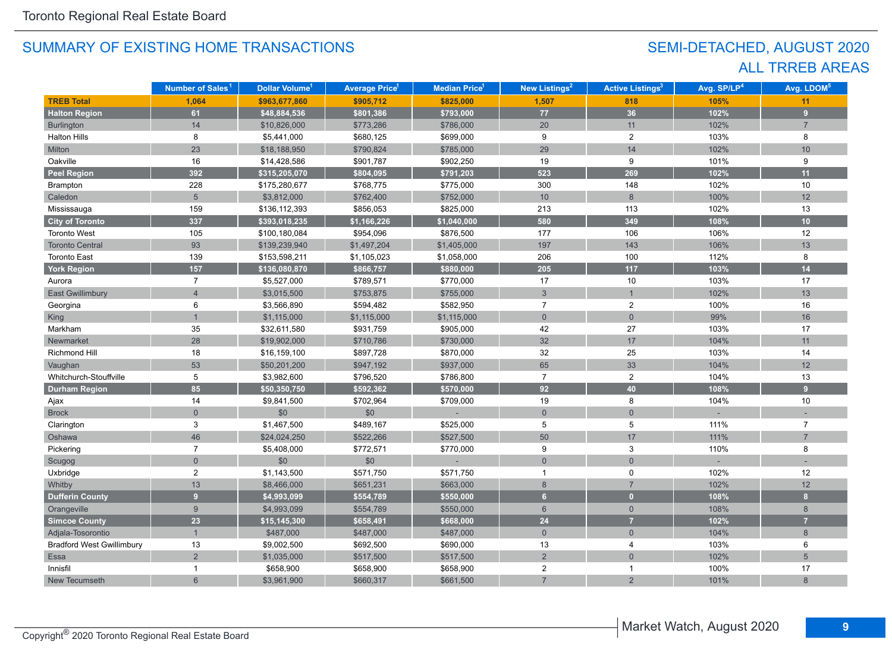# SEMI-DETACHED, AUGUST 2020 ALL TRREB AREAS

|                                  | Number of Sales <sup>1</sup> | Dollar Volume <sup>1</sup> | <b>Average Price</b> <sup>1</sup> | Median Price <sup>1</sup> | New Listings <sup>2</sup> | <b>Active Listings<sup>3</sup></b> | Avg. SP/LP <sup>4</sup> | Avg. LDOM <sup>5</sup> |
|----------------------------------|------------------------------|----------------------------|-----------------------------------|---------------------------|---------------------------|------------------------------------|-------------------------|------------------------|
| <b>TREB Total</b>                | 1,064                        | \$963,677,860              | \$905,712                         | \$825,000                 | 1,507                     | 818                                | 105%                    | 11                     |
| <b>Halton Region</b>             | 61                           | \$48,884,536               | \$801,386                         | \$793,000                 | 77                        | 36                                 | 102%                    | $\overline{9}$         |
| <b>Burlington</b>                | 14                           | \$10,826,000               | \$773,286                         | \$786,000                 | 20                        | 11                                 | 102%                    | $\overline{7}$         |
| <b>Halton Hills</b>              | 8                            | \$5,441,000                | \$680,125                         | \$699,000                 | 9                         | $\overline{2}$                     | 103%                    | 8                      |
| Milton                           | 23                           | \$18,188,950               | \$790,824                         | \$785,000                 | 29                        | 14                                 | 102%                    | 10                     |
| Oakville                         | 16                           | \$14,428,586               | \$901,787                         | \$902,250                 | 19                        | 9                                  | 101%                    | 9                      |
| <b>Peel Region</b>               | 392                          | \$315,205,070              | \$804,095                         | \$791,203                 | 523                       | 269                                | 102%                    | 11                     |
| Brampton                         | 228                          | \$175,280,677              | \$768,775                         | \$775,000                 | 300                       | 148                                | 102%                    | 10                     |
| Caledon                          | 5 <sup>5</sup>               | \$3,812,000                | \$762,400                         | \$752,000                 | 10 <sup>°</sup>           | 8                                  | 100%                    | 12                     |
| Mississauga                      | 159                          | \$136,112,393              | \$856,053                         | \$825,000                 | 213                       | 113                                | 102%                    | 13                     |
| <b>City of Toronto</b>           | 337                          | \$393,018,235              | \$1,166,226                       | \$1,040,000               | 580                       | 349                                | 108%                    | 10                     |
| <b>Toronto West</b>              | 105                          | \$100,180,084              | \$954,096                         | \$876,500                 | 177                       | 106                                | 106%                    | 12                     |
| <b>Toronto Central</b>           | 93                           | \$139,239,940              | \$1,497,204                       | \$1,405,000               | 197                       | 143                                | 106%                    | 13                     |
| <b>Toronto East</b>              | 139                          | \$153,598,211              | \$1,105,023                       | \$1,058,000               | 206                       | 100                                | 112%                    | 8                      |
| <b>York Region</b>               | 157                          | \$136,080,870              | \$866,757                         | \$880,000                 | 205                       | $117$                              | 103%                    | 14                     |
| Aurora                           | $\overline{7}$               | \$5,527,000                | \$789,571                         | \$770,000                 | 17                        | 10                                 | 103%                    | 17                     |
| <b>East Gwillimbury</b>          | $\overline{\mathbf{A}}$      | \$3,015,500                | \$753,875                         | \$755,000                 | 3                         | $\mathbf{1}$                       | 102%                    | 13                     |
| Georgina                         | 6                            | \$3,566,890                | \$594,482                         | \$582,950                 | $\overline{7}$            | $\overline{2}$                     | 100%                    | 16                     |
| <b>King</b>                      |                              | \$1,115,000                | \$1,115,000                       | \$1,115,000               | $\mathbf{0}$              | $\overline{0}$                     | 99%                     | 16                     |
| Markham                          | 35                           | \$32,611,580               | \$931,759                         | \$905,000                 | 42                        | 27                                 | 103%                    | 17                     |
| Newmarket                        | 28                           | \$19,902,000               | \$710,786                         | \$730,000                 | 32                        | 17                                 | 104%                    | 11                     |
| Richmond Hill                    | 18                           | \$16,159,100               | \$897,728                         | \$870,000                 | $32\,$                    | 25                                 | 103%                    | 14                     |
| Vaughan                          | 53                           | \$50,201,200               | \$947,192                         | \$937,000                 | 65                        | 33                                 | 104%                    | 12                     |
| Whitchurch-Stouffville           | 5                            | \$3,982,600                | \$796,520                         | \$786,800                 | $\overline{7}$            | $\overline{c}$                     | 104%                    | 13                     |
| <b>Durham Region</b>             | 85                           | \$50,350,750               | \$592,362                         | \$570,000                 | 92                        | 40                                 | 108%                    | 9                      |
| Ajax                             | 14                           | \$9,841,500                | \$702,964                         | \$709,000                 | 19                        | 8                                  | 104%                    | 10                     |
| <b>Brock</b>                     | $\overline{0}$               | \$0                        | \$0                               |                           | $\mathbf 0$               | $\mathbf{0}$                       |                         |                        |
| Clarington                       | 3                            | \$1,467,500                | \$489,167                         | \$525,000                 | 5                         | 5                                  | 111%                    | $\overline{7}$         |
| Oshawa                           | 46                           | \$24,024,250               | \$522,266                         | \$527,500                 | 50                        | 17                                 | 111%                    | $\overline{7}$         |
| Pickering                        | $\overline{7}$               | \$5,408,000                | \$772,571                         | \$770,000                 | 9                         | 3                                  | 110%                    | 8                      |
| Scugog                           | $\overline{0}$               | \$0                        | \$0                               |                           | $\mathbf 0$               | $\mathsf{O}\xspace$                |                         |                        |
| Uxbridge                         | $\overline{2}$               | \$1,143,500                | \$571,750                         | \$571,750                 | $\mathbf{1}$              | $\mathbf 0$                        | 102%                    | 12                     |
| Whitby                           | 13                           | \$8,466,000                | \$651,231                         | \$663,000                 | $\,8\,$                   | $\overline{7}$                     | 102%                    | 12                     |
| <b>Dufferin County</b>           | 9 <sup>°</sup>               | \$4,993,099                | \$554,789                         | \$550,000                 | 6                         | $\overline{0}$                     | 108%                    | $\mathbf{8}$           |
| Orangeville                      | 9                            | \$4,993,099                | \$554,789                         | \$550,000                 | $6\phantom{1}$            | $\mathbf{0}$                       | 108%                    | 8                      |
| <b>Simcoe County</b>             | 23                           | \$15,145,300               | \$658,491                         | \$668,000                 | 24                        | $\overline{7}$                     | 102%                    | $\overline{7}$         |
| Adjala-Tosorontio                |                              | \$487,000                  | \$487,000                         | \$487,000                 | $\mathsf{O}\xspace$       | $\mathbf{0}$                       | 104%                    | 8                      |
| <b>Bradford West Gwillimbury</b> | 13                           | \$9,002,500                | \$692,500                         | \$690,000                 | 13                        | 4                                  | 103%                    | 6                      |
| Essa                             | $\overline{2}$               | \$1,035,000                | \$517,500                         | \$517,500                 | $\overline{2}$            | $\overline{0}$                     | 102%                    | 5                      |
| Innisfil                         |                              | \$658,900                  | \$658,900                         | \$658,900                 | $\overline{c}$            | $\mathbf{1}$                       | 100%                    | 17                     |
| New Tecumseth                    | 6                            | \$3,961,900                | \$660,317                         | \$661,500                 | $\overline{7}$            | $\overline{2}$                     | 101%                    | 8                      |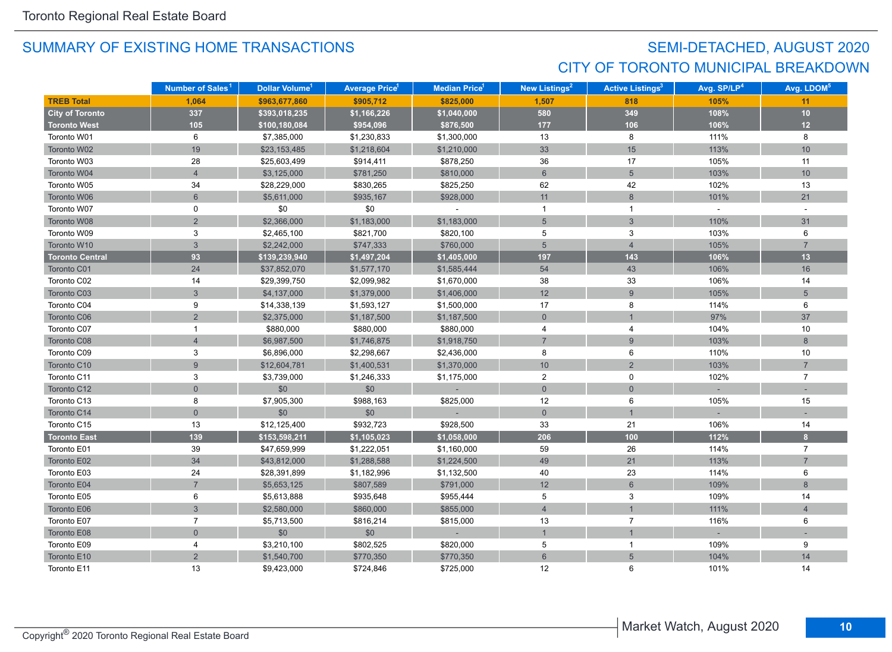# SEMI-DETACHED, AUGUST 2020 CITY OF TORONTO MUNICIPAL BREAKDOWN

|                        | Number of Sales <sup>1</sup> | Dollar Volume <sup>1</sup> | <b>Average Price</b> | Median Price <sup>1</sup> | <b>New Listings<sup>2</sup></b> | <b>Active Listings<sup>3</sup></b> | Avg. SP/LP <sup>4</sup> | Avg. LDOM <sup>5</sup> |
|------------------------|------------------------------|----------------------------|----------------------|---------------------------|---------------------------------|------------------------------------|-------------------------|------------------------|
| <b>TREB Total</b>      | 1,064                        | \$963,677,860              | \$905,712            | \$825,000                 | 1,507                           | 818                                | 105%                    | 11                     |
| <b>City of Toronto</b> | 337                          | \$393,018,235              | \$1,166,226          | \$1,040,000               | 580                             | 349                                | 108%                    | 10                     |
| <b>Toronto West</b>    | 105                          | \$100,180,084              | \$954,096            | \$876,500                 | 177                             | 106                                | 106%                    | 12                     |
| Toronto W01            | 6                            | \$7,385,000                | \$1,230,833          | \$1,300,000               | 13                              | 8                                  | 111%                    | 8                      |
| Toronto W02            | 19                           | \$23,153,485               | \$1,218,604          | \$1,210,000               | 33                              | 15                                 | 113%                    | 10                     |
| Toronto W03            | 28                           | \$25,603,499               | \$914,411            | \$878,250                 | 36                              | 17                                 | 105%                    | 11                     |
| Toronto W04            | $\overline{4}$               | \$3,125,000                | \$781,250            | \$810,000                 | $\,$ 6 $\,$                     | 5                                  | 103%                    | 10                     |
| Toronto W05            | 34                           | \$28,229,000               | \$830,265            | \$825,250                 | 62                              | 42                                 | 102%                    | 13                     |
| Toronto W06            | 6                            | \$5,611,000                | \$935,167            | \$928,000                 | 11                              | 8                                  | 101%                    | 21                     |
| Toronto W07            | 0                            | \$0                        | \$0                  |                           | $\mathbf{1}$                    | $\mathbf{1}$                       | $\sim$                  | $\sim$                 |
| Toronto W08            | $\overline{2}$               | \$2,366,000                | \$1,183,000          | \$1,183,000               | $5\overline{)}$                 | 3                                  | 110%                    | 31                     |
| Toronto W09            | 3                            | \$2,465,100                | \$821,700            | \$820,100                 | 5                               | 3                                  | 103%                    | 6                      |
| Toronto W10            | $\overline{3}$               | \$2,242,000                | \$747,333            | \$760,000                 | $5\overline{)}$                 | $\overline{4}$                     | 105%                    | $\overline{7}$         |
| <b>Toronto Central</b> | 93                           | \$139,239,940              | \$1,497,204          | \$1,405,000               | 197                             | 143                                | 106%                    | 13                     |
| Toronto C01            | 24                           | \$37,852,070               | \$1,577,170          | \$1,585,444               | 54                              | 43                                 | 106%                    | 16                     |
| Toronto C02            | 14                           | \$29,399,750               | \$2,099,982          | \$1,670,000               | 38                              | 33                                 | 106%                    | 14                     |
| Toronto C03            | 3                            | \$4,137,000                | \$1,379,000          | \$1,406,000               | 12                              | 9                                  | 105%                    | $5\overline{)}$        |
| Toronto C04            | 9                            | \$14,338,139               | \$1,593,127          | \$1,500,000               | 17                              | 8                                  | 114%                    | 6                      |
| Toronto C06            | $\overline{2}$               | \$2,375,000                | \$1,187,500          | \$1,187,500               | $\overline{0}$                  |                                    | 97%                     | 37                     |
| Toronto C07            | $\mathbf{1}$                 | \$880,000                  | \$880,000            | \$880,000                 | 4                               | $\overline{4}$                     | 104%                    | 10                     |
| Toronto C08            | $\overline{4}$               | \$6,987,500                | \$1,746,875          | \$1,918,750               | $\overline{7}$                  | $\overline{9}$                     | 103%                    | 8                      |
| Toronto C09            | 3                            | \$6,896,000                | \$2,298,667          | \$2,436,000               | 8                               | 6                                  | 110%                    | 10                     |
| Toronto C10            | $9\,$                        | \$12,604,781               | \$1,400,531          | \$1,370,000               | $10$                            | $\overline{2}$                     | 103%                    | $\overline{7}$         |
| Toronto C11            | 3                            | \$3,739,000                | \$1,246,333          | \$1,175,000               | $\overline{2}$                  | 0                                  | 102%                    | $\overline{7}$         |
| Toronto C12            | $\overline{0}$               | \$0                        | \$0                  |                           | $\overline{0}$                  | $\overline{0}$                     |                         |                        |
| Toronto C13            | 8                            | \$7,905,300                | \$988,163            | \$825,000                 | 12                              | 6                                  | 105%                    | 15                     |
| Toronto C14            | $\mathbf 0$                  | \$0                        | \$0                  |                           | $\overline{0}$                  | $\overline{1}$                     |                         |                        |
| Toronto C15            | 13                           | \$12,125,400               | \$932,723            | \$928,500                 | 33                              | 21                                 | 106%                    | 14                     |
| <b>Toronto East</b>    | 139                          | \$153,598,211              | \$1,105,023          | \$1,058,000               | 206                             | 100                                | 112%                    | 8                      |
| Toronto E01            | 39                           | \$47,659,999               | \$1,222,051          | \$1,160,000               | 59                              | 26                                 | 114%                    | $\overline{7}$         |
| Toronto E02            | 34                           | \$43,812,000               | \$1,288,588          | \$1,224,500               | 49                              | 21                                 | 113%                    | $\overline{7}$         |
| Toronto E03            | 24                           | \$28,391,899               | \$1,182,996          | \$1,132,500               | 40                              | 23                                 | 114%                    | 6                      |
| Toronto E04            | $\overline{7}$               | \$5,653,125                | \$807,589            | \$791,000                 | 12                              | 6                                  | 109%                    | 8                      |
| Toronto E05            | 6                            | \$5,613,888                | \$935,648            | \$955,444                 | 5                               | 3                                  | 109%                    | 14                     |
| Toronto E06            | $\mathfrak{S}$               | \$2,580,000                | \$860,000            | \$855,000                 | $\overline{4}$                  |                                    | 111%                    | $\overline{4}$         |
| Toronto E07            | $\overline{7}$               | \$5,713,500                | \$816,214            | \$815,000                 | 13                              | $\overline{7}$                     | 116%                    | 6                      |
| Toronto E08            | $\mathbf 0$                  | \$0                        | \$0                  |                           | $\mathbf{1}$                    |                                    |                         |                        |
| Toronto E09            | $\overline{4}$               | \$3,210,100                | \$802,525            | \$820,000                 | 5                               | $\mathbf{1}$                       | 109%                    | 9                      |
| Toronto E10            | $\overline{2}$               | \$1,540,700                | \$770,350            | \$770,350                 | $6\phantom{a}$                  | $5\overline{)}$                    | 104%                    | 14                     |
| Toronto E11            | 13                           | \$9,423,000                | \$724,846            | \$725,000                 | 12                              | 6                                  | 101%                    | 14                     |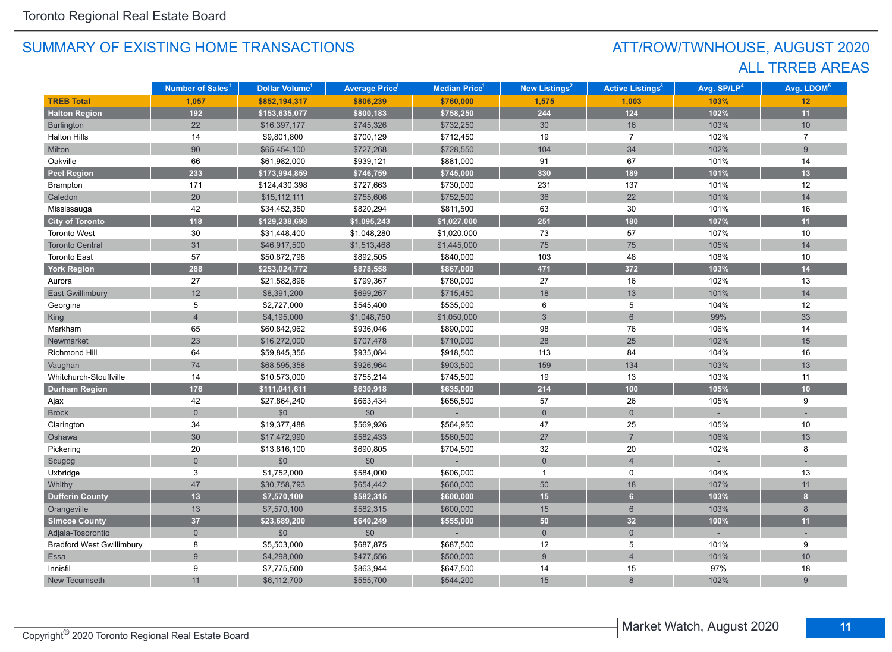# ATT/ROW/TWNHOUSE, AUGUST 2020 ALL TRREB AREAS

|                                  | Number of Sales <sup>1</sup> | Dollar Volume <sup>1</sup> | <b>Average Price</b> <sup>1</sup> | Median Price <sup>1</sup> | <b>New Listings<sup>2</sup></b> | <b>Active Listings<sup>3</sup></b> | Avg. SP/LP <sup>4</sup> | Avg. LDOM <sup>5</sup> |
|----------------------------------|------------------------------|----------------------------|-----------------------------------|---------------------------|---------------------------------|------------------------------------|-------------------------|------------------------|
| <b>TREB Total</b>                | 1,057                        | \$852,194,317              | \$806,239                         | \$760,000                 | 1,575                           | 1,003                              | 103%                    | 12                     |
| <b>Halton Region</b>             | 192                          | \$153,635,077              | \$800,183                         | \$758,250                 | 244                             | $124$                              | 102%                    | 11                     |
| Burlington                       | 22                           | \$16,397,177               | \$745,326                         | \$732,250                 | 30                              | 16                                 | 103%                    | 10                     |
| <b>Halton Hills</b>              | 14                           | \$9,801,800                | \$700,129                         | \$712,450                 | 19                              | $\overline{7}$                     | 102%                    | $\overline{7}$         |
| Milton                           | 90                           | \$65,454,100               | \$727,268                         | \$728,550                 | 104                             | 34                                 | 102%                    | 9                      |
| Oakville                         | 66                           | \$61,982,000               | \$939,121                         | \$881,000                 | 91                              | 67                                 | 101%                    | 14                     |
| <b>Peel Region</b>               | 233                          | \$173,994,859              | \$746,759                         | \$745,000                 | 330                             | 189                                | 101%                    | 13                     |
| Brampton                         | 171                          | \$124,430,398              | \$727,663                         | \$730,000                 | 231                             | 137                                | 101%                    | 12                     |
| Caledon                          | 20                           | \$15,112,111               | \$755,606                         | \$752,500                 | 36                              | 22                                 | 101%                    | 14                     |
| Mississauga                      | 42                           | \$34,452,350               | \$820,294                         | \$811,500                 | 63                              | 30                                 | 101%                    | 16                     |
| <b>City of Toronto</b>           | 118                          | \$129,238,698              | \$1,095,243                       | \$1,027,000               | 251                             | 180                                | 107%                    | 11                     |
| <b>Toronto West</b>              | 30                           | \$31,448,400               | \$1,048,280                       | \$1,020,000               | 73                              | 57                                 | 107%                    | 10                     |
| <b>Toronto Central</b>           | 31                           | \$46,917,500               | \$1,513,468                       | \$1,445,000               | 75                              | 75                                 | 105%                    | 14                     |
| <b>Toronto East</b>              | 57                           | \$50,872,798               | \$892,505                         | \$840,000                 | 103                             | 48                                 | 108%                    | 10                     |
| <b>York Region</b>               | 288                          | \$253,024,772              | \$878,558                         | \$867,000                 | 471                             | 372                                | 103%                    | 14                     |
| Aurora                           | 27                           | \$21,582,896               | \$799,367                         | \$780,000                 | 27                              | 16                                 | 102%                    | 13                     |
| <b>East Gwillimbury</b>          | 12                           | \$8,391,200                | \$699,267                         | \$715,450                 | 18                              | 13                                 | 101%                    | 14                     |
| Georgina                         | 5                            | \$2,727,000                | \$545,400                         | \$535,000                 | 6                               | 5                                  | 104%                    | 12                     |
| <b>King</b>                      | $\overline{4}$               | \$4,195,000                | \$1,048,750                       | \$1,050,000               | $\overline{3}$                  | $6\overline{6}$                    | 99%                     | 33                     |
| Markham                          | 65                           | \$60,842,962               | \$936,046                         | \$890,000                 | 98                              | 76                                 | 106%                    | 14                     |
| Newmarket                        | 23                           | \$16,272,000               | \$707,478                         | \$710,000                 | 28                              | 25                                 | 102%                    | 15                     |
| <b>Richmond Hill</b>             | 64                           | \$59,845,356               | \$935,084                         | \$918,500                 | 113                             | 84                                 | 104%                    | 16                     |
| Vaughan                          | 74                           | \$68,595,358               | \$926,964                         | \$903,500                 | 159                             | 134                                | 103%                    | 13                     |
| Whitchurch-Stouffville           | 14                           | \$10,573,000               | \$755,214                         | \$745,500                 | 19                              | 13                                 | 103%                    | 11                     |
| <b>Durham Region</b>             | 176                          | \$111,041,611              | \$630,918                         | \$635,000                 | $214$                           | 100                                | 105%                    | 10                     |
| Ajax                             | 42                           | \$27,864,240               | \$663,434                         | \$656,500                 | 57                              | 26                                 | 105%                    | 9                      |
| <b>Brock</b>                     | $\overline{0}$               | \$0                        | \$0                               |                           | $\mathbf 0$                     | $\overline{0}$                     |                         |                        |
| Clarington                       | 34                           | \$19,377,488               | \$569,926                         | \$564,950                 | 47                              | 25                                 | 105%                    | 10                     |
| Oshawa                           | 30                           | \$17,472,990               | \$582,433                         | \$560,500                 | 27                              | $\overline{7}$                     | 106%                    | 13                     |
| Pickering                        | 20                           | \$13,816,100               | \$690,805                         | \$704,500                 | 32                              | 20                                 | 102%                    | 8                      |
| Scugog                           | $\mathbf 0$                  | \$0                        | \$0                               |                           | $\mathsf{O}\xspace$             | $\overline{4}$                     |                         |                        |
| Uxbridge                         | 3                            | \$1,752,000                | \$584,000                         | \$606,000                 | $\overline{1}$                  | 0                                  | 104%                    | 13                     |
| Whitby                           | 47                           | \$30,758,793               | \$654,442                         | \$660,000                 | 50                              | 18                                 | 107%                    | 11                     |
| <b>Dufferin County</b>           | 13                           | \$7,570,100                | \$582,315                         | \$600,000                 | 15                              | $6\overline{6}$                    | 103%                    | 8                      |
| Orangeville                      | 13                           | \$7,570,100                | \$582,315                         | \$600,000                 | 15                              | $6\phantom{1}$                     | 103%                    | 8                      |
| <b>Simcoe County</b>             | 37                           | \$23,689,200               | \$640,249                         | \$555,000                 | 50                              | 32                                 | 100%                    | 11                     |
| Adjala-Tosorontio                | $\mathbf{0}$                 | \$0                        | \$0                               |                           | $\overline{0}$                  | $\mathbf{0}$                       |                         |                        |
| <b>Bradford West Gwillimbury</b> | 8                            | \$5,503,000                | \$687,875                         | \$687,500                 | 12                              | 5                                  | 101%                    | 9                      |
| Essa                             | $\overline{9}$               | \$4,298,000                | \$477,556                         | \$500,000                 | $\overline{9}$                  | $\overline{4}$                     | 101%                    | 10                     |
| Innisfil                         | 9                            | \$7,775,500                | \$863,944                         | \$647,500                 | 14                              | 15                                 | 97%                     | 18                     |
| New Tecumseth                    | 11                           | \$6,112,700                | \$555,700                         | \$544,200                 | 15                              | 8                                  | 102%                    | 9                      |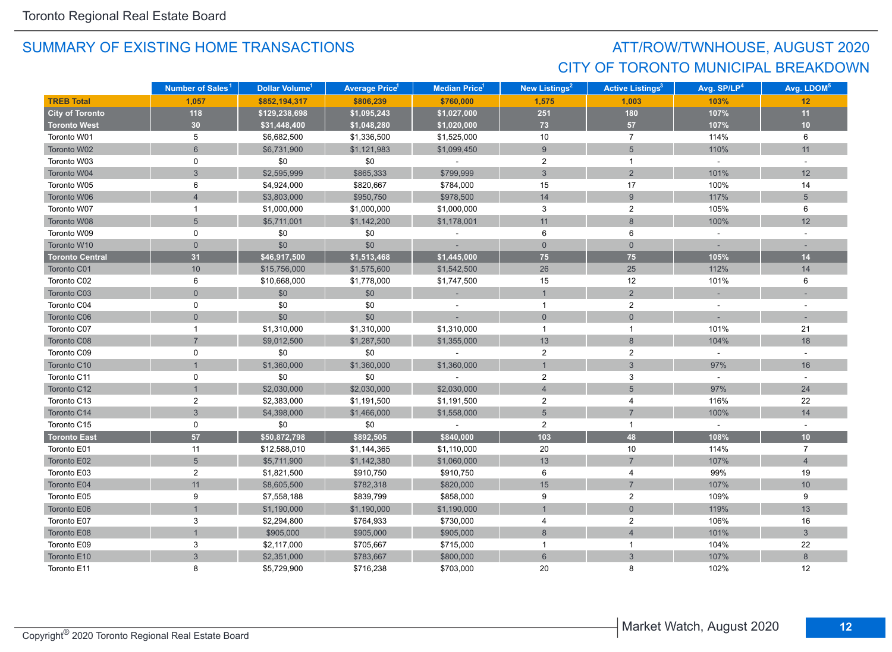# ATT/ROW/TWNHOUSE, AUGUST 2020 CITY OF TORONTO MUNICIPAL BREAKDOWN

|                        | Number of Sales <sup>1</sup> | Dollar Volume <sup>1</sup> | <b>Average Price</b> <sup>1</sup> | <b>Median Price</b> <sup>1</sup> | <b>New Listings<sup>2</sup></b> | <b>Active Listings<sup>3</sup></b> | Avg. SP/LP <sup>4</sup> | Avg. LDOM <sup>5</sup> |
|------------------------|------------------------------|----------------------------|-----------------------------------|----------------------------------|---------------------------------|------------------------------------|-------------------------|------------------------|
| <b>TREB Total</b>      | 1.057                        | \$852,194,317              | \$806,239                         | \$760,000                        | 1,575                           | 1,003                              | 103%                    | 12                     |
| <b>City of Toronto</b> | $118$                        | \$129,238,698              | \$1,095,243                       | \$1,027,000                      | 251                             | 180                                | 107%                    | 11                     |
| <b>Toronto West</b>    | 30 <sub>o</sub>              | \$31,448,400               | \$1,048,280                       | \$1,020,000                      | 73                              | 57                                 | 107%                    | 10                     |
| Toronto W01            | 5                            | \$6,682,500                | \$1,336,500                       | \$1,525,000                      | 10                              | $\overline{7}$                     | 114%                    | 6                      |
| Toronto W02            | $6\phantom{a}$               | \$6,731,900                | \$1,121,983                       | \$1,099,450                      | 9                               | $5\phantom{.0}$                    | 110%                    | 11                     |
| Toronto W03            | $\mathbf 0$                  | \$0                        | \$0                               | $\sim$                           | $\overline{2}$                  | $\mathbf{1}$                       | $\sim$                  | $\sim$                 |
| Toronto W04            | 3                            | \$2,595,999                | \$865,333                         | \$799,999                        | 3                               | $\overline{2}$                     | 101%                    | 12                     |
| Toronto W05            | 6                            | \$4,924,000                | \$820,667                         | \$784,000                        | 15                              | 17                                 | 100%                    | 14                     |
| Toronto W06            | $\overline{4}$               | \$3,803,000                | \$950,750                         | \$978,500                        | 14                              | $\boldsymbol{9}$                   | 117%                    | $5\phantom{.0}$        |
| Toronto W07            | $\mathbf{1}$                 | \$1,000,000                | \$1,000,000                       | \$1,000,000                      | 3                               | $\overline{2}$                     | 105%                    | 6                      |
| Toronto W08            | 5                            | \$5,711,001                | \$1,142,200                       | \$1,178,001                      | 11                              | $8\phantom{1}$                     | 100%                    | 12                     |
| Toronto W09            | 0                            | \$0                        | \$0                               |                                  | 6                               | 6                                  | $\omega$                |                        |
| Toronto W10            | $\overline{0}$               | \$0                        | \$0                               |                                  | $\mathbf{0}$                    | $\overline{0}$                     |                         |                        |
| <b>Toronto Central</b> | 31                           | \$46,917,500               | \$1,513,468                       | \$1,445,000                      | 75                              | 75                                 | 105%                    | 14                     |
| Toronto C01            | 10                           | \$15,756,000               | \$1,575,600                       | \$1,542,500                      | 26                              | 25                                 | 112%                    | 14                     |
| Toronto C02            | 6                            | \$10,668,000               | \$1,778,000                       | \$1,747,500                      | 15                              | 12                                 | 101%                    | 6                      |
| Toronto C03            | $\overline{0}$               | \$0                        | \$0                               |                                  | $\mathbf{1}$                    | $\overline{2}$                     |                         |                        |
| Toronto C04            | 0                            | \$0                        | \$0                               |                                  | $\overline{1}$                  | $\overline{c}$                     |                         |                        |
| Toronto C06            | $\overline{0}$               | \$0                        | \$0                               |                                  | $\mathbf{0}$                    | $\mathbf{0}$                       |                         |                        |
| Toronto C07            | 1                            | \$1,310,000                | \$1,310,000                       | \$1,310,000                      | $\overline{1}$                  | $\mathbf{1}$                       | 101%                    | 21                     |
| Toronto C08            | $\overline{7}$               | \$9,012,500                | \$1,287,500                       | \$1,355,000                      | 13                              | 8                                  | 104%                    | 18                     |
| Toronto C09            | $\mathbf 0$                  | \$0                        | \$0                               |                                  | $\overline{c}$                  | $\overline{2}$                     | $\omega$                | $\sim$                 |
| Toronto C10            |                              | \$1,360,000                | \$1,360,000                       | \$1,360,000                      | $\mathbf{1}$                    | $\mathbf{3}$                       | 97%                     | 16                     |
| Toronto C11            | 0                            | \$0                        | \$0                               | $\sim$                           | $\overline{2}$                  | $\mathsf 3$                        | $\sim$                  | $\sim$                 |
| Toronto C12            | $\mathbf{1}$                 | \$2,030,000                | \$2,030,000                       | \$2,030,000                      | $\overline{4}$                  | $\overline{5}$                     | 97%                     | 24                     |
| Toronto C13            | $\overline{2}$               | \$2,383,000                | \$1,191,500                       | \$1,191,500                      | $\overline{2}$                  | 4                                  | 116%                    | 22                     |
| Toronto C14            | $\overline{3}$               | \$4,398,000                | \$1,466,000                       | \$1,558,000                      | $5\phantom{.}$                  | $\overline{7}$                     | 100%                    | 14                     |
| Toronto C15            | 0                            | \$0                        | \$0                               |                                  | $\overline{2}$                  | $\mathbf{1}$                       | $\omega$                |                        |
| <b>Toronto East</b>    | 57                           | \$50,872,798               | \$892,505                         | \$840,000                        | 103                             | 48                                 | 108%                    | 10                     |
| Toronto E01            | 11                           | \$12,588,010               | \$1,144,365                       | \$1,110,000                      | 20                              | 10                                 | 114%                    | $\overline{7}$         |
| Toronto E02            | 5                            | \$5,711,900                | \$1,142,380                       | \$1,060,000                      | 13                              | $\overline{7}$                     | 107%                    | $\overline{4}$         |
| Toronto E03            | $\overline{2}$               | \$1,821,500                | \$910,750                         | \$910,750                        | 6                               | 4                                  | 99%                     | 19                     |
| Toronto E04            | 11                           | \$8,605,500                | \$782,318                         | \$820,000                        | 15                              | $\overline{7}$                     | 107%                    | 10                     |
| Toronto E05            | 9                            | \$7,558,188                | \$839,799                         | \$858,000                        | 9                               | $\overline{2}$                     | 109%                    | 9                      |
| Toronto E06            | $\overline{1}$               | \$1,190,000                | \$1,190,000                       | \$1,190,000                      | $\overline{1}$                  | $\overline{0}$                     | 119%                    | 13                     |
| Toronto E07            | $\mathsf 3$                  | \$2,294,800                | \$764,933                         | \$730,000                        | $\overline{4}$                  | $\overline{c}$                     | 106%                    | 16                     |
| Toronto E08            | $\overline{1}$               | \$905,000                  | \$905,000                         | \$905,000                        | $\,8\,$                         | $\overline{4}$                     | 101%                    | $\mathbf{3}$           |
| Toronto E09            | 3                            | \$2,117,000                | \$705,667                         | \$715,000                        | $\overline{1}$                  | $\mathbf{1}$                       | 104%                    | 22                     |
| Toronto E10            | $\mathbf{3}$                 | \$2,351,000                | \$783,667                         | \$800,000                        | $6\,$                           | $\mathbf{3}$                       | 107%                    | $8\phantom{1}$         |
| Toronto E11            | 8                            | \$5,729,900                | \$716,238                         | \$703,000                        | 20                              | 8                                  | 102%                    | 12                     |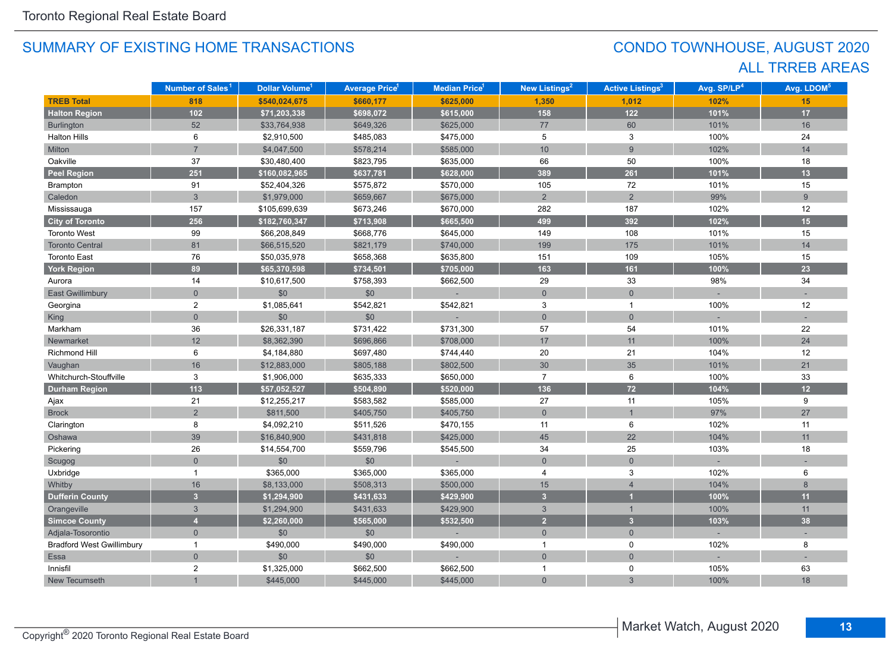# CONDO TOWNHOUSE, AUGUST 2020 ALL TRREB AREAS

|                                  | Number of Sales <sup>1</sup> | Dollar Volume <sup>1</sup> | <b>Average Price<sup>1</sup></b> | Median Price <sup>1</sup> | <b>New Listings<sup>2</sup></b> | <b>Active Listings<sup>3</sup></b> | Avg. SP/LP <sup>4</sup> | Avg. LDOM <sup>5</sup> |
|----------------------------------|------------------------------|----------------------------|----------------------------------|---------------------------|---------------------------------|------------------------------------|-------------------------|------------------------|
| <b>TREB Total</b>                | 818                          | \$540,024,675              | \$660,177                        | \$625,000                 | 1,350                           | 1,012                              | 102%                    | 15                     |
| <b>Halton Region</b>             | $102$                        | \$71,203,338               | \$698,072                        | \$615,000                 | 158                             | $122$                              | 101%                    | 17                     |
| Burlington                       | 52                           | \$33,764,938               | \$649,326                        | \$625,000                 | 77                              | 60                                 | 101%                    | 16                     |
| <b>Halton Hills</b>              | 6                            | \$2,910,500                | \$485,083                        | \$475,000                 | 5                               | 3                                  | 100%                    | 24                     |
| Milton                           | $\overline{7}$               | \$4,047,500                | \$578,214                        | \$585,000                 | 10                              | $\overline{9}$                     | 102%                    | 14                     |
| Oakville                         | 37                           | \$30,480,400               | \$823,795                        | \$635,000                 | 66                              | 50                                 | 100%                    | 18                     |
| <b>Peel Region</b>               | 251                          | \$160,082,965              | \$637,781                        | \$628,000                 | 389                             | 261                                | 101%                    | 13                     |
| Brampton                         | 91                           | \$52,404,326               | \$575,872                        | \$570,000                 | 105                             | $72\,$                             | 101%                    | 15                     |
| Caledon                          | $\mathbf{3}$                 | \$1,979,000                | \$659,667                        | \$675,000                 | $\overline{2}$                  | $\overline{2}$                     | 99%                     | 9                      |
| Mississauga                      | 157                          | \$105,699,639              | \$673,246                        | \$670,000                 | 282                             | 187                                | 102%                    | $12$                   |
| <b>City of Toronto</b>           | 256                          | \$182,760,347              | \$713,908                        | \$665,500                 | 499                             | 392                                | 102%                    | 15                     |
| <b>Toronto West</b>              | 99                           | \$66,208,849               | \$668,776                        | \$645,000                 | 149                             | 108                                | 101%                    | 15                     |
| <b>Toronto Central</b>           | 81                           | \$66,515,520               | \$821,179                        | \$740,000                 | 199                             | 175                                | 101%                    | 14                     |
| <b>Toronto East</b>              | 76                           | \$50,035,978               | \$658,368                        | \$635,800                 | 151                             | 109                                | 105%                    | 15                     |
| <b>York Region</b>               | 89                           | \$65,370,598               | \$734,501                        | \$705,000                 | 163                             | 161                                | 100%                    | 23                     |
| Aurora                           | 14                           | \$10,617,500               | \$758,393                        | \$662,500                 | 29                              | 33                                 | 98%                     | 34                     |
| <b>East Gwillimbury</b>          | $\overline{0}$               | \$0                        | \$0                              |                           | $\mathbf{0}$                    | $\overline{0}$                     |                         |                        |
| Georgina                         | $\overline{2}$               | \$1,085,641                | \$542,821                        | \$542,821                 | 3                               | $\mathbf{1}$                       | 100%                    | 12                     |
| <b>King</b>                      | $\Omega$                     | \$0                        | \$0                              |                           | $\overline{0}$                  | $\overline{0}$                     |                         |                        |
| Markham                          | 36                           | \$26,331,187               | \$731,422                        | \$731,300                 | 57                              | 54                                 | 101%                    | 22                     |
| Newmarket                        | 12                           | \$8,362,390                | \$696,866                        | \$708,000                 | 17                              | 11                                 | 100%                    | 24                     |
| <b>Richmond Hill</b>             | 6                            | \$4,184,880                | \$697,480                        | \$744,440                 | 20                              | 21                                 | 104%                    | 12                     |
| Vaughan                          | 16                           | \$12,883,000               | \$805,188                        | \$802,500                 | 30 <sup>°</sup>                 | 35                                 | 101%                    | 21                     |
| Whitchurch-Stouffville           | 3                            | \$1,906,000                | \$635,333                        | \$650,000                 | $\overline{7}$                  | 6                                  | 100%                    | 33                     |
| <b>Durham Region</b>             | 113                          | \$57,052,527               | \$504,890                        | \$520,000                 | 136                             | $72$                               | 104%                    | 12                     |
| Ajax                             | 21                           | \$12,255,217               | \$583,582                        | \$585,000                 | 27                              | 11                                 | 105%                    | 9                      |
| <b>Brock</b>                     | $\overline{2}$               | \$811,500                  | \$405,750                        | \$405,750                 | $\mathsf{O}\xspace$             | $\overline{1}$                     | 97%                     | 27                     |
| Clarington                       | 8                            | \$4,092,210                | \$511,526                        | \$470,155                 | 11                              | 6                                  | 102%                    | 11                     |
| Oshawa                           | 39                           | \$16,840,900               | \$431,818                        | \$425,000                 | 45                              | 22                                 | 104%                    | 11                     |
| Pickering                        | 26                           | \$14,554,700               | \$559,796                        | \$545,500                 | 34                              | 25                                 | 103%                    | 18                     |
| Scugog                           | $\mathbf 0$                  | \$0                        | \$0                              |                           | $\mathbf 0$                     | $\mathbf 0$                        |                         |                        |
| Uxbridge                         | $\overline{1}$               | \$365,000                  | \$365,000                        | \$365,000                 | 4                               | 3                                  | 102%                    | 6                      |
| Whitby                           | 16                           | \$8,133,000                | \$508,313                        | \$500,000                 | 15                              | $\overline{4}$                     | 104%                    | 8                      |
| <b>Dufferin County</b>           | 3 <sup>1</sup>               | \$1,294,900                | \$431,633                        | \$429,900                 | $\overline{3}$                  |                                    | 100%                    | 11                     |
| Orangeville                      | 3                            | \$1,294,900                | \$431,633                        | \$429,900                 | $\mathbf{3}$                    | $\overline{1}$                     | 100%                    | 11                     |
| <b>Simcoe County</b>             | $\overline{4}$               | \$2,260,000                | \$565,000                        | \$532,500                 | $\overline{2}$                  | 3 <sup>1</sup>                     | 103%                    | 38                     |
| Adjala-Tosorontio                | $\mathbf{0}$                 | \$0                        | \$0                              |                           | $\overline{0}$                  | $\mathbf{0}$                       |                         |                        |
| <b>Bradford West Gwillimbury</b> | $\overline{1}$               | \$490,000                  | \$490,000                        | \$490,000                 | $\overline{1}$                  | 0                                  | 102%                    | 8                      |
| Essa                             | $\overline{0}$               | \$0                        | \$0                              |                           | $\mathbf 0$                     | $\overline{0}$                     |                         |                        |
| Innisfil                         | $\overline{c}$               | \$1,325,000                | \$662,500                        | \$662,500                 | $\mathbf{1}$                    | 0                                  | 105%                    | 63                     |
| New Tecumseth                    |                              | \$445,000                  | \$445,000                        | \$445,000                 | $\mathbf 0$                     | 3                                  | 100%                    | 18                     |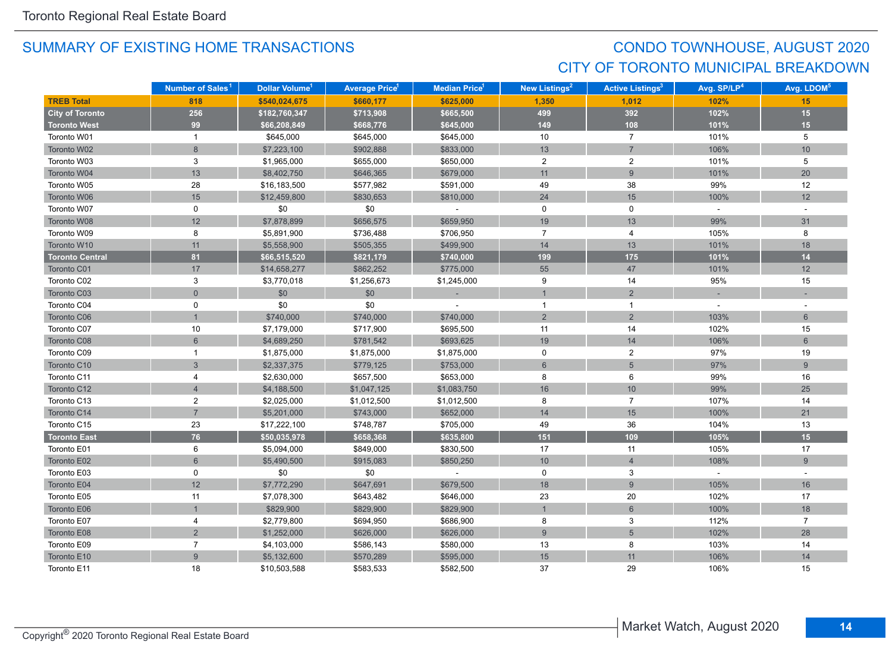# CONDO TOWNHOUSE, AUGUST 2020 CITY OF TORONTO MUNICIPAL BREAKDOWN

|                        | Number of Sales <sup>1</sup> | Dollar Volume <sup>1</sup> | <b>Average Price</b> <sup>1</sup> | <b>Median Price<sup>1</sup></b> | <b>New Listings<sup>2</sup></b> | <b>Active Listings<sup>3</sup></b> | Avg. SP/LP <sup>4</sup> | Avg. LDOM <sup>5</sup> |
|------------------------|------------------------------|----------------------------|-----------------------------------|---------------------------------|---------------------------------|------------------------------------|-------------------------|------------------------|
| <b>TREB Total</b>      | 818                          | \$540,024,675              | \$660,177                         | \$625,000                       | 1,350                           | 1,012                              | 102%                    | 15                     |
| <b>City of Toronto</b> | 256                          | \$182,760,347              | \$713,908                         | \$665,500                       | 499                             | 392                                | 102%                    | 15                     |
| <b>Toronto West</b>    | 99                           | \$66,208,849               | \$668,776                         | \$645,000                       | 149                             | 108                                | 101%                    | 15                     |
| Toronto W01            | $\mathbf{1}$                 | \$645,000                  | \$645,000                         | \$645,000                       | 10                              | $\overline{7}$                     | 101%                    | 5                      |
| Toronto W02            | 8                            | \$7,223,100                | \$902,888                         | \$833,000                       | 13                              | $\overline{7}$                     | 106%                    | 10                     |
| Toronto W03            | 3                            | \$1,965,000                | \$655,000                         | \$650,000                       | $\overline{2}$                  | $\overline{2}$                     | 101%                    | 5                      |
| Toronto W04            | 13                           | \$8,402,750                | \$646,365                         | \$679,000                       | 11                              | 9                                  | 101%                    | 20                     |
| Toronto W05            | 28                           | \$16,183,500               | \$577,982                         | \$591,000                       | 49                              | 38                                 | 99%                     | 12                     |
| Toronto W06            | 15                           | \$12,459,800               | \$830,653                         | \$810,000                       | 24                              | 15                                 | 100%                    | 12                     |
| Toronto W07            | $\mathbf 0$                  | \$0                        | \$0                               | $\sim$                          | $\mathsf{O}$                    | $\mathbf 0$                        | $\sim$                  | $\sim$                 |
| Toronto W08            | 12                           | \$7,878,899                | \$656,575                         | \$659,950                       | 19                              | 13                                 | 99%                     | 31                     |
| Toronto W09            | 8                            | \$5,891,900                | \$736,488                         | \$706,950                       | $\overline{7}$                  | 4                                  | 105%                    | 8                      |
| Toronto W10            | 11                           | \$5,558,900                | \$505,355                         | \$499,900                       | 14                              | 13                                 | 101%                    | 18                     |
| <b>Toronto Central</b> | 81                           | \$66,515,520               | \$821,179                         | \$740,000                       | 199                             | 175                                | 101%                    | 14                     |
| Toronto C01            | 17                           | \$14,658,277               | \$862,252                         | \$775,000                       | 55                              | 47                                 | 101%                    | 12                     |
| Toronto C02            | 3                            | \$3,770,018                | \$1,256,673                       | \$1,245,000                     | 9                               | 14                                 | 95%                     | 15                     |
| Toronto C03            | $\overline{0}$               | \$0                        | \$0                               |                                 | $\mathbf{1}$                    | 2                                  |                         |                        |
| Toronto C04            | 0                            | \$0                        | \$0                               |                                 | $\overline{1}$                  | $\mathbf{1}$                       |                         |                        |
| Toronto C06            |                              | \$740,000                  | \$740,000                         | \$740,000                       | $\overline{c}$                  | $\overline{2}$                     | 103%                    | $6\phantom{1}$         |
| Toronto C07            | 10                           | \$7,179,000                | \$717,900                         | \$695,500                       | 11                              | 14                                 | 102%                    | 15                     |
| Toronto C08            | $6\overline{6}$              | \$4,689,250                | \$781,542                         | \$693,625                       | 19                              | 14                                 | 106%                    | $6\overline{6}$        |
| Toronto C09            | 1                            | \$1,875,000                | \$1,875,000                       | \$1,875,000                     | 0                               | $\overline{2}$                     | 97%                     | 19                     |
| Toronto C10            | $\overline{3}$               | \$2,337,375                | \$779,125                         | \$753,000                       | $\,6\,$                         | $5\phantom{.}$                     | 97%                     | 9                      |
| Toronto C11            | 4                            | \$2,630,000                | \$657,500                         | \$653,000                       | 8                               | 6                                  | 99%                     | 16                     |
| Toronto C12            | $\overline{4}$               | \$4,188,500                | \$1,047,125                       | \$1,083,750                     | 16                              | $10$                               | 99%                     | 25                     |
| Toronto C13            | $\overline{2}$               | \$2,025,000                | \$1,012,500                       | \$1,012,500                     | 8                               | $\overline{7}$                     | 107%                    | 14                     |
| Toronto C14            | $\overline{7}$               | \$5,201,000                | \$743,000                         | \$652,000                       | 14                              | 15                                 | 100%                    | 21                     |
| Toronto C15            | 23                           | \$17,222,100               | \$748,787                         | \$705,000                       | 49                              | 36                                 | 104%                    | 13                     |
| <b>Toronto East</b>    | 76                           | \$50,035,978               | \$658,368                         | \$635,800                       | 151                             | 109                                | 105%                    | 15                     |
| Toronto E01            | 6                            | \$5,094,000                | \$849,000                         | \$830,500                       | 17                              | 11                                 | 105%                    | 17                     |
| Toronto E02            | $6\phantom{a}$               | \$5,490,500                | \$915,083                         | \$850,250                       | $10$                            | $\overline{4}$                     | 108%                    | 9                      |
| Toronto E03            | 0                            | \$0                        | \$0                               | $\omega$                        | $\mathbf 0$                     | 3                                  | $\omega$                | $\sim$                 |
| Toronto E04            | 12                           | \$7,772,290                | \$647,691                         | \$679,500                       | 18                              | 9                                  | 105%                    | 16                     |
| Toronto E05            | 11                           | \$7,078,300                | \$643,482                         | \$646,000                       | 23                              | 20                                 | 102%                    | 17                     |
| Toronto E06            |                              | \$829,900                  | \$829,900                         | \$829,900                       | $\overline{1}$                  | $6\phantom{1}$                     | 100%                    | 18                     |
| Toronto E07            | 4                            | \$2,779,800                | \$694,950                         | \$686,900                       | 8                               | $\mathsf 3$                        | 112%                    | $\overline{7}$         |
| Toronto E08            | $\overline{2}$               | \$1,252,000                | \$626,000                         | \$626,000                       | 9                               | $\sqrt{5}$                         | 102%                    | 28                     |
| Toronto E09            | $\overline{7}$               | \$4,103,000                | \$586,143                         | \$580,000                       | 13                              | 8                                  | 103%                    | 14                     |
| Toronto E10            | $\overline{9}$               | \$5,132,600                | \$570,289                         | \$595,000                       | 15                              | 11                                 | 106%                    | 14                     |
| Toronto E11            | 18                           | \$10,503,588               | \$583,533                         | \$582,500                       | 37                              | 29                                 | 106%                    | 15                     |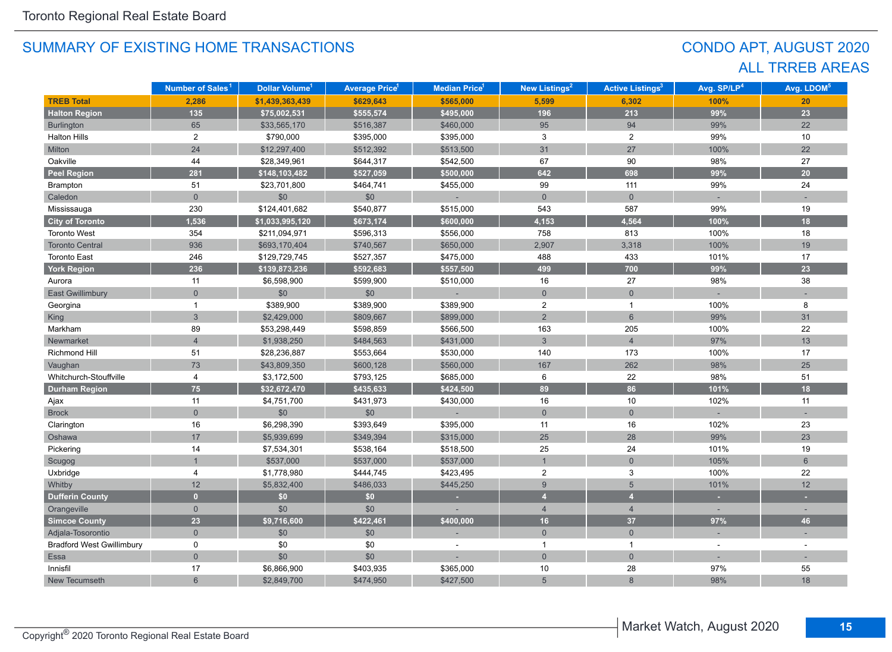# CONDO APT, AUGUST 2020 ALL TRREB AREAS

|                                  | Number of Sales <sup>1</sup> | Dollar Volume <sup>1</sup> | <b>Average Price</b> <sup>1</sup> | <b>Median Price<sup>1</sup></b> | New Listings <sup>2</sup> | <b>Active Listings<sup>3</sup></b> | Avg. SP/LP <sup>4</sup> | Avg. LDOM <sup>5</sup> |
|----------------------------------|------------------------------|----------------------------|-----------------------------------|---------------------------------|---------------------------|------------------------------------|-------------------------|------------------------|
| <b>TREB Total</b>                | 2,286                        | \$1,439,363,439            | \$629,643                         | \$565,000                       | 5,599                     | 6,302                              | 100%                    | 20                     |
| <b>Halton Region</b>             | 135                          | \$75,002,531               | \$555,574                         | \$495,000                       | 196                       | 213                                | 99%                     | 23                     |
| <b>Burlington</b>                | 65                           | \$33,565,170               | \$516,387                         | \$460,000                       | 95                        | 94                                 | 99%                     | 22                     |
| <b>Halton Hills</b>              | $\overline{2}$               | \$790,000                  | \$395,000                         | \$395,000                       | 3                         | $\overline{2}$                     | 99%                     | 10                     |
| Milton                           | 24                           | \$12,297,400               | \$512,392                         | \$513,500                       | 31                        | 27                                 | 100%                    | 22                     |
| Oakville                         | 44                           | \$28,349,961               | \$644,317                         | \$542,500                       | 67                        | 90                                 | 98%                     | 27                     |
| <b>Peel Region</b>               | 281                          | \$148,103,482              | \$527,059                         | \$500,000                       | 642                       | 698                                | 99%                     | $20\degree$            |
| Brampton                         | 51                           | \$23,701,800               | \$464,741                         | \$455,000                       | 99                        | 111                                | 99%                     | 24                     |
| Caledon                          | $\overline{0}$               | \$0                        | \$0                               |                                 | $\overline{0}$            | $\overline{0}$                     |                         |                        |
| Mississauga                      | 230                          | \$124,401,682              | \$540,877                         | \$515,000                       | 543                       | 587                                | 99%                     | 19                     |
| <b>City of Toronto</b>           | 1,536                        | \$1,033,995,120            | \$673,174                         | \$600,000                       | 4,153                     | 4,564                              | 100%                    | 18                     |
| <b>Toronto West</b>              | 354                          | \$211,094,971              | \$596,313                         | \$556,000                       | 758                       | 813                                | 100%                    | 18                     |
| <b>Toronto Central</b>           | 936                          | \$693,170,404              | \$740,567                         | \$650,000                       | 2,907                     | 3,318                              | 100%                    | 19                     |
| <b>Toronto East</b>              | 246                          | \$129,729,745              | \$527,357                         | \$475,000                       | 488                       | 433                                | 101%                    | 17                     |
| <b>York Region</b>               | 236                          | \$139,873,236              | \$592,683                         | \$557,500                       | 499                       | 700                                | 99%                     | 23                     |
| Aurora                           | 11                           | \$6,598,900                | \$599,900                         | \$510,000                       | 16                        | 27                                 | 98%                     | 38                     |
| <b>East Gwillimbury</b>          | $\Omega$                     | \$0                        | \$0                               |                                 | $\overline{0}$            | $\overline{0}$                     |                         |                        |
| Georgina                         | $\mathbf{1}$                 | \$389,900                  | \$389,900                         | \$389,900                       | $\overline{2}$            | $\mathbf{1}$                       | 100%                    | 8                      |
| <b>King</b>                      | $\overline{3}$               | \$2,429,000                | \$809,667                         | \$899,000                       | $\overline{2}$            | $6\overline{6}$                    | 99%                     | 31                     |
| Markham                          | 89                           | \$53,298,449               | \$598,859                         | \$566,500                       | 163                       | 205                                | 100%                    | $22\,$                 |
| Newmarket                        | $\overline{4}$               | \$1,938,250                | \$484,563                         | \$431,000                       | $\mathfrak{S}$            | $\overline{4}$                     | 97%                     | 13                     |
| Richmond Hill                    | 51                           | \$28,236,887               | \$553,664                         | \$530,000                       | 140                       | 173                                | 100%                    | 17                     |
| Vaughan                          | 73                           | \$43,809,350               | \$600,128                         | \$560,000                       | 167                       | 262                                | 98%                     | 25                     |
| Whitchurch-Stouffville           | 4                            | \$3,172,500                | \$793,125                         | \$685,000                       | 6                         | 22                                 | 98%                     | 51                     |
| <b>Durham Region</b>             | 75                           | \$32,672,470               | \$435,633                         | \$424,500                       | 89                        | 86                                 | 101%                    | 18                     |
| Ajax                             | 11                           | \$4,751,700                | \$431,973                         | \$430,000                       | 16                        | 10                                 | 102%                    | 11                     |
| <b>Brock</b>                     | $\overline{0}$               | \$0                        | $$0$$                             |                                 | $\overline{0}$            | $\overline{0}$                     |                         |                        |
| Clarington                       | $16\,$                       | \$6,298,390                | \$393,649                         | \$395,000                       | 11                        | 16                                 | 102%                    | 23                     |
| Oshawa                           | 17                           | \$5,939,699                | \$349,394                         | \$315,000                       | 25                        | 28                                 | 99%                     | 23                     |
| Pickering                        | 14                           | \$7,534,301                | \$538,164                         | \$518,500                       | 25                        | 24                                 | 101%                    | 19                     |
| Scugog                           | $\mathbf{1}$                 | \$537,000                  | \$537,000                         | \$537,000                       | $\mathbf{1}$              | $\mathbf 0$                        | 105%                    | $6\phantom{1}$         |
| Uxbridge                         | 4                            | \$1,778,980                | \$444,745                         | \$423,495                       | $\overline{2}$            | 3                                  | 100%                    | 22                     |
| Whitby                           | 12                           | \$5,832,400                | \$486,033                         | \$445,250                       | $\boldsymbol{9}$          | 5                                  | 101%                    | 12                     |
| <b>Dufferin County</b>           | $\overline{0}$               | \$0                        | \$0                               |                                 | $\overline{4}$            | $\overline{4}$                     | ٠                       |                        |
| Orangeville                      | $\overline{0}$               | \$0                        | \$0                               |                                 | $\overline{4}$            | $\overline{4}$                     |                         |                        |
| <b>Simcoe County</b>             | 23                           | \$9,716,600                | \$422,461                         | \$400,000                       | 16                        | 37                                 | 97%                     | 46                     |
| Adjala-Tosorontio                | $\overline{0}$               | \$0                        | \$0                               |                                 | $\overline{0}$            | $\overline{0}$                     | ÷                       |                        |
| <b>Bradford West Gwillimbury</b> | 0                            | \$0                        | \$0                               |                                 | $\mathbf{1}$              | $\mathbf{1}$                       | $\sim$                  |                        |
| Essa                             | $\overline{0}$               | \$0                        | \$0                               |                                 | $\overline{0}$            | $\overline{0}$                     |                         |                        |
| Innisfil                         | 17                           | \$6,866,900                | \$403,935                         | \$365,000                       | 10                        | 28                                 | 97%                     | 55                     |
| New Tecumseth                    | $6\overline{6}$              | \$2,849,700                | \$474,950                         | \$427,500                       | 5                         | 8                                  | 98%                     | 18                     |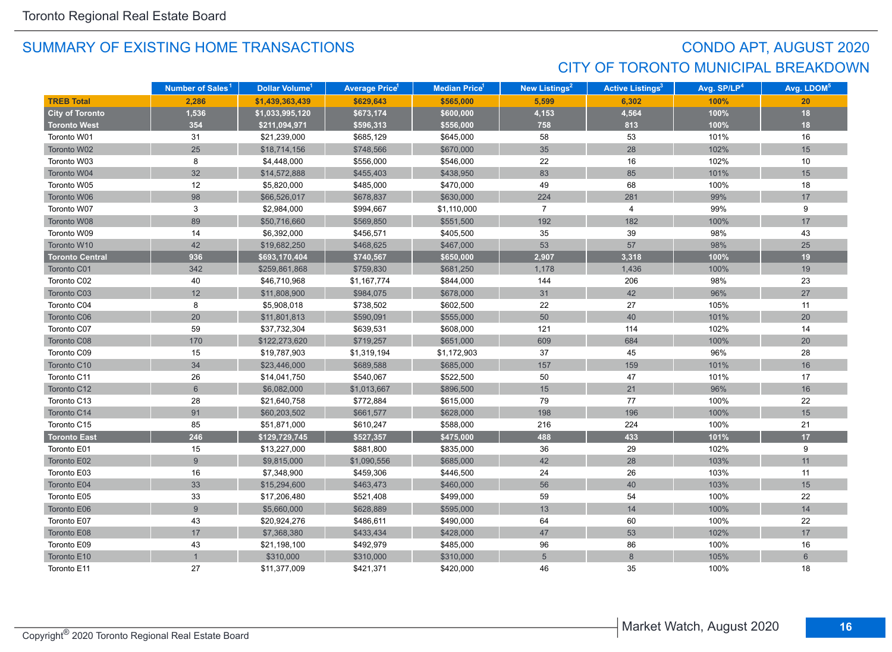# CONDO APT, AUGUST 2020 CITY OF TORONTO MUNICIPAL BREAKDOWN

|                        | Number of Sales <sup>1</sup> | Dollar Volume <sup>1</sup> | <b>Average Price</b> <sup>1</sup> | <b>Median Price</b> <sup>1</sup> | New Listings <sup>2</sup> | <b>Active Listings<sup>3</sup></b> | Avg. SP/LP <sup>4</sup> | Avg. LDOM <sup>5</sup> |
|------------------------|------------------------------|----------------------------|-----------------------------------|----------------------------------|---------------------------|------------------------------------|-------------------------|------------------------|
| <b>TREB Total</b>      | 2,286                        | \$1,439,363,439            | \$629,643                         | \$565,000                        | 5,599                     | 6,302                              | 100%                    | 20                     |
| <b>City of Toronto</b> | 1,536                        | \$1,033,995,120            | \$673,174                         | \$600,000                        | 4,153                     | 4,564                              | 100%                    | 18                     |
| <b>Toronto West</b>    | 354                          | \$211,094,971              | \$596,313                         | \$556,000                        | 758                       | 813                                | 100%                    | 18                     |
| Toronto W01            | 31                           | \$21,239,000               | \$685,129                         | \$645,000                        | 58                        | 53                                 | 101%                    | 16                     |
| Toronto W02            | 25                           | \$18,714,156               | \$748,566                         | \$670,000                        | 35                        | 28                                 | 102%                    | 15                     |
| Toronto W03            | 8                            | \$4,448,000                | \$556,000                         | \$546,000                        | 22                        | 16                                 | 102%                    | 10                     |
| Toronto W04            | 32                           | \$14,572,888               | \$455,403                         | \$438,950                        | 83                        | 85                                 | 101%                    | 15                     |
| Toronto W05            | 12                           | \$5,820,000                | \$485,000                         | \$470,000                        | 49                        | 68                                 | 100%                    | 18                     |
| Toronto W06            | 98                           | \$66,526,017               | \$678,837                         | \$630,000                        | 224                       | 281                                | 99%                     | 17                     |
| Toronto W07            | 3                            | \$2,984,000                | \$994,667                         | \$1,110,000                      | $\overline{7}$            | 4                                  | 99%                     | 9                      |
| Toronto W08            | 89                           | \$50,716,660               | \$569,850                         | \$551,500                        | 192                       | 182                                | 100%                    | 17                     |
| Toronto W09            | 14                           | \$6,392,000                | \$456,571                         | \$405,500                        | 35                        | 39                                 | 98%                     | 43                     |
| Toronto W10            | 42                           | \$19,682,250               | \$468,625                         | \$467,000                        | 53                        | 57                                 | 98%                     | 25                     |
| <b>Toronto Central</b> | 936                          | \$693,170,404              | \$740,567                         | \$650,000                        | 2,907                     | 3,318                              | 100%                    | 19                     |
| Toronto C01            | 342                          | \$259,861,868              | \$759,830                         | \$681,250                        | 1,178                     | 1,436                              | 100%                    | 19                     |
| Toronto C02            | 40                           | \$46,710,968               | \$1,167,774                       | \$844,000                        | 144                       | 206                                | 98%                     | 23                     |
| Toronto C03            | 12                           | \$11,808,900               | \$984,075                         | \$678,000                        | 31                        | 42                                 | 96%                     | 27                     |
| Toronto C04            | 8                            | \$5,908,018                | \$738,502                         | \$602,500                        | 22                        | 27                                 | 105%                    | 11                     |
| Toronto C06            | $20\,$                       | \$11,801,813               | \$590,091                         | \$555,000                        | 50                        | 40                                 | 101%                    | 20                     |
| Toronto C07            | 59                           | \$37,732,304               | \$639,531                         | \$608,000                        | 121                       | 114                                | 102%                    | 14                     |
| Toronto C08            | 170                          | \$122,273,620              | \$719,257                         | \$651,000                        | 609                       | 684                                | 100%                    | 20                     |
| Toronto C09            | 15                           | \$19,787,903               | \$1,319,194                       | \$1,172,903                      | 37                        | 45                                 | 96%                     | 28                     |
| Toronto C10            | 34                           | \$23,446,000               | \$689,588                         | \$685,000                        | 157                       | 159                                | 101%                    | 16                     |
| Toronto C11            | 26                           | \$14,041,750               | \$540,067                         | \$522,500                        | 50                        | 47                                 | 101%                    | 17                     |
| Toronto C12            | 6                            | \$6,082,000                | \$1,013,667                       | \$896,500                        | 15                        | 21                                 | 96%                     | 16                     |
| Toronto C13            | 28                           | \$21,640,758               | \$772,884                         | \$615,000                        | 79                        | 77                                 | 100%                    | 22                     |
| Toronto C14            | 91                           | \$60,203,502               | \$661,577                         | \$628,000                        | 198                       | 196                                | 100%                    | 15                     |
| Toronto C15            | 85                           | \$51,871,000               | \$610,247                         | \$588,000                        | 216                       | 224                                | 100%                    | 21                     |
| <b>Toronto East</b>    | 246                          | \$129,729,745              | \$527,357                         | \$475,000                        | 488                       | 433                                | 101%                    | 17                     |
| Toronto E01            | 15                           | \$13,227,000               | \$881,800                         | \$835,000                        | 36                        | 29                                 | 102%                    | 9                      |
| Toronto E02            | 9                            | \$9,815,000                | \$1,090,556                       | \$685,000                        | 42                        | 28                                 | 103%                    | 11                     |
| Toronto E03            | 16                           | \$7,348,900                | \$459,306                         | \$446,500                        | 24                        | 26                                 | 103%                    | 11                     |
| Toronto E04            | 33                           | \$15,294,600               | \$463,473                         | \$460,000                        | 56                        | 40                                 | 103%                    | 15                     |
| Toronto E05            | 33                           | \$17,206,480               | \$521,408                         | \$499,000                        | 59                        | 54                                 | 100%                    | 22                     |
| Toronto E06            | 9                            | \$5,660,000                | \$628,889                         | \$595,000                        | 13                        | 14                                 | 100%                    | 14                     |
| Toronto E07            | 43                           | \$20,924,276               | \$486,611                         | \$490,000                        | 64                        | 60                                 | 100%                    | 22                     |
| Toronto E08            | $17$                         | \$7,368,380                | \$433,434                         | \$428,000                        | 47                        | 53                                 | 102%                    | 17                     |
| Toronto E09            | 43                           | \$21,198,100               | \$492,979                         | \$485,000                        | 96                        | 86                                 | 100%                    | 16                     |
| Toronto E10            |                              | \$310,000                  | \$310,000                         | \$310,000                        | 5                         | 8                                  | 105%                    | $6\phantom{1}$         |
| Toronto E11            | 27                           | \$11,377,009               | \$421,371                         | \$420,000                        | 46                        | 35                                 | 100%                    | 18                     |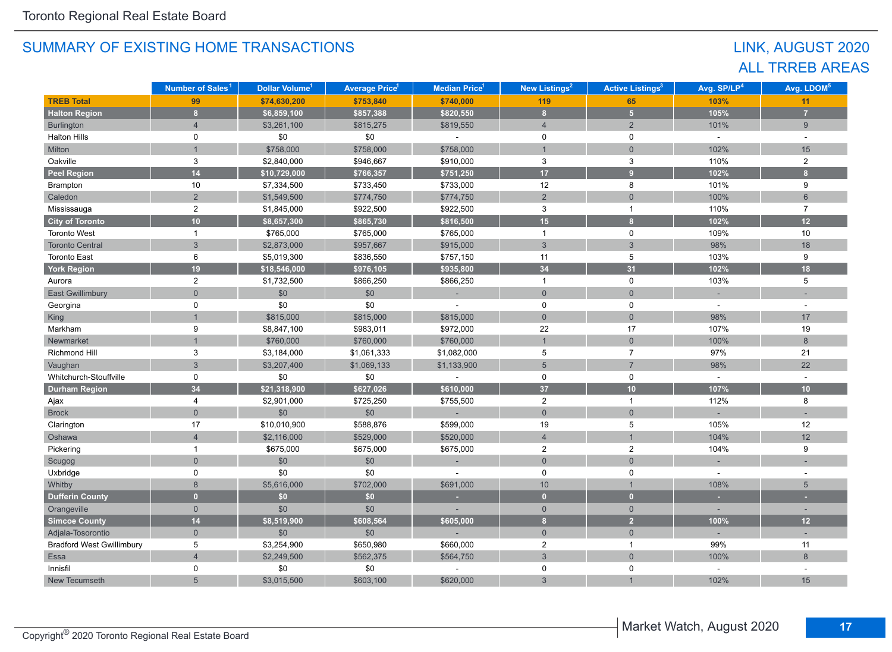# LINK, AUGUST 2020 ALL TRREB AREAS

|                                  | Number of Sales <sup>1</sup> | Dollar Volume <sup>1</sup> | <b>Average Price<sup>1</sup></b> | <b>Median Price</b> <sup>1</sup> | <b>New Listings<sup>2</sup></b> | <b>Active Listings<sup>3</sup></b> | Avg. SP/LP <sup>4</sup> | Avg. LDOM <sup>5</sup>  |
|----------------------------------|------------------------------|----------------------------|----------------------------------|----------------------------------|---------------------------------|------------------------------------|-------------------------|-------------------------|
| <b>TREB Total</b>                | 99                           | \$74,630,200               | \$753,840                        | \$740,000                        | 119                             | 65                                 | 103%                    | 11                      |
| <b>Halton Region</b>             | 8 <sup>1</sup>               | \$6,859,100                | \$857,388                        | \$820,550                        | $\bf{8}$                        | 5 <sup>1</sup>                     | 105%                    | $\overline{7}$          |
| Burlington                       | $\overline{4}$               | \$3,261,100                | \$815,275                        | \$819,550                        | $\overline{4}$                  | 2                                  | 101%                    | 9                       |
| <b>Halton Hills</b>              | 0                            | \$0                        | \$0                              | $\overline{a}$                   | $\mathbf 0$                     | $\mathbf 0$                        | $\omega$                | $\sim$                  |
| Milton                           |                              | \$758,000                  | \$758,000                        | \$758,000                        | $\mathbf{1}$                    | $\overline{0}$                     | 102%                    | 15                      |
| Oakville                         | $\mathbf{3}$                 | \$2,840,000                | \$946,667                        | \$910,000                        | $\mathbf 3$                     | 3                                  | 110%                    | $\overline{2}$          |
| <b>Peel Region</b>               | 14                           | \$10,729,000               | \$766,357                        | \$751,250                        | 17 <sup>2</sup>                 | 9 <sup>°</sup>                     | 102%                    | $\overline{\mathbf{8}}$ |
| Brampton                         | 10                           | \$7,334,500                | \$733,450                        | \$733,000                        | 12                              | 8                                  | 101%                    | 9                       |
| Caledon                          | $\overline{2}$               | \$1,549,500                | \$774,750                        | \$774,750                        | $\sqrt{2}$                      | $\mathbf 0$                        | 100%                    | $6\phantom{1}$          |
| Mississauga                      | $\overline{c}$               | \$1,845,000                | \$922,500                        | \$922,500                        | 3                               | $\mathbf{1}$                       | 110%                    | $\overline{7}$          |
| <b>City of Toronto</b>           | 10 <sup>1</sup>              | \$8,657,300                | \$865,730                        | \$816,500                        | 15                              | $\overline{\mathbf{8}}$            | 102%                    | $12$                    |
| <b>Toronto West</b>              | $\mathbf{1}$                 | \$765,000                  | \$765,000                        | \$765,000                        | $\mathbf{1}$                    | $\mathbf 0$                        | 109%                    | 10                      |
| <b>Toronto Central</b>           | $\mathfrak{S}$               | \$2,873,000                | \$957,667                        | \$915,000                        | $\mathbf{3}$                    | $\mathbf{3}$                       | 98%                     | 18                      |
| <b>Toronto East</b>              | 6                            | \$5,019,300                | \$836,550                        | \$757,150                        | 11                              | 5                                  | 103%                    | 9                       |
| <b>York Region</b>               | 19                           | \$18,546,000               | \$976,105                        | \$935,800                        | 34                              | 31                                 | 102%                    | 18                      |
| Aurora                           | $\overline{2}$               | \$1,732,500                | \$866,250                        | \$866,250                        | $\mathbf{1}$                    | 0                                  | 103%                    | 5                       |
| <b>East Gwillimbury</b>          | $\Omega$                     | \$0                        | \$0                              | ×,                               | $\overline{0}$                  | $\overline{0}$                     |                         |                         |
| Georgina                         | 0                            | \$0                        | \$0                              |                                  | 0                               | 0                                  |                         |                         |
| King                             |                              | \$815,000                  | \$815,000                        | \$815,000                        | $\overline{0}$                  | $\overline{0}$                     | 98%                     | 17                      |
| Markham                          | 9                            | \$8,847,100                | \$983,011                        | \$972,000                        | 22                              | 17                                 | 107%                    | 19                      |
| Newmarket                        |                              | \$760,000                  | \$760,000                        | \$760,000                        | $\mathbf{1}$                    | $\overline{0}$                     | 100%                    | 8                       |
| Richmond Hill                    | 3                            | \$3,184,000                | \$1,061,333                      | \$1,082,000                      | 5                               | $\overline{7}$                     | 97%                     | 21                      |
| Vaughan                          | $\overline{3}$               | \$3,207,400                | \$1,069,133                      | \$1,133,900                      | $5\overline{5}$                 | $\overline{7}$                     | 98%                     | 22                      |
| Whitchurch-Stouffville           | 0                            | \$0                        | \$0                              |                                  | $\mathbf 0$                     | $\mathbf 0$                        |                         |                         |
| <b>Durham Region</b>             | 34                           | \$21,318,900               | \$627,026                        | \$610,000                        | 37                              | 10                                 | 107%                    | 10                      |
| Ajax                             | 4                            | \$2,901,000                | \$725,250                        | \$755,500                        | $\overline{2}$                  | $\mathbf{1}$                       | 112%                    | 8                       |
| <b>Brock</b>                     | $\Omega$                     | \$0                        | \$0                              |                                  | $\mathsf{O}\xspace$             | $\mathbf 0$                        |                         |                         |
| Clarington                       | 17                           | \$10,010,900               | \$588,876                        | \$599,000                        | 19                              | 5                                  | 105%                    | 12                      |
| Oshawa                           | $\overline{4}$               | \$2,116,000                | \$529,000                        | \$520,000                        | $\overline{4}$                  | $\overline{1}$                     | 104%                    | 12                      |
| Pickering                        | $\mathbf{1}$                 | \$675,000                  | \$675,000                        | \$675,000                        | $\overline{2}$                  | $\mathbf{2}$                       | 104%                    | 9                       |
| Scugog                           | $\overline{0}$               | \$0                        | \$0                              |                                  | $\mathbf 0$                     | $\mathbf 0$                        |                         |                         |
| Uxbridge                         | $\mathsf 0$                  | \$0                        | \$0                              |                                  | $\mathsf 0$                     | $\pmb{0}$                          |                         |                         |
| Whitby                           | 8                            | \$5,616,000                | \$702,000                        | \$691,000                        | 10                              | $\overline{1}$                     | 108%                    | 5                       |
| <b>Dufferin County</b>           | $\overline{0}$               | \$0                        | \$0                              | ×.                               | $\overline{0}$                  | $\mathbf{0}$                       | ×                       | ٠                       |
| Orangeville                      | $\mathbf{0}$                 | \$0                        | \$0                              |                                  | $\overline{0}$                  | $\overline{0}$                     |                         |                         |
| <b>Simcoe County</b>             | 14                           | \$8,519,900                | \$608,564                        | \$605,000                        | $\bf{8}$                        | $\overline{2}$                     | 100%                    | 12                      |
| Adjala-Tosorontio                | $\overline{0}$               | \$0                        | \$0                              |                                  | $\mathbf 0$                     | $\overline{0}$                     |                         |                         |
| <b>Bradford West Gwillimbury</b> | 5                            | \$3,254,900                | \$650,980                        | \$660,000                        | $\overline{2}$                  | $\mathbf{1}$                       | 99%                     | 11                      |
| Essa                             | $\overline{4}$               | \$2,249,500                | \$562,375                        | \$564,750                        | $\mathbf{3}$                    | $\overline{0}$                     | 100%                    | 8                       |
| Innisfil                         | 0                            | \$0                        | \$0                              |                                  | 0                               | 0                                  |                         |                         |
| New Tecumseth                    | 5                            | \$3,015,500                | \$603,100                        | \$620,000                        | 3                               |                                    | 102%                    | 15                      |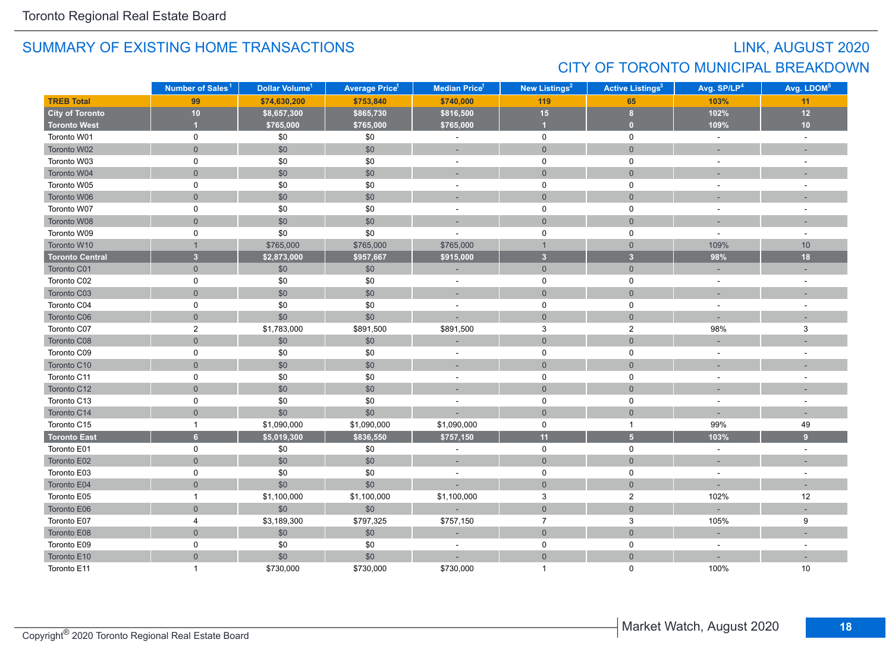# LINK, AUGUST 2020 CITY OF TORONTO MUNICIPAL BREAKDOWN

|                        | Number of Sales <sup>1</sup> | Dollar Volume <sup>1</sup> | <b>Average Price<sup>1</sup></b> | Median Price <sup>1</sup> | New Listings <sup>2</sup> | <b>Active Listings<sup>3</sup></b> | Avg. SP/LP <sup>4</sup>  | Avg. LDOM <sup>5</sup> |
|------------------------|------------------------------|----------------------------|----------------------------------|---------------------------|---------------------------|------------------------------------|--------------------------|------------------------|
| <b>TREB Total</b>      | 99                           | \$74,630,200               | \$753,840                        | \$740,000                 | 119                       | 65                                 | 103%                     | 11                     |
| <b>City of Toronto</b> | 10                           | \$8,657,300                | \$865,730                        | \$816,500                 | 15                        | 8                                  | 102%                     | 12                     |
| <b>Toronto West</b>    | $\overline{1}$               | \$765,000                  | \$765,000                        | \$765,000                 | $\overline{1}$            | $\bullet$                          | 109%                     | 10                     |
| Toronto W01            | $\pmb{0}$                    | \$0                        | \$0                              | $\sim$                    | $\pmb{0}$                 | $\mathbf 0$                        | $\sim$                   | $\sim$                 |
| Toronto W02            | $\mathsf{O}\xspace$          | \$0                        | $$0$$                            | ÷.                        | $\mathbf 0$               | $\mathsf{O}\xspace$                |                          |                        |
| Toronto W03            | $\mathbf 0$                  | \$0                        | \$0                              | $\sim$                    | $\mathbf 0$               | $\mathbf 0$                        | $\sim$                   | $\sim$                 |
| Toronto W04            | $\mathbf{0}$                 | $\$0$                      | $$0$$                            | $\sim$                    | $\overline{0}$            | $\overline{0}$                     |                          |                        |
| Toronto W05            | 0                            | \$0                        | \$0                              | ÷,                        | $\mathbf 0$               | $\mathbf 0$                        |                          |                        |
| Toronto W06            | $\overline{0}$               | \$0                        | \$0                              | $\sim$                    | $\overline{0}$            | $\overline{0}$                     |                          |                        |
| Toronto W07            | $\mathbf 0$                  | \$0                        | \$0                              |                           | $\mathbf 0$               | $\mathbf 0$                        |                          |                        |
| Toronto W08            | $\overline{0}$               | \$0                        | \$0                              |                           | $\overline{0}$            | $\overline{0}$                     |                          |                        |
| Toronto W09            | $\pmb{0}$                    | \$0                        | \$0                              |                           | $\mathbf 0$               | 0                                  |                          | ÷.                     |
| Toronto W10            | $\overline{1}$               | \$765,000                  | \$765,000                        | \$765,000                 | $\mathbf{1}$              | $\mathbf{0}$                       | 109%                     | 10                     |
| <b>Toronto Central</b> | $\overline{\mathbf{3}}$      | \$2,873,000                | \$957,667                        | \$915,000                 | 3 <sup>2</sup>            | 3 <sup>1</sup>                     | 98%                      | 18                     |
| Toronto C01            | $\mathbf{0}$                 | \$0                        | \$0                              |                           | $\overline{0}$            | $\overline{0}$                     |                          |                        |
| Toronto C02            | $\pmb{0}$                    | \$0                        | \$0                              | $\blacksquare$            | $\mathbf 0$               | 0                                  | $\sim$                   | $\overline{a}$         |
| Toronto C03            | $\overline{0}$               | $$0$$                      | \$0                              | ÷                         | $\overline{0}$            | $\mathbf{0}$                       | $\overline{\phantom{a}}$ |                        |
| Toronto C04            | 0                            | \$0                        | \$0                              | $\sim$                    | 0                         | 0                                  |                          |                        |
| Toronto C06            | $\overline{0}$               | \$0                        | \$0                              |                           | $\overline{0}$            | $\mathbf{0}$                       |                          |                        |
| Toronto C07            | $\sqrt{2}$                   | \$1,783,000                | \$891,500                        | \$891,500                 | $\mathsf 3$               | $\sqrt{2}$                         | 98%                      | $\mathsf 3$            |
| Toronto C08            | $\mathsf{O}\xspace$          | \$0                        | $$0$$                            |                           | $\mathbf{0}$              | $\mathbf 0$                        |                          |                        |
| Toronto C09            | 0                            | \$0                        | \$0                              | $\sim$                    | $\mathbf 0$               | 0                                  | $\sim$                   | $\sim$                 |
| Toronto C10            | $\mathsf{O}\xspace$          | \$0                        | \$0                              |                           | $\mathsf{O}\xspace$       | $\mathbf 0$                        |                          |                        |
| Toronto C11            | $\pmb{0}$                    | \$0                        | \$0                              | $\sim$                    | $\mathsf 0$               | $\mathbf 0$                        |                          | $\sim$                 |
| Toronto C12            | $\mathbf 0$                  | \$0                        | $$0$$                            | $\sim$                    | $\mathbf{0}$              | $\mathbf 0$                        |                          |                        |
| Toronto C13            | $\pmb{0}$                    | \$0                        | \$0                              |                           | $\mathbf 0$               | 0                                  |                          |                        |
| Toronto C14            | $\mathbf 0$                  | \$0                        | \$0                              |                           | $\mathbf{0}$              | $\mathbf 0$                        |                          |                        |
| Toronto C15            | $\mathbf{1}$                 | \$1,090,000                | \$1,090,000                      | \$1,090,000               | $\mathbf 0$               | $\mathbf{1}$                       | 99%                      | 49                     |
| <b>Toronto East</b>    | 6 <sup>1</sup>               | \$5,019,300                | \$836,550                        | \$757,150                 | 11                        | $\overline{\mathbf{5}}$            | 103%                     | 9                      |
| Toronto E01            | $\mathsf 0$                  | \$0                        | \$0                              | $\blacksquare$            | $\mathbf 0$               | $\mathbf 0$                        | $\sim$                   | $\sim$                 |
| Toronto E02            | $\mathbf 0$                  | \$0                        | \$0                              | ÷                         | $\mathsf{O}\xspace$       | $\overline{0}$                     |                          |                        |
| Toronto E03            | $\pmb{0}$                    | \$0                        | \$0                              |                           | $\mathbf 0$               | 0                                  |                          |                        |
| Toronto E04            | $\mathbf{0}$                 | \$0                        | \$0                              |                           | $\overline{0}$            | $\mathbf 0$                        |                          | ц.                     |
| Toronto E05            | $\mathbf{1}$                 | \$1,100,000                | \$1,100,000                      | \$1,100,000               | $\mathbf 3$               | $\overline{\mathbf{c}}$            | 102%                     | 12                     |
| Toronto E06            | $\overline{0}$               | \$0                        | \$0                              |                           | $\mathsf{O}\xspace$       | $\mathbf 0$                        |                          |                        |
| Toronto E07            | 4                            | \$3,189,300                | \$797,325                        | \$757,150                 | $\overline{7}$            | 3                                  | 105%                     | 9                      |
| Toronto E08            | $\mathsf{O}\xspace$          | \$0                        | $$0$$                            |                           | $\mathsf{O}\xspace$       | $\mathbf 0$                        | ÷.                       |                        |
| Toronto E09            | $\mathbf 0$                  | \$0                        | \$0                              | $\sim$                    | 0                         | $\mathbf 0$                        | $\sim$                   | $\sim$                 |
| Toronto E10            | $\mathbf 0$                  | \$0                        | \$0                              |                           | $\overline{0}$            | $\mathbf 0$                        |                          |                        |
| Toronto E11            | $\overline{1}$               | \$730,000                  | \$730,000                        | \$730,000                 | $\mathbf{1}$              | $\Omega$                           | 100%                     | 10                     |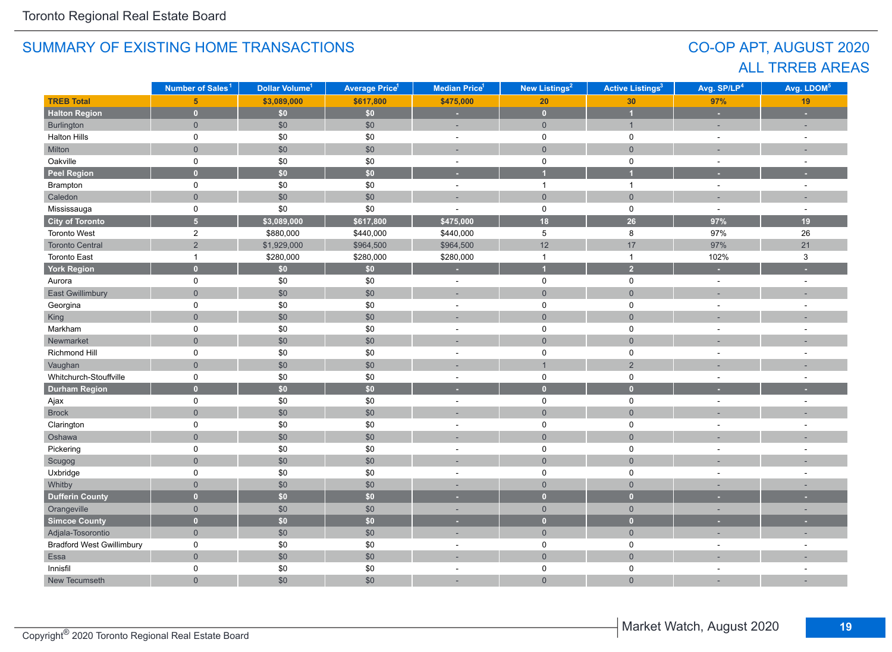# CO-OP APT, AUGUST 2020 ALL TRREB AREAS

|                                  | Number of Sales <sup>1</sup> | Dollar Volume <sup>1</sup> | <b>Average Price<sup>1</sup></b> | Median Price <sup>1</sup> | New Listings <sup>2</sup> | <b>Active Listings<sup>3</sup></b> | Avg. SP/LP <sup>4</sup> | Avg. LDOM <sup>5</sup> |
|----------------------------------|------------------------------|----------------------------|----------------------------------|---------------------------|---------------------------|------------------------------------|-------------------------|------------------------|
| <b>TREB Total</b>                | 5 <sup>5</sup>               | \$3,089,000                | \$617,800                        | \$475,000                 | 20                        | 30                                 | 97%                     | 19                     |
| <b>Halton Region</b>             | $\mathbf{0}$                 | \$0                        | \$0\$                            | ×                         | $\bullet$                 | $\overline{1}$                     | ÷                       | ×                      |
| Burlington                       | $\overline{0}$               | \$0                        | \$0                              | ÷,                        | $\mathbf 0$               | $\mathbf{1}$                       | ÷                       | ÷,                     |
| <b>Halton Hills</b>              | 0                            | \$0                        | \$0                              | $\sim$                    | $\mathsf 0$               | $\pmb{0}$                          | $\sim$                  | $\sim$                 |
| Milton                           | $\overline{0}$               | $$0$$                      | \$0                              | ÷.                        | $\mathbf 0$               | $\overline{0}$                     | ÷                       |                        |
| Oakville                         | 0                            | \$0                        | \$0                              | $\overline{\phantom{a}}$  | $\mathbf 0$               | $\pmb{0}$                          | $\sim$                  | ÷,                     |
| <b>Peel Region</b>               | $\overline{0}$               | \$0                        | \$0                              | ٠                         | 1                         | 4                                  | ٠                       |                        |
| Brampton                         | 0                            | \$0                        | \$0                              | $\sim$                    | $\mathbf{1}$              | $\mathbf{1}$                       | $\sim$                  | $\sim$                 |
| Caledon                          | $\overline{0}$               | \$0                        | \$0                              | ÷.                        | $\overline{0}$            | $\mathbf 0$                        | ÷                       | ÷,                     |
| Mississauga                      | 0                            | $$0$$                      | \$0                              | ÷,                        | $\mathbf 0$               | $\mathbf 0$                        | $\sim$                  | $\overline{a}$         |
| <b>City of Toronto</b>           | $\overline{5}$               | \$3,089,000                | \$617,800                        | \$475,000                 | 18                        | 26                                 | 97%                     | 19                     |
| Toronto West                     | $\overline{c}$               | \$880,000                  | \$440,000                        | \$440,000                 | 5                         | 8                                  | 97%                     | 26                     |
| <b>Toronto Central</b>           | $\overline{2}$               | \$1,929,000                | \$964,500                        | \$964,500                 | 12                        | 17                                 | 97%                     | 21                     |
| <b>Toronto East</b>              | $\mathbf{1}$                 | \$280,000                  | \$280,000                        | \$280,000                 | $\mathbf{1}$              | $\mathbf{1}$                       | 102%                    | $\mathbf{3}$           |
| <b>York Region</b>               | $\overline{0}$               | \$0                        | \$0                              | ×                         | $\overline{1}$            | $\overline{2}$                     | ٠                       | ٠                      |
| Aurora                           | $\mathsf{O}$                 | \$0                        | \$0                              | $\sim$                    | $\mathbf 0$               | $\pmb{0}$                          | $\sim$                  | $\overline{a}$         |
| <b>East Gwillimbury</b>          | $\overline{0}$               | \$0                        | \$0                              | ÷,                        | $\overline{0}$            | $\mathbf 0$                        |                         |                        |
| Georgina                         | 0                            | \$0                        | \$0                              | ÷,                        | $\mathbf 0$               | $\mathbf 0$                        | ÷,                      | ÷,                     |
| King                             | $\overline{0}$               | \$0                        | \$0                              | ÷.                        | $\overline{0}$            | $\overline{0}$                     |                         |                        |
| Markham                          | 0                            | \$0                        | \$0                              | ÷,                        | $\mathbf 0$               | $\mathbf 0$                        | ٠                       |                        |
| Newmarket                        | $\overline{0}$               | \$0                        | \$0                              |                           | $\overline{0}$            | $\overline{0}$                     |                         |                        |
| Richmond Hill                    | 0                            | \$0                        | \$0                              | ÷,                        | $\mathbf 0$               | $\pmb{0}$                          |                         |                        |
| Vaughan                          | $\overline{0}$               | \$0                        | \$0                              |                           | $\overline{1}$            | $\sqrt{2}$                         |                         |                        |
| Whitchurch-Stouffville           | 0                            | \$0                        | \$0                              | $\sim$                    | $\mathsf 0$               | $\pmb{0}$                          | $\sim$                  |                        |
| <b>Durham Region</b>             | $\overline{0}$               | $\overline{50}$            | $\overline{50}$                  | ٠                         | $\overline{0}$            | $\overline{0}$                     |                         |                        |
| Ajax                             | 0                            | $$0$$                      | \$0                              | $\sim$                    | $\mathsf 0$               | $\pmb{0}$                          | $\sim$                  | $\sim$                 |
| <b>Brock</b>                     | $\overline{0}$               | \$0                        | \$0                              |                           | $\overline{0}$            | $\mathbf 0$                        |                         |                        |
| Clarington                       | 0                            | $\$0$                      | \$0                              | $\sim$                    | $\mathbf 0$               | $\pmb{0}$                          | ÷,                      |                        |
| Oshawa                           | $\overline{0}$               | \$0                        | \$0                              |                           | $\mathsf{O}\xspace$       | $\mathbf 0$                        |                         |                        |
| Pickering                        | $\mathsf{O}$                 | \$0                        | \$0                              | $\sim$                    | 0                         | $\pmb{0}$                          | ٠                       | $\ddot{\phantom{1}}$   |
| Scugog                           | $\overline{0}$               | \$0                        | \$0                              | ÷                         | $\mathsf{O}\xspace$       | $\mathbf 0$                        |                         |                        |
| Uxbridge                         | $\mathsf{O}$                 | $\$0$                      | \$0                              | ÷.                        | 0                         | $\pmb{0}$                          | $\sim$                  | ٠                      |
| Whitby                           | $\overline{0}$               | \$0                        | \$0                              |                           | $\overline{0}$            | $\mathbf 0$                        |                         |                        |
| <b>Dufferin County</b>           | $\overline{0}$               | \$0                        | \$0                              | ٠                         | $\mathbf{0}$              | $\bullet$                          |                         |                        |
| Orangeville                      | $\overline{0}$               | \$0                        | \$0                              | ٠                         | $\mathbf{0}$              | $\mathbf{0}$                       | ٠                       | ٠                      |
| Simcoe County                    | $\overline{0}$               | \$0                        | \$0                              | ٠                         | $\mathbf{0}$              | $\bullet$                          |                         |                        |
| Adjala-Tosorontio                | $\overline{0}$               | $$0$$                      | \$0                              | $\sim$                    | $\mathsf{O}\xspace$       | $\mathsf{O}\xspace$                | ÷                       | ÷,                     |
| <b>Bradford West Gwillimbury</b> | 0                            | \$0                        | \$0                              | ÷,                        | $\mathbf 0$               | $\pmb{0}$                          | ÷,                      |                        |
| Essa                             | $\overline{0}$               | $$0$$                      | \$0                              | ÷,                        | $\overline{0}$            | $\mathbf 0$                        |                         |                        |
| Innisfil                         | 0                            | \$0                        | \$0                              | ٠                         | 0                         | 0                                  | ÷.                      | ٠                      |
| New Tecumseth                    | $\overline{0}$               | \$0                        | \$0                              | ÷,                        | $\overline{0}$            | $\overline{0}$                     |                         |                        |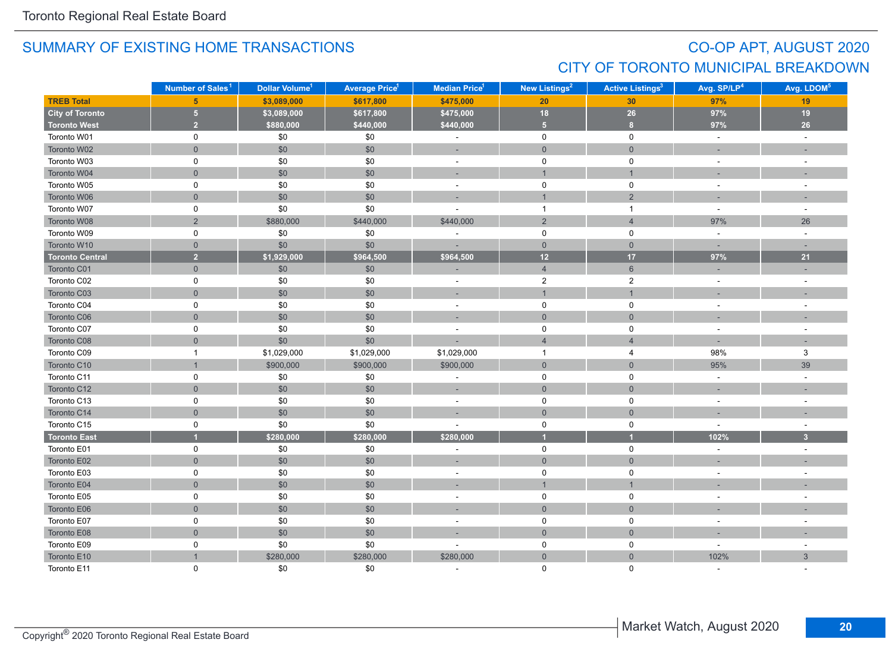# CO-OP APT, AUGUST 2020 CITY OF TORONTO MUNICIPAL BREAKDOWN

|                        | Number of Sales <sup>1</sup> | Dollar Volume <sup>1</sup> | <b>Average Price<sup>1</sup></b> | Median Price <sup>1</sup> | New Listings <sup>2</sup> | <b>Active Listings<sup>3</sup></b> | Avg. SP/LP <sup>4</sup> | Avg. LDOM <sup>5</sup>  |
|------------------------|------------------------------|----------------------------|----------------------------------|---------------------------|---------------------------|------------------------------------|-------------------------|-------------------------|
| <b>TREB Total</b>      | $5\phantom{1}$               | \$3,089,000                | \$617,800                        | \$475,000                 | 20                        | 30                                 | 97%                     | 19                      |
| <b>City of Toronto</b> | $\sqrt{5}$                   | \$3,089,000                | \$617,800                        | \$475,000                 | 18                        | 26                                 | 97%                     | 19                      |
| <b>Toronto West</b>    | $\overline{2}$               | \$880,000                  | \$440,000                        | \$440,000                 | 5 <sup>1</sup>            | 8 <sup>1</sup>                     | 97%                     | 26                      |
| Toronto W01            | $\pmb{0}$                    | \$0                        | \$0                              | $\blacksquare$            | $\mathbf 0$               | $\mathbf 0$                        | $\sim$                  | $\sim$                  |
| Toronto W02            | $\overline{0}$               | \$0                        | $$0$$                            | $\sim$                    | $\mathbf 0$               | $\mathbf 0$                        | ÷.                      | $\sim$                  |
| Toronto W03            | $\mathbf 0$                  | \$0                        | \$0                              | $\sim$                    | $\mathbf 0$               | 0                                  | $\sim$                  | $\sim$                  |
| Toronto W04            | $\mathsf{O}\xspace$          | \$0                        | \$0                              | ÷                         | $\mathbf{1}$              | $\mathbf{1}$                       |                         |                         |
| Toronto W05            | 0                            | \$0                        | \$0                              | $\sim$                    | $\mathbf 0$               | $\mathbf 0$                        | $\sim$                  |                         |
| Toronto W06            | $\mathbf 0$                  | \$0                        | \$0                              | $\sim$                    | $\mathbf{1}$              | $\overline{2}$                     | $\sim$                  | $\sim$                  |
| Toronto W07            | $\mathbf 0$                  | \$0                        | \$0                              |                           | $\mathbf{1}$              | $\mathbf{1}$                       | $\overline{a}$          | ÷.                      |
| Toronto W08            | $\overline{2}$               | \$880,000                  | \$440,000                        | \$440,000                 | $\overline{2}$            | $\overline{4}$                     | 97%                     | 26                      |
| Toronto W09            | $\pmb{0}$                    | \$0                        | \$0                              |                           | $\mathbf 0$               | 0                                  | $\sim$                  | $\sim$                  |
| Toronto W10            | $\mathbf 0$                  | \$0                        | \$0                              |                           | $\overline{0}$            | $\overline{0}$                     |                         |                         |
| <b>Toronto Central</b> | $\overline{2}$               | \$1,929,000                | \$964,500                        | \$964,500                 | 12                        | 17                                 | 97%                     | 21                      |
| Toronto C01            | $\mathbf 0$                  | \$0                        | \$0                              |                           | $\overline{4}$            | $6\phantom{1}$                     |                         |                         |
| Toronto C02            | $\pmb{0}$                    | \$0                        | \$0                              | $\overline{\phantom{a}}$  | $\overline{c}$            | $\mathbf{2}$                       | $\sim$                  | $\sim$                  |
| Toronto C03            | $\overline{0}$               | \$0                        | $$0$$                            | ÷                         | $\mathbf{1}$              | $\mathbf{1}$                       |                         |                         |
| Toronto C04            | 0                            | \$0                        | \$0                              | $\blacksquare$            | $\mathbf 0$               | 0                                  | $\sim$                  | $\sim$                  |
| Toronto C06            | $\mathbf 0$                  | \$0                        | $$0$$                            | ц.                        | $\mathbf 0$               | $\mathbf 0$                        |                         |                         |
| Toronto C07            | $\pmb{0}$                    | \$0                        | \$0                              | ÷.                        | $\mathbf 0$               | 0                                  | $\sim$                  | $\overline{a}$          |
| Toronto C08            | $\overline{0}$               | \$0                        | \$0                              |                           | $\overline{4}$            | $\overline{4}$                     | $\sim$                  | $\sim$                  |
| Toronto C09            | $\mathbf{1}$                 | \$1,029,000                | \$1,029,000                      | \$1,029,000               | $\mathbf{1}$              | $\overline{4}$                     | 98%                     | 3                       |
| Toronto C10            | $\mathbf{1}$                 | \$900,000                  | \$900,000                        | \$900,000                 | $\mathsf{O}\xspace$       | $\overline{0}$                     | 95%                     | 39                      |
| Toronto C11            | $\pmb{0}$                    | \$0                        | \$0                              |                           | $\mathbf 0$               | 0                                  | $\overline{a}$          | $\sim$                  |
| Toronto C12            | $\overline{0}$               | \$0                        | \$0                              | $\sim$                    | $\overline{0}$            | $\overline{0}$                     |                         |                         |
| Toronto C13            | 0                            | \$0                        | \$0                              | $\blacksquare$            | $\mathbf 0$               | $\mathsf 0$                        | $\sim$                  |                         |
| Toronto C14            | $\mathbf 0$                  | \$0                        | $$0$$                            |                           | $\mathbf 0$               | $\mathbf 0$                        |                         |                         |
| Toronto C15            | 0                            | \$0                        | \$0                              |                           | $\mathbf 0$               | 0                                  | $\sim$                  | $\sim$                  |
| <b>Toronto East</b>    | $\blacksquare$               | \$280,000                  | \$280,000                        | \$280,000                 | и                         | $\blacksquare$                     | 102%                    | $\overline{\mathbf{3}}$ |
| Toronto E01            | 0                            | \$0                        | $$0$$                            | $\overline{\phantom{a}}$  | $\mathbf 0$               | $\mathbf 0$                        | $\sim$                  | ÷.                      |
| Toronto E02            | $\mathbf 0$                  | \$0                        | \$0                              | $\sim$                    | $\mathbf{0}$              | $\mathbf 0$                        |                         |                         |
| Toronto E03            | $\pmb{0}$                    | \$0                        | \$0                              | $\sim$                    | $\mathbf 0$               | $\mathsf 0$                        |                         |                         |
| Toronto E04            | $\mathbf{0}$                 | \$0                        | $$0$$                            |                           | $\overline{1}$            | $\overline{1}$                     |                         |                         |
| Toronto E05            | $\pmb{0}$                    | \$0                        | \$0                              | ÷,                        | $\mathbf 0$               | $\mathsf 0$                        |                         |                         |
| Toronto E06            | $\mathbf 0$                  | \$0                        | $$0$$                            |                           | $\mathsf{O}\xspace$       | $\mathbf 0$                        |                         |                         |
| Toronto E07            | $\pmb{0}$                    | \$0                        | \$0                              | $\overline{\phantom{a}}$  | $\mathsf 0$               | $\mathsf 0$                        |                         |                         |
| Toronto E08            | $\mathbf 0$                  | \$0                        | $$0$$                            |                           | $\mathsf{O}\xspace$       | $\mathsf{O}\xspace$                |                         |                         |
| Toronto E09            | $\pmb{0}$                    | \$0                        | \$0                              |                           | $\mathbf 0$               | $\mathbf 0$                        | $\overline{a}$          |                         |
| Toronto E10            | $\overline{1}$               | \$280,000                  | \$280,000                        | \$280,000                 | $\overline{0}$            | $\overline{0}$                     | 102%                    | 3                       |
| Toronto E11            | $\Omega$                     | \$0                        | \$0                              |                           | $\Omega$                  | $\mathbf{0}$                       |                         |                         |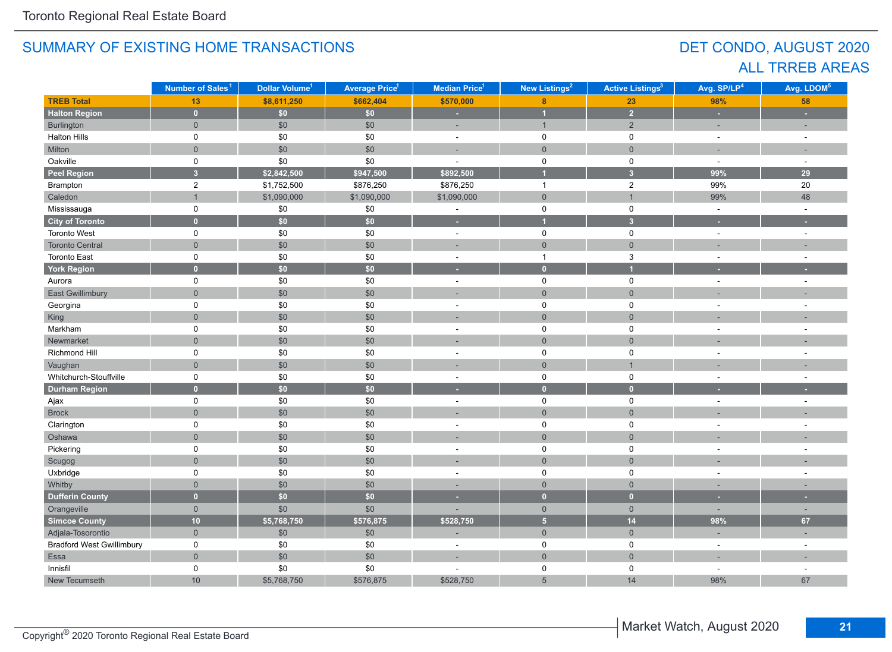# DET CONDO, AUGUST 2020 ALL TRREB AREAS

|                                  | Number of Sales <sup>1</sup> | Dollar Volume <sup>1</sup> | <b>Average Price<sup>1</sup></b> | New Listings <sup>2</sup><br>Median Price <sup>1</sup> |                                  | <b>Active Listings<sup>3</sup></b> | Avg. SP/LP <sup>4</sup> | Avg. LDOM <sup>5</sup>   |
|----------------------------------|------------------------------|----------------------------|----------------------------------|--------------------------------------------------------|----------------------------------|------------------------------------|-------------------------|--------------------------|
| <b>TREB Total</b>                | 13                           | \$8,611,250                | \$662,404                        | \$570,000                                              | 8                                | 23                                 | 98%                     | 58                       |
| <b>Halton Region</b>             | $\mathbf{0}$                 | \$0                        | \$0\$                            | ٠                                                      | $\overline{1}$                   | $\overline{2}$                     | ×                       | ٠                        |
| Burlington                       | $\overline{0}$               | \$0                        | \$0                              | ÷,                                                     | $\mathbf{1}$                     | $\overline{2}$                     |                         |                          |
| <b>Halton Hills</b>              | 0                            | \$0                        | $\$0$                            | $\sim$                                                 | $\mathbf 0$                      | $\mathbf 0$                        | $\sim$                  | $\sim$                   |
| Milton                           | $\overline{0}$               | \$0                        | \$0                              | ÷.                                                     | $\mathbf{0}$                     | $\mathbf 0$                        |                         | ÷                        |
| Oakville                         | $\mathsf 0$                  | \$0                        | \$0                              | $\overline{\phantom{a}}$                               | $\mathbf 0$                      | $\mathbf 0$                        | $\sim$                  | $\sim$                   |
| <b>Peel Region</b>               | $\overline{\mathbf{3}}$      | \$2,842,500                | \$947,500                        | \$892,500                                              |                                  | $\overline{3}$                     | 99%                     | 29                       |
| Brampton                         | $\overline{2}$               | \$1,752,500                | \$876,250                        | \$876,250                                              | $\overline{1}$                   | $\overline{2}$                     | 99%                     | 20                       |
| Caledon                          | $\overline{1}$               | \$1,090,000                | \$1,090,000                      | \$1,090,000                                            | $\overline{0}$                   | $\mathbf{1}$                       | 99%                     | 48                       |
| Mississauga                      | 0                            | $$0$$                      | $\$0$                            | $\blacksquare$                                         | $\mathbf 0$                      | $\mathbf 0$                        | $\sim$                  | $\sim$                   |
| <b>City of Toronto</b>           | $\mathbf{0}$                 | \$0                        | \$0                              | ٥                                                      | $\overline{1}$                   | $\overline{\mathbf{3}}$            |                         |                          |
| <b>Toronto West</b>              | 0                            | \$0                        | $$0$$                            | $\omega$                                               | $\mathbf 0$                      | $\mathbf 0$                        | $\omega$                | $\sim$                   |
| <b>Toronto Central</b>           | $\overline{0}$               | $$0$$                      | $$0$$                            | ÷                                                      | $\mathsf{O}\xspace$              | $\mathsf{O}\xspace$                |                         |                          |
| <b>Toronto East</b>              | 0                            | \$0                        | \$0                              | $\sim$                                                 | $\mathbf{1}$                     | $\mathbf{3}$                       |                         | $\sim$                   |
| <b>York Region</b>               | $\mathbf{0}$                 | \$0                        | \$0                              | $\overline{\phantom{a}}$                               | $\bullet$                        | 1                                  |                         |                          |
| Aurora                           | $\mathbf 0$                  | \$0                        | \$0                              | $\sim$                                                 | $\mathsf 0$                      | $\mathbf 0$                        |                         | $\sim$                   |
| <b>East Gwillimbury</b>          | $\overline{0}$               | \$0                        | \$0                              |                                                        | $\overline{0}$<br>$\overline{0}$ |                                    |                         |                          |
| Georgina                         | 0                            | \$0                        | \$0                              | $\mathsf 0$<br>$\mathbf 0$<br>÷,                       |                                  |                                    |                         | $\overline{a}$           |
| King                             | $\overline{0}$               | \$0                        | \$0                              | $\mathbf{0}$                                           |                                  | $\overline{0}$                     |                         |                          |
| Markham                          | 0                            | \$0                        | \$0                              | ÷,                                                     | $\mathbf 0$                      | $\mathbf 0$                        |                         |                          |
| Newmarket                        | $\overline{0}$               | \$0                        | \$0                              |                                                        | $\overline{0}$                   | $\overline{0}$                     |                         |                          |
| Richmond Hill                    | $\mathbf 0$                  | \$0                        | \$0                              | ÷                                                      | $\mathsf{O}$                     | $\mathbf 0$                        |                         |                          |
| Vaughan                          | $\overline{0}$               | \$0                        | \$0                              |                                                        | $\mathbf{0}$                     | $\overline{1}$                     |                         |                          |
| Whitchurch-Stouffville           | $\mathsf 0$                  | \$0                        | \$0                              | $\overline{\phantom{a}}$                               | $\mathsf 0$                      | $\mathsf 0$                        |                         |                          |
| <b>Durham Region</b>             | $\overline{0}$               | \$0\$                      | \$0                              |                                                        | $\overline{0}$                   | $\mathbf{0}$                       |                         |                          |
| Ajax                             | 0                            | $$0$$                      | $$0$$                            | $\sim$                                                 | $\mathbf 0$                      | $\mathbf 0$                        | $\sim$                  | $\sim$                   |
| <b>Brock</b>                     | $\overline{0}$               | \$0                        | \$0                              |                                                        | $\mathbf{0}$                     | $\overline{0}$                     |                         |                          |
| Clarington                       | 0                            | $$0$$                      | $\$0$                            | $\sim$                                                 | $\mathsf 0$                      | $\mathbf 0$                        | $\sim$                  | ÷.                       |
| Oshawa                           | $\overline{0}$               | $$0$$                      | \$0                              |                                                        | $\mathsf{O}\xspace$              | $\overline{0}$                     |                         |                          |
| Pickering                        | $\mathbf 0$                  | \$0                        | \$0                              | $\sim$                                                 | $\mathsf 0$                      | 0                                  |                         | $\sim$                   |
| Scugog                           | $\overline{0}$               | $$0$$                      | \$0                              | ÷                                                      | $\mathsf{O}\xspace$              | $\mathsf{O}\xspace$                |                         |                          |
| Uxbridge                         | $\mathbf 0$                  | $\$0$                      | $\$0$                            | $\sim$                                                 | 0                                | 0                                  | $\sim$                  | $\sim$                   |
| Whitby                           | $\overline{0}$               | \$0                        | \$0                              |                                                        | $\mathbf 0$                      | $\overline{0}$                     |                         |                          |
| <b>Dufferin County</b>           | $\bullet$                    | \$0                        | \$0                              |                                                        | $\mathbf{0}$                     | $\mathbf{0}$                       |                         |                          |
| Orangeville                      | $\overline{0}$               | \$0                        | \$0                              |                                                        | $\mathbf{0}$                     | $\overline{0}$                     |                         | $\overline{\phantom{a}}$ |
| <b>Simcoe County</b>             | 10                           | \$5,768,750                | \$576,875                        | \$528,750                                              | $\overline{\mathbf{5}}$          | 14                                 | 98%                     | 67                       |
| Adjala-Tosorontio                | $\mathbf{0}$                 | $$0$$                      | \$0                              | ÷,                                                     | $\overline{0}$                   | $\mathsf{O}\xspace$                | $\sim$                  | ÷.                       |
| <b>Bradford West Gwillimbury</b> | $\mathsf 0$                  | \$0                        | \$0                              | ÷,                                                     | $\pmb{0}$                        | $\mathbf 0$                        | $\sim$                  | $\sim$                   |
| Essa                             | $\overline{0}$               | \$0                        | \$0                              | ÷                                                      | $\overline{0}$                   | $\overline{0}$                     |                         |                          |
| Innisfil                         | 0                            | \$0                        | \$0                              |                                                        | $\mathbf 0$                      | 0                                  |                         | $\sim$                   |
| New Tecumseth                    | 10                           | \$5,768,750                | \$576,875                        | \$528,750                                              | $5\overline{)}$                  | 14                                 | 98%                     | 67                       |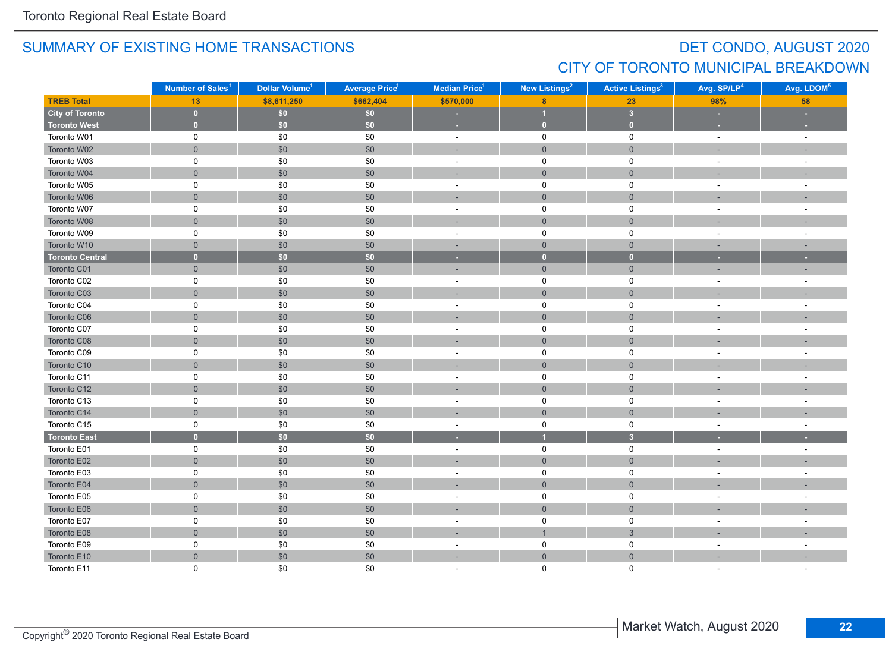# DET CONDO, AUGUST 2020 CITY OF TORONTO MUNICIPAL BREAKDOWN

|                        | Number of Sales <sup>1</sup> | Dollar Volume <sup>1</sup> | <b>Average Price<sup>1</sup></b> | <b>Median Price</b> <sup>1</sup> | New Listings <sup>2</sup> | <b>Active Listings<sup>3</sup></b> | Avg. SP/LP <sup>4</sup>  | Avg. LDOM <sup>5</sup> |
|------------------------|------------------------------|----------------------------|----------------------------------|----------------------------------|---------------------------|------------------------------------|--------------------------|------------------------|
| <b>TREB Total</b>      | 13                           | \$8,611,250                | \$662,404                        | \$570,000                        | $\boldsymbol{8}$          | 23                                 | 98%                      | 58                     |
| <b>City of Toronto</b> | $\mathbf{0}$                 | \$0                        | \$0                              |                                  | и                         | $\overline{\mathbf{3}}$            | ×.                       |                        |
| <b>Toronto West</b>    | $\overline{0}$               | \$0                        | \$0                              | $\sim$                           | $\overline{0}$            | $\overline{0}$                     | <b>COL</b>               |                        |
| Toronto W01            | 0                            | \$0                        | \$0                              | $\sim$                           | $\mathbf 0$               | $\mathbf 0$                        | $\sim$                   | $\sim$                 |
| Toronto W02            | $\overline{0}$               | \$0                        | \$0                              | ÷                                | $\mathbf{0}$              | $\mathbf{0}$                       |                          |                        |
| Toronto W03            | 0                            | \$0                        | \$0                              | $\sim$                           | $\mathsf{O}$              | $\mathbf 0$                        | $\sim$                   | $\sim$                 |
| Toronto W04            | $\overline{0}$               | $$0$$                      | \$0                              | ÷                                | $\mathsf{O}\xspace$       | $\mathbf{0}$                       |                          |                        |
| Toronto W05            | 0                            | \$0                        | \$0                              | $\overline{\phantom{a}}$         | $\mathsf 0$               | $\mathbf 0$                        | $\overline{\phantom{a}}$ |                        |
| Toronto W06            | $\overline{0}$               | \$0                        | \$0                              | ÷                                | $\mathbf 0$               | $\mathbf{0}$                       |                          |                        |
| Toronto W07            | 0                            | \$0                        | \$0                              | ÷,                               | $\mathsf 0$               | 0                                  | $\sim$                   |                        |
| Toronto W08            | $\overline{0}$               | $$0$$                      | \$0                              |                                  | $\overline{0}$            | $\mathbf{0}$                       |                          |                        |
| Toronto W09            | 0                            | \$0                        | \$0                              | $\sim$                           | $\mathsf{O}$              | $\mathsf 0$                        | $\sim$                   |                        |
| Toronto W10            | $\overline{0}$               | \$0                        | \$0                              | $\sim$                           | $\mathsf{O}\xspace$       | $\mathbf{0}$                       | п.                       | $\sim$                 |
| <b>Toronto Central</b> | $\mathbf{0}$                 | \$0\$                      | \$0                              | ×                                | $\mathbf{0}$              | $\overline{0}$                     | ×.                       | ×.                     |
| Toronto C01            | $\overline{0}$               | \$0                        | \$0                              | ÷                                | $\mathsf{O}\xspace$       | $\mathbf 0$                        |                          |                        |
| Toronto C02            | 0                            | \$0                        | \$0                              | $\overline{a}$                   | $\mathsf{O}$              | $\mathbf 0$                        | $\sim$                   |                        |
| Toronto C03            | $\overline{0}$               | \$0                        | \$0                              | ×.                               | $\overline{0}$            | $\mathbf{0}$                       | $\overline{\phantom{a}}$ |                        |
| Toronto C04            | 0                            | \$0                        | \$0                              | $\overline{\phantom{a}}$         | $\mathbf 0$               | 0                                  | $\overline{\phantom{a}}$ |                        |
| Toronto C06            | $\overline{0}$               | \$0                        | \$0                              |                                  | $\overline{0}$            | $\overline{0}$                     |                          |                        |
| Toronto C07            | 0                            | \$0                        | \$0                              | $\blacksquare$                   | $\pmb{0}$                 | $\pmb{0}$                          | $\sim$                   |                        |
| Toronto C08            | $\overline{0}$               | $$0$$                      | \$0                              | ÷                                | $\mathbf{0}$              | $\mathbf{0}$                       |                          |                        |
| Toronto C09            | 0                            | \$0                        | \$0                              | $\blacksquare$                   | $\mathsf 0$               | 0                                  | $\blacksquare$           | $\sim$                 |
| Toronto C10            | $\mathsf{O}\xspace$          | \$0                        | \$0                              |                                  | $\mathsf{O}\xspace$       | $\mathbf 0$                        |                          |                        |
| Toronto C11            | 0                            | \$0                        | \$0                              | $\sim$                           | $\mathsf 0$               | $\mathsf 0$                        | $\sim$                   |                        |
| Toronto C12            | $\overline{0}$               | \$0                        | \$0                              | п.                               | $\mathbf 0$               | $\mathbf{0}$                       |                          |                        |
| Toronto C13            | 0                            | $\$0$                      | \$0                              | $\sim$                           | $\mathsf 0$               | $\mathsf 0$                        | $\sim$                   |                        |
| Toronto C14            | $\overline{0}$               | $$0$$                      | \$0                              |                                  | $\mathbf{0}$              | $\mathbf{0}$                       |                          |                        |
| Toronto C15            | 0                            | \$0                        | \$0                              | $\blacksquare$                   | $\mathsf{O}$              | $\mathbf 0$                        | $\sim$                   | $\sim$                 |
| <b>Toronto East</b>    | $\overline{0}$               | $\overline{50}$            | \$0                              | ٠                                | $\overline{1}$            | $\overline{\mathbf{3}}$            |                          |                        |
| Toronto E01            | 0                            | \$0                        | \$0                              | $\sim$                           | $\mathsf{O}$              | $\mathsf{O}$                       | $\sim$                   | $\sim$                 |
| Toronto E02            | $\overline{0}$               | \$0                        | \$0                              | ٠                                | $\overline{0}$            | $\mathbf{0}$                       |                          |                        |
| Toronto E03            | 0                            | \$0                        | \$0                              | $\overline{\phantom{a}}$         | $\mathsf 0$               | $\mathsf 0$                        |                          |                        |
| Toronto E04            | $\overline{0}$               | $$0$$                      | \$0                              |                                  | $\overline{0}$            | $\mathbf{0}$                       |                          |                        |
| Toronto E05            | 0                            | $\$0$                      | \$0                              | $\overline{\phantom{a}}$         | $\mathsf{O}$              | $\mathsf 0$                        | ÷,                       |                        |
| Toronto E06            | $\overline{0}$               | $$0$$                      | \$0                              |                                  | $\mathbf{0}$              | $\mathbf 0$                        |                          |                        |
| Toronto E07            | 0                            | \$0                        | \$0                              | $\blacksquare$                   | $\pmb{0}$                 | $\mathsf 0$                        | $\sim$                   |                        |
| Toronto E08            | $\mathsf{O}\xspace$          | \$0                        | \$0                              |                                  | $\overline{1}$            | $\sqrt{3}$                         |                          |                        |
| Toronto E09            | 0                            | \$0                        | \$0                              | $\sim$                           | $\mathsf{O}$              | 0                                  | $\sim$                   |                        |
| Toronto E10            | $\overline{0}$               | \$0                        | \$0                              | ÷                                | $\mathsf{O}\xspace$       | $\mathbf{0}$                       |                          |                        |
| Toronto E11            | $\Omega$                     | \$0                        | \$0                              |                                  | $\Omega$                  | $\Omega$                           |                          |                        |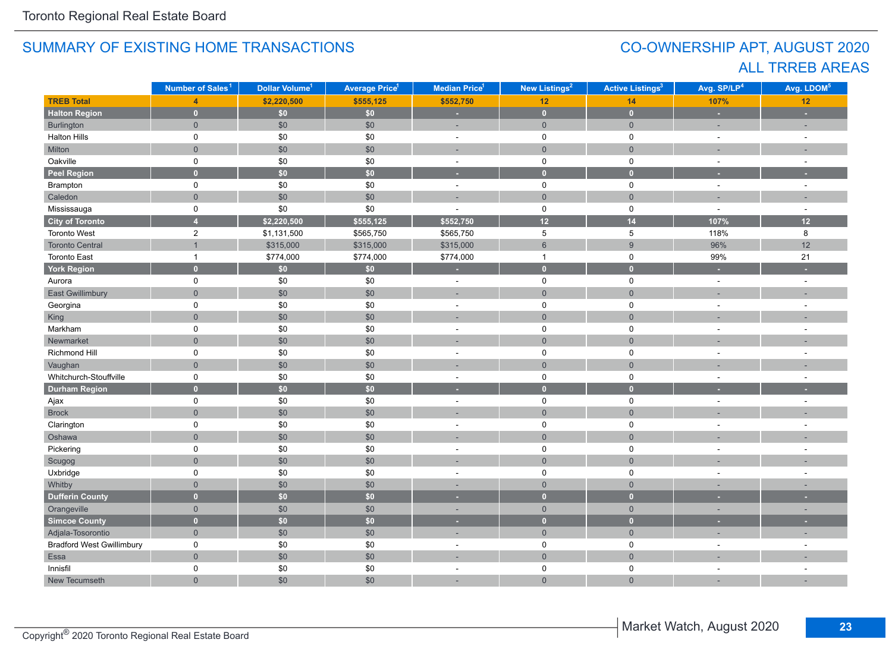# CO-OWNERSHIP APT, AUGUST 2020 ALL TRREB AREAS

|                                  | Number of Sales <sup>1</sup> | Dollar Volume <sup>1</sup> | <b>Average Price<sup>1</sup></b> | Median Price <sup>1</sup> | New Listings <sup>2</sup> | <b>Active Listings<sup>3</sup></b> | Avg. SP/LP <sup>4</sup> | Avg. LDOM <sup>5</sup> |
|----------------------------------|------------------------------|----------------------------|----------------------------------|---------------------------|---------------------------|------------------------------------|-------------------------|------------------------|
| <b>TREB Total</b>                | $\overline{\mathbf{A}}$      | \$2,220,500                | \$555,125                        | \$552,750                 | 12                        | 14                                 | 107%                    | 12                     |
| <b>Halton Region</b>             | $\mathbf{0}$                 | \$0\$                      | \$0\$                            | ÷                         | $\mathbf{0}$              | $\bullet$                          | ×                       | ٠                      |
| Burlington                       | $\overline{0}$               | \$0                        | \$0                              | ÷,                        | $\mathbf{0}$              | $\mathbf 0$                        |                         | ÷.                     |
| <b>Halton Hills</b>              | 0                            | $\$0$                      | \$0                              | $\bar{a}$                 | $\mathbf 0$               | $\mathsf 0$                        | $\sim$                  | $\sim$                 |
| Milton                           | $\overline{0}$               | \$0                        | \$0                              | ц.                        | $\mathsf{O}\xspace$       | $\mathbf{0}$                       |                         |                        |
| Oakville                         | 0                            | \$0                        | \$0                              | $\bar{a}$                 | $\mathsf 0$               | $\mathbf 0$                        | $\sim$                  | $\sim$                 |
| <b>Peel Region</b>               | $\overline{0}$               | \$0                        | \$0                              | ٠                         | $\bullet$                 | $\bullet$                          | ٠                       | ٠                      |
| Brampton                         | $\mathsf{O}$                 | \$0                        | \$0                              | $\sim$                    | $\mathsf{O}$              | $\mathbf 0$                        | $\sim$                  | $\sim$                 |
| Caledon                          | $\overline{0}$               | $$0$$                      | \$0                              | ÷,                        | $\mathsf{O}\xspace$       | $\overline{0}$                     |                         | ÷,                     |
| Mississauga                      | 0                            | $\$0$                      | \$0                              | ÷.                        | $\mathsf{O}$              | $\mathbf 0$                        | $\sim$                  | $\sim$                 |
| <b>City of Toronto</b>           | $\overline{4}$               | \$2,220,500                | \$555,125                        | \$552,750                 | 12                        | 14                                 | 107%                    | 12                     |
| Toronto West                     | $\overline{c}$               | \$1,131,500                | \$565,750                        | \$565,750                 | 5                         | 5                                  | 118%                    | 8                      |
| <b>Toronto Central</b>           | $\overline{1}$               | \$315,000                  | \$315,000                        | \$315,000                 | $\,6\,$                   | $\boldsymbol{9}$                   | 96%                     | 12                     |
| <b>Toronto East</b>              | $\mathbf{1}$                 | \$774,000                  | \$774,000                        | \$774,000                 | $\mathbf{1}$              | $\mathsf 0$                        | 99%                     | 21                     |
| <b>York Region</b>               | $\overline{0}$               | \$0                        | \$0                              | ٠                         | $\bullet$                 | $\mathbf{0}$                       | ×                       |                        |
| Aurora                           | $\mathsf{O}$                 | \$0                        | \$0                              | $\sim$                    | $\mathbf 0$               | $\mathbf 0$                        | $\sim$                  | $\sim$                 |
| East Gwillimbury                 | $\overline{0}$               | $$0$$                      | \$0                              | ÷,                        | $\overline{0}$            | $\mathbf{0}$                       |                         |                        |
| Georgina                         | 0                            | \$0                        | \$0                              | $\mathbf 0$<br>0<br>÷.    |                           |                                    |                         | ÷.                     |
| King                             | $\overline{0}$               | \$0                        | \$0                              | $\overline{0}$            |                           | $\overline{0}$                     |                         |                        |
| Markham                          | 0                            | \$0                        | \$0                              | $\overline{\phantom{a}}$  | $\mathbf 0$               | $\pmb{0}$                          |                         |                        |
| Newmarket                        | $\overline{0}$               | $$0$$                      | \$0                              |                           | $\overline{0}$            | $\overline{0}$                     |                         |                        |
| Richmond Hill                    | 0                            | $\$0$                      | \$0                              | ÷,                        | $\mathbf 0$               | $\mathbf 0$                        |                         | ÷,                     |
| Vaughan                          | $\overline{0}$               | $$0$$                      | \$0                              |                           | $\mathbf 0$               | $\mathbf 0$                        |                         |                        |
| Whitchurch-Stouffville           | 0                            | \$0                        | \$0                              | $\overline{\phantom{a}}$  | $\mathsf 0$               | $\mathbf 0$                        |                         |                        |
| <b>Durham Region</b>             | $\mathbf{0}$                 | \$0\$                      | $\overline{50}$                  | ٠                         | $\bullet$                 | $\overline{0}$                     |                         |                        |
| Ajax                             | 0                            | \$0                        | \$0                              | $\sim$                    | $\mathsf{O}$              | $\mathbf 0$                        | $\sim$                  | $\sim$                 |
| <b>Brock</b>                     | $\overline{0}$               | \$0                        | \$0                              | ÷.                        | $\mathsf{O}\xspace$       | $\mathbf{0}$                       |                         |                        |
| Clarington                       | 0                            | \$0                        | \$0                              | $\sim$                    | $\mathsf 0$               | $\mathbf 0$                        |                         | $\overline{a}$         |
| Oshawa                           | $\overline{0}$               | $$0$$                      | \$0                              |                           | $\mathsf{O}\xspace$       | $\overline{0}$                     |                         |                        |
| Pickering                        | 0                            | \$0                        | \$0                              | $\sim$                    | $\mathbf 0$               | $\mathbf 0$                        | $\sim$                  | $\overline{a}$         |
| Scugog                           | $\overline{0}$               | \$0                        | \$0                              | ÷.                        | $\mathsf{O}\xspace$       | $\overline{0}$                     |                         |                        |
| Uxbridge                         | $\mathsf{O}$                 | $\$0$                      | \$0                              | $\sim$                    | $\mathbf 0$               | $\mathbf 0$                        |                         | $\sim$                 |
| Whitby                           | $\overline{0}$               | \$0                        | \$0                              |                           | $\overline{0}$            | $\overline{0}$                     |                         |                        |
| <b>Dufferin County</b>           | $\overline{0}$               | \$0\$                      | \$0                              | ٠                         | $\mathbf{0}$              | $\mathbf{0}$                       |                         |                        |
| Orangeville                      | $\overline{0}$               | \$0                        | \$0                              | ٠                         | $\mathbf 0$               | $\mathbf 0$                        | $\sim$                  | ۰                      |
| Simcoe County                    | $\overline{0}$               | \$0\$                      | \$0                              | ٠                         | $\mathbf{0}$              | $\mathbf{0}$                       |                         |                        |
| Adjala-Tosorontio                | $\overline{0}$               | \$0                        | \$0                              | $\overline{a}$            | $\overline{0}$            | $\mathsf{O}\xspace$                | п.                      | ÷                      |
| <b>Bradford West Gwillimbury</b> | 0                            | \$0                        | \$0                              | $\sim$                    | $\mathbf 0$               | $\mathbf 0$                        |                         |                        |
| Essa                             | $\overline{0}$               | $$0$$                      | \$0                              | ÷,                        | $\mathbf{0}$              | $\mathbf{0}$                       |                         |                        |
| Innisfil                         | 0                            | \$0                        | \$0                              | ÷.                        | 0                         | $\mathbf 0$                        |                         | ÷.                     |
| New Tecumseth                    | $\overline{0}$               | \$0                        | \$0                              | ÷.                        | $\overline{0}$            | $\overline{0}$                     |                         |                        |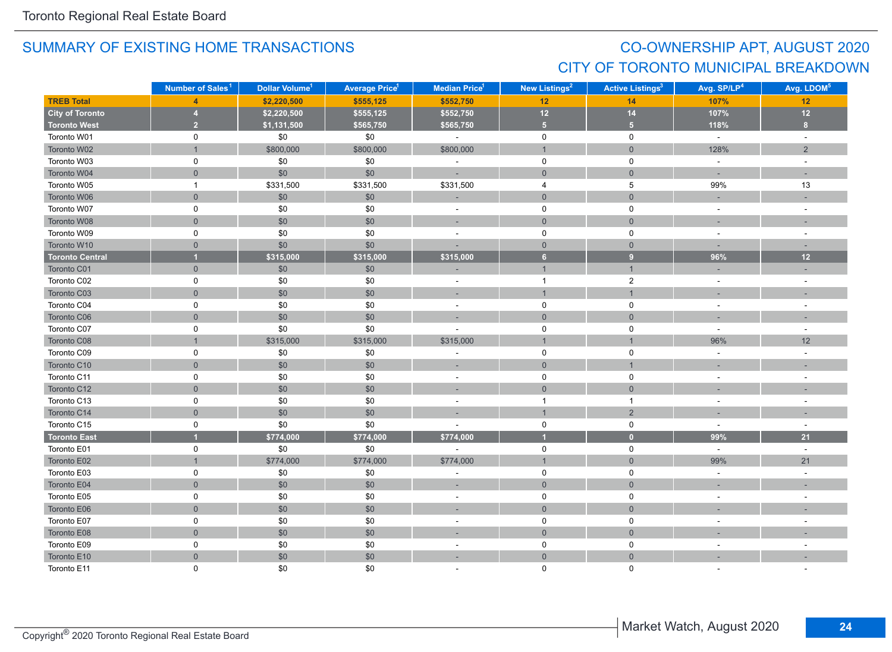# CO-OWNERSHIP APT, AUGUST 2020 CITY OF TORONTO MUNICIPAL BREAKDOWN

|                        | Number of Sales <sup>1</sup> | Dollar Volume <sup>1</sup> | <b>Average Price</b> 1 | Median Price <sup>1</sup> | New Listings <sup>2</sup> | <b>Active Listings<sup>3</sup></b> | Avg. SP/LP <sup>4</sup> | Avg. LDOM <sup>5</sup>   |
|------------------------|------------------------------|----------------------------|------------------------|---------------------------|---------------------------|------------------------------------|-------------------------|--------------------------|
| <b>TREB Total</b>      | $\overline{4}$               | \$2,220,500                | \$555,125              | \$552,750                 | 12 <sub>2</sub>           | 14                                 | 107%                    | 12                       |
| <b>City of Toronto</b> | 4                            | \$2,220,500                | \$555,125              | \$552,750                 | $12$                      | 14                                 | 107%                    | $12$                     |
| <b>Toronto West</b>    | 2 <sup>7</sup>               | \$1,131,500                | \$565,750              | \$565,750                 | 5 <sub>1</sub>            | 5 <sup>1</sup>                     | 118%                    | 8                        |
| Toronto W01            | $\mathbf 0$                  | \$0                        | \$0                    | $\omega$                  | $\mathsf{O}\xspace$       | $\mathsf{O}\xspace$                | $\omega$                | $\sim$                   |
| Toronto W02            |                              | \$800,000                  | \$800,000              | \$800,000                 | $\mathbf{1}$              | $\mathbf 0$                        | 128%                    | 2                        |
| Toronto W03            | 0                            | \$0                        | \$0                    | ÷,                        | $\mathbf 0$               | 0                                  | $\sim$                  | $\sim$                   |
| Toronto W04            | $\mathbf 0$                  | \$0                        | \$0                    | ÷                         | $\overline{0}$            | $\mathbf 0$                        | п.                      |                          |
| Toronto W05            | $\mathbf{1}$                 | \$331,500                  | \$331,500              | \$331,500                 | 4                         | 5                                  | 99%                     | 13                       |
| Toronto W06            | $\mathbf 0$                  | \$0                        | \$0                    | ٠                         | $\overline{0}$            | $\mathbf{0}$                       |                         |                          |
| Toronto W07            | 0                            | \$0                        | \$0                    | $\blacksquare$            | 0                         | $\mathsf 0$                        | $\sim$                  | $\sim$                   |
| Toronto W08            | $\mathsf{O}\xspace$          | \$0                        | $$0$$                  | $\sim$                    | $\mathbf 0$               | $\mathsf{O}\xspace$                | ×,                      | ٠                        |
| Toronto W09            | $\mathsf 0$                  | \$0                        | \$0                    | $\sim$                    | $\mathbf 0$               | $\pmb{0}$                          | $\sim$                  | $\sim$                   |
| Toronto W10            | $\mathbf 0$                  | \$0                        | \$0                    |                           | $\mathbf{0}$              | $\mathbf{0}$                       | $\sim$                  | п.                       |
| <b>Toronto Central</b> |                              | \$315,000                  | \$315,000              | \$315,000                 | 6 <sup>1</sup>            | 9 <sup>°</sup>                     | 96%                     | 12                       |
| Toronto C01            | $\overline{0}$               | \$0                        | \$0                    |                           | $\mathbf{1}$              | $\mathbf{1}$                       |                         |                          |
| Toronto C02            | $\mathsf 0$                  | \$0                        | \$0                    | $\blacksquare$            | $\overline{1}$            | $\overline{c}$                     | $\sim$                  | $\sim$                   |
| Toronto C03            | $\mathbf 0$                  | \$0                        | $\$0$                  | $\overline{\phantom{a}}$  | $\mathbf{1}$              | $\mathbf{1}$                       |                         |                          |
| Toronto C04            | $\pmb{0}$                    | \$0                        | \$0                    | $\sim$                    | $\mathsf{O}\xspace$       | $\pmb{0}$                          | $\sim$                  | $\sim$                   |
| Toronto C06            | $\mathbf 0$                  | \$0                        | $$0$$                  | $\sim$                    | $\mathbf 0$               | $\mathbf 0$                        | $\sim$                  | $\sim$                   |
| Toronto C07            | 0                            | \$0                        | \$0                    |                           | 0                         | $\mathbf 0$                        | $\sim$                  | $\sim$                   |
| Toronto C08            | $\mathbf{1}$                 | \$315,000                  | \$315,000              | \$315,000                 | $\mathbf{1}$              | $\mathbf{1}$                       | 96%                     | 12                       |
| Toronto C09            | 0                            | \$0                        | \$0                    | ÷,                        | $\mathsf{O}$              | $\mathbf 0$                        | $\sim$                  | $\sim$                   |
| Toronto C10            | $\mathbf 0$                  | \$0                        | \$0                    | ٠                         | $\mathsf{O}\xspace$       | $\mathbf{1}$                       | $\sim$                  | ٠                        |
| Toronto C11            | $\mathbf 0$                  | \$0                        | \$0                    | $\sim$                    | $\mathbf 0$               | $\mathsf 0$                        | $\sim$                  | $\sim$                   |
| Toronto C12            | $\mathbf 0$                  | \$0                        | \$0                    | $\sim$                    | $\mathbf 0$               | $\mathsf{O}\xspace$                |                         |                          |
| Toronto C13            | $\mathsf 0$                  | \$0                        | \$0                    | $\sim$                    | $\overline{1}$            | $\mathbf{1}$                       | $\sim$                  | $\sim$                   |
| Toronto C14            | $\mathbf{0}$                 | \$0                        | $$0$$                  | ÷                         | $\overline{1}$            | $\overline{2}$                     |                         |                          |
| Toronto C15            | 0                            | \$0                        | \$0                    |                           | $\mathbf 0$               | $\mathsf 0$                        | $\sim$                  | $\sim$                   |
| <b>Toronto East</b>    |                              | \$774,000                  | \$774,000              | \$774,000                 | $\overline{1}$            | $\bullet$                          | 99%                     | 21                       |
| Toronto E01            | $\mathbf 0$                  | \$0                        | \$0                    |                           | $\mathsf 0$               | $\mathsf{O}$                       | $\sim$                  | $\sim$                   |
| Toronto E02            |                              | \$774,000                  | \$774,000              | \$774,000                 | $\mathbf{1}$              | $\mathsf{O}\xspace$                | 99%                     | 21                       |
| Toronto E03            | $\mathsf 0$                  | \$0                        | \$0                    | ÷,                        | $\mathsf 0$               | $\mathsf 0$                        |                         |                          |
| Toronto E04            | $\overline{0}$               | \$0                        | \$0                    | $\sim$                    | $\overline{0}$            | $\overline{0}$                     |                         | $\overline{\phantom{a}}$ |
| Toronto E05            | 0                            | \$0                        | \$0                    | $\sim$                    | 0                         | 0                                  |                         | $\overline{\phantom{a}}$ |
| Toronto E06            | $\mathbf 0$                  | \$0                        | \$0                    |                           | $\overline{0}$            | $\mathbf{0}$                       |                         |                          |
| Toronto E07            | 0                            | \$0                        | \$0                    | $\blacksquare$            | $\mathbf 0$               | $\mathbf 0$                        |                         |                          |
| Toronto E08            | $\mathsf{O}\xspace$          | \$0                        | $$0$$                  | ٠                         | $\mathsf{O}\xspace$       | $\mathsf{O}\xspace$                |                         |                          |
| Toronto E09            | 0                            | \$0                        | \$0                    | $\sim$                    | 0                         | 0                                  | $\sim$                  | $\overline{a}$           |
| Toronto E10            | $\mathbf 0$                  | $$0$$                      | $$0$$                  | ÷                         | $\mathbf 0$               | $\mathsf{O}\xspace$                |                         |                          |
| Toronto E11            | 0                            | \$0                        | \$0                    |                           | $\Omega$                  | $\Omega$                           |                         |                          |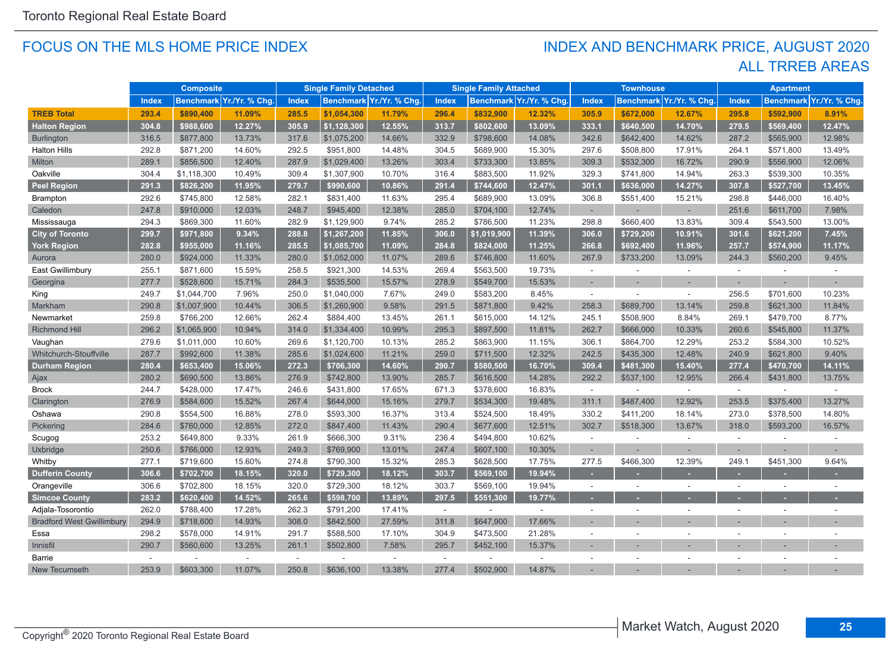#### FOCUS ON THE MLS HOME PRICE INDEX

### ALL TRREB AREAS INDEX AND BENCHMARK PRICE, AUGUST 2020

|                                  |              | <b>Composite</b> |                          |        | <b>Single Family Detached</b> |                          |        | <b>Single Family Attached</b> |                          |              | <b>Townhouse</b> |                          |              | <b>Apartment</b>         |                         |
|----------------------------------|--------------|------------------|--------------------------|--------|-------------------------------|--------------------------|--------|-------------------------------|--------------------------|--------------|------------------|--------------------------|--------------|--------------------------|-------------------------|
|                                  | <b>Index</b> |                  | Benchmark Yr./Yr. % Chq. | Index  |                               | Benchmark Yr./Yr. % Chq. | Index  |                               | Benchmark Yr./Yr. % Chg. | <b>Index</b> |                  | Benchmark Yr./Yr. % Chq. | <b>Index</b> |                          | Benchmark Yr./Yr. % Chg |
| <b>TREB Total</b>                | 293.4        | \$890,400        | 11.09%                   | 285.5  | \$1,054,300                   | 11.79%                   | 296.4  | \$832,900                     | 12.32%                   | 305.9        | \$672,000        | 12.67%                   | 295.8        | \$592.900                | 8.91%                   |
| <b>Halton Region</b>             | 304.8        | \$988,600        | 12.27%                   | 305.9  | \$1,128,300                   | 12.55%                   | 313.7  | \$802,600                     | 13.09%                   | 333.1        | \$640,500        | 14.70%                   | 279.5        | \$569,400                | 12.47%                  |
| <b>Burlington</b>                | 316.5        | \$877,800        | 13.73%                   | 317.6  | \$1,075,200                   | 14.66%                   | 332.9  | \$798,600                     | 14.08%                   | 342.6        | \$642,400        | 14.62%                   | 287.2        | \$565,900                | 12.98%                  |
| <b>Halton Hills</b>              | 292.8        | \$871,200        | 14.60%                   | 292.5  | \$951,800                     | 14.48%                   | 304.5  | \$689,900                     | 15.30%                   | 297.6        | \$508,800        | 17.91%                   | 264.1        | \$571,800                | 13.49%                  |
| Milton                           | 289.1        | \$856,500        | 12.40%                   | 287.9  | \$1,029,400                   | 13.26%                   | 303.4  | \$733,300                     | 13.85%                   | 309.3        | \$532,300        | 16.72%                   | 290.9        | \$556,900                | 12.06%                  |
| Oakville                         | 304.4        | \$1,118,300      | 10.49%                   | 309.4  | \$1,307,900                   | 10.70%                   | 316.4  | \$883,500                     | 11.92%                   | 329.3        | \$741,800        | 14.94%                   | 263.3        | \$539,300                | 10.35%                  |
| <b>Peel Region</b>               | 291.3        | \$826,200        | 11.95%                   | 279.7  | \$990,600                     | 10.86%                   | 291.4  | \$744,600                     | 12.47%                   | 301.1        | \$636,000        | 14.27%                   | 307.8        | \$527,700                | 13.45%                  |
| <b>Brampton</b>                  | 292.6        | \$745,800        | 12.58%                   | 282.1  | \$831,400                     | 11.63%                   | 295.4  | \$689,900                     | 13.09%                   | 306.8        | \$551,400        | 15.21%                   | 298.8        | \$446,000                | 16.40%                  |
| Caledon                          | 247.8        | \$910,000        | 12.03%                   | 248.7  | \$945,400                     | 12.38%                   | 285.0  | \$704,100                     | 12.74%                   | ٠            |                  |                          | 251.6        | \$611,700                | 7.98%                   |
| Mississauga                      | 294.3        | \$869,300        | 11.60%                   | 282.9  | \$1,129,900                   | 9.74%                    | 285.2  | \$786,500                     | 11.23%                   | 298.8        | \$660,400        | 13.83%                   | 309.4        | \$543,500                | 13.00%                  |
| <b>City of Toronto</b>           | 299.7        | \$971,800        | 9.34%                    | 288.8  | \$1,267,200                   | 11.85%                   | 306.0  | \$1,019,900                   | 11.39%                   | 306.0        | \$729,200        | 10.91%                   | 301.6        | \$621,200                | 7.45%                   |
| York Region                      | 282.8        | \$955,000        | 11.16%                   | 285.5  | \$1,085,700                   | 11.09%                   | 284.8  | \$824,000                     | 11.25%                   | 266.8        | \$692,400        | 11.96%                   | 257.7        | \$574,900                | 11.17%                  |
| Aurora                           | 280.0        | \$924,000        | 11.33%                   | 280.0  | \$1,052,000                   | 11.07%                   | 289.6  | \$746,800                     | 11.60%                   | 267.9        | \$733,200        | 13.09%                   | 244.3        | \$560,200                | 9.45%                   |
| East Gwillimbury                 | 255.1        | \$871,600        | 15.59%                   | 258.5  | \$921,300                     | 14.53%                   | 269.4  | \$563,500                     | 19.73%                   | $\sim$       |                  | $\sim$                   | $\sim$       |                          |                         |
| Georgina                         | 277.7        | \$528,600        | 15.71%                   | 284.3  | \$535,500                     | 15.57%                   | 278.9  | \$549,700                     | 15.53%                   | ٠            |                  |                          |              |                          |                         |
| King                             | 249.7        | \$1,044,700      | 7.96%                    | 250.0  | \$1,040,000                   | 7.67%                    | 249.0  | \$583,200                     | 8.45%                    | ÷            |                  | $\sim$                   | 256.5        | \$701,600                | 10.23%                  |
| Markham                          | 290.8        | \$1,007,900      | 10.44%                   | 306.5  | \$1,260,900                   | 9.58%                    | 291.5  | \$871,800                     | 9.42%                    | 258.3        | \$689,700        | 13.14%                   | 259.8        | \$621,300                | 11.84%                  |
| Newmarket                        | 259.8        | \$766,200        | 12.66%                   | 262.4  | \$884,400                     | 13.45%                   | 261.1  | \$615,000                     | 14.12%                   | 245.1        | \$508,900        | 8.84%                    | 269.1        | \$479,700                | 8.77%                   |
| <b>Richmond Hill</b>             | 296.2        | \$1,065,900      | 10.94%                   | 314.0  | \$1,334,400                   | 10.99%                   | 295.3  | \$897,500                     | 11.81%                   | 262.7        | \$666,000        | 10.33%                   | 260.6        | \$545,800                | 11.37%                  |
| Vaughan                          | 279.6        | \$1,011,000      | 10.60%                   | 269.6  | \$1,120,700                   | 10.13%                   | 285.2  | \$863,900                     | 11.15%                   | 306.1        | \$864,700        | 12.29%                   | 253.2        | \$584,300                | 10.52%                  |
| Whitchurch-Stouffville           | 287.7        | \$992,600        | 11.38%                   | 285.6  | \$1,024,600                   | 11.21%                   | 259.0  | \$711,500                     | 12.32%                   | 242.5        | \$435,300        | 12.48%                   | 240.9        | \$621,800                | 9.40%                   |
| <b>Durham Region</b>             | 280.4        | \$653,400        | 15.06%                   | 272.3  | \$706,300                     | 14.60%                   | 290.7  | \$580,500                     | 16.70%                   | 309.4        | \$481,300        | 15.40%                   | 277.4        | \$470,700                | 14.11%                  |
| Ajax                             | 280.2        | \$690,500        | 13.86%                   | 276.9  | \$742,800                     | 13.90%                   | 285.7  | \$616,500                     | 14.28%                   | 292.2        | \$537,100        | 12.95%                   | 266.4        | \$431,800                | 13.75%                  |
| <b>Brock</b>                     | 244.7        | \$428,000        | 17.47%                   | 246.6  | \$431,800                     | 17.65%                   | 671.3  | \$378,600                     | 16.83%                   | $\sim$       |                  | $\sim$                   | $\sim$       |                          |                         |
| Clarington                       | 276.9        | \$584,600        | 15.52%                   | 267.4  | \$644,000                     | 15.16%                   | 279.7  | \$534,300                     | 19.48%                   | 311.1        | \$487,400        | 12.92%                   | 253.5        | \$375,400                | 13.27%                  |
| Oshawa                           | 290.8        | \$554,500        | 16.88%                   | 278.0  | \$593,300                     | 16.37%                   | 313.4  | \$524,500                     | 18.49%                   | 330.2        | \$411,200        | 18.14%                   | 273.0        | \$378,500                | 14.80%                  |
| Pickering                        | 284.6        | \$760,000        | 12.85%                   | 272.0  | \$847,400                     | 11.43%                   | 290.4  | \$677,600                     | 12.51%                   | 302.7        | \$518,300        | 13.67%                   | 318.0        | \$593,200                | 16.57%                  |
| Scugog                           | 253.2        | \$649,800        | 9.33%                    | 261.9  | \$666,300                     | 9.31%                    | 236.4  | \$494,800                     | 10.62%                   | $\sim$       |                  | $\sim$                   | $\sim$       |                          |                         |
| Uxbridge                         | 250.6        | \$766,000        | 12.93%                   | 249.3  | \$769,900                     | 13.01%                   | 247.4  | \$607,100                     | 10.30%                   | $\sim$       |                  |                          |              |                          |                         |
| Whitby                           | 277.1        | \$719,600        | 15.60%                   | 274.8  | \$790,300                     | 15.32%                   | 285.3  | \$628,500                     | 17.75%                   | 277.5        | \$466,300        | 12.39%                   | 249.1        | \$451,300                | 9.64%                   |
| <b>Dufferin County</b>           | 306.6        | \$702,700        | 18.15%                   | 320.0  | \$729,300                     | 18.12%                   | 303.7  | \$569,100                     | 19.94%                   | $\sim$       |                  |                          |              |                          |                         |
| Orangeville                      | 306.6        | \$702,800        | 18.15%                   | 320.0  | \$729,300                     | 18.12%                   | 303.7  | \$569,100                     | 19.94%                   | $\sim$       | $\sim$           | ÷                        | $\sim$       | $\overline{\phantom{a}}$ |                         |
| <b>Simcoe County</b>             | 283.2        | \$620,400        | 14.52%                   | 265.6  | \$598,700                     | 13.89%                   | 297.5  | \$551,300                     | 19.77%                   | и.           |                  |                          |              |                          |                         |
| Adjala-Tosorontio                | 262.0        | \$788,400        | 17.28%                   | 262.3  | \$791,200                     | 17.41%                   | $\sim$ | ÷.                            | $\sim$                   | ÷            |                  |                          |              |                          |                         |
| <b>Bradford West Gwillimbury</b> | 294.9        | \$718,600        | 14.93%                   | 308.0  | \$842.500                     | 27.59%                   | 311.8  | \$647,900                     | 17.66%                   |              |                  |                          |              |                          |                         |
| Essa                             | 298.2        | \$578,000        | 14.91%                   | 291.7  | \$588,500                     | 17.10%                   | 304.9  | \$473,500                     | 21.28%                   | $\sim$       |                  | $\sim$                   | ÷.           | ÷.                       |                         |
| Innisfil                         | 290.7        | \$560,600        | 13.25%                   | 261.1  | \$502,800                     | 7.58%                    | 295.7  | \$452,100                     | 15.37%                   |              |                  |                          |              |                          |                         |
| Barrie                           |              |                  | ÷                        | $\sim$ |                               |                          |        |                               |                          |              |                  |                          |              |                          |                         |
| New Tecumseth                    | 253.9        | \$603,300        | 11.07%                   | 250.8  | \$636,100                     | 13.38%                   | 277.4  | \$502,900                     | 14.87%                   |              |                  |                          |              |                          |                         |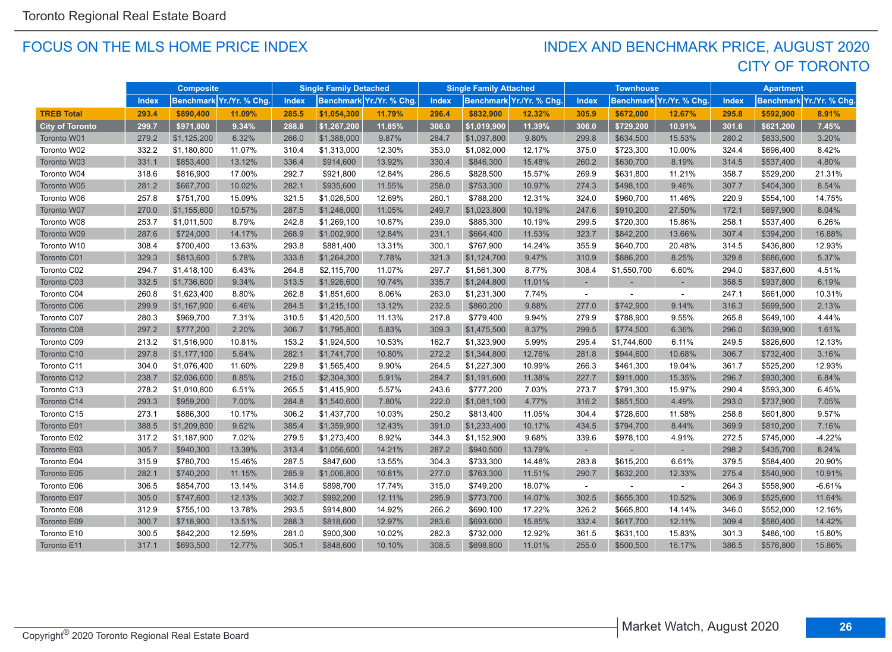#### FOCUS ON THE MLS HOME PRICE INDEX

## CITY OF TORONTO INDEX AND BENCHMARK PRICE, AUGUST 2020

|                        |       | <b>Composite</b> |                         |              | <b>Single Family Detached</b> |                          |       | <b>Single Family Attached</b> |                         |              | <b>Townhouse</b> |                          |              | <b>Apartment</b> |                          |
|------------------------|-------|------------------|-------------------------|--------------|-------------------------------|--------------------------|-------|-------------------------------|-------------------------|--------------|------------------|--------------------------|--------------|------------------|--------------------------|
|                        | Index |                  | Benchmark Yr./Yr. % Chg | <b>Index</b> |                               | Benchmark Yr./Yr. % Chg. | Index |                               | Benchmark Yr./Yr. % Chg | <b>Index</b> |                  | Benchmark Yr./Yr. % Chg. | <b>Index</b> |                  | Benchmark Yr./Yr. % Chg. |
| <b>TREB Total</b>      | 293.4 | \$890,400        | 11.09%                  | 285.5        | \$1,054,300                   | 11.79%                   | 296.4 | \$832,900                     | 12.32%                  | 305.9        | \$672,000        | 12.67%                   | 295.8        | \$592.900        | 8.91%                    |
| <b>City of Toronto</b> | 299.7 | \$971,800        | 9.34%                   | 288.8        | \$1,267,200                   | 11.85%                   | 306.0 | \$1,019,900                   | 11.39%                  | 306.0        | \$729,200        | 10.91%                   | 301.6        | \$621,200        | 7.45%                    |
| Toronto W01            | 279.2 | \$1,125,200      | 6.32%                   | 266.0        | \$1,388,000                   | 9.87%                    | 284.7 | \$1,097,800                   | 9.80%                   | 299.8        | \$634,500        | 15.53%                   | 280.2        | \$633,500        | 3.20%                    |
| Toronto W02            | 332.2 | \$1,180,800      | 11.07%                  | 310.4        | \$1,313,000                   | 12.30%                   | 353.0 | \$1,082,000                   | 12.17%                  | 375.0        | \$723,300        | 10.00%                   | 324.4        | \$696,400        | 8.42%                    |
| Toronto W03            | 331.1 | \$853,400        | 13.12%                  | 336.4        | \$914,600                     | 13.92%                   | 330.4 | \$846,300                     | 15.48%                  | 260.2        | \$630,700        | 8.19%                    | 314.5        | \$537,400        | 4.80%                    |
| Toronto W04            | 318.6 | \$816,900        | 17.00%                  | 292.7        | \$921,800                     | 12.84%                   | 286.5 | \$828,500                     | 15.57%                  | 269.9        | \$631,800        | 11.21%                   | 358.7        | \$529,200        | 21.31%                   |
| Toronto W05            | 281.2 | \$667,700        | 10.02%                  | 282.1        | \$935,600                     | 11.55%                   | 258.0 | \$753,300                     | 10.97%                  | 274.3        | \$498,100        | 9.46%                    | 307.7        | \$404,300        | 8.54%                    |
| Toronto W06            | 257.8 | \$751,700        | 15.09%                  | 321.5        | \$1,026,500                   | 12.69%                   | 260.1 | \$788,200                     | 12.31%                  | 324.0        | \$960,700        | 11.46%                   | 220.9        | \$554,100        | 14.75%                   |
| Toronto W07            | 270.0 | \$1,155,600      | 10.57%                  | 287.5        | \$1,246,000                   | 11.05%                   | 249.7 | \$1,023,800                   | 10.19%                  | 247.6        | \$910,200        | 27.50%                   | 172.1        | \$697,900        | 8.04%                    |
| Toronto W08            | 253.7 | \$1,011,500      | 8.79%                   | 242.8        | \$1,269,100                   | 10.87%                   | 239.0 | \$885,300                     | 10.19%                  | 299.5        | \$720,300        | 15.86%                   | 258.1        | \$537,400        | 6.26%                    |
| Toronto W09            | 287.6 | \$724,000        | 14.17%                  | 268.9        | \$1,002,900                   | 12.84%                   | 231.1 | \$664,400                     | 11.53%                  | 323.7        | \$842,200        | 13.66%                   | 307.4        | \$394,200        | 16.88%                   |
| Toronto W10            | 308.4 | \$700,400        | 13.63%                  | 293.8        | \$881,400                     | 13.31%                   | 300.1 | \$767,900                     | 14.24%                  | 355.9        | \$640,700        | 20.48%                   | 314.5        | \$436,800        | 12.93%                   |
| Toronto C01            | 329.3 | \$813,600        | 5.78%                   | 333.8        | \$1,264,200                   | 7.78%                    | 321.3 | \$1,124,700                   | 9.47%                   | 310.9        | \$886,200        | 8.25%                    | 329.8        | \$686,600        | 5.37%                    |
| Toronto C02            | 294.7 | \$1,418,100      | 6.43%                   | 264.8        | \$2,115,700                   | 11.07%                   | 297.7 | \$1,561,300                   | 8.77%                   | 308.4        | \$1,550,700      | 6.60%                    | 294.0        | \$837,600        | 4.51%                    |
| Toronto C03            | 332.5 | \$1,736,600      | 9.34%                   | 313.5        | \$1,926,600                   | 10.74%                   | 335.7 | \$1,244,800                   | 11.01%                  |              |                  |                          | 358.5        | \$937,800        | 6.19%                    |
| Toronto C04            | 260.8 | \$1,623,400      | 8.80%                   | 262.8        | \$1,851,600                   | 8.06%                    | 263.0 | \$1,231,300                   | 7.74%                   | $\sim$       |                  | $\sim$                   | 247.1        | \$661,000        | 10.31%                   |
| Toronto C06            | 299.9 | \$1,167,900      | 6.46%                   | 284.5        | \$1,215,100                   | 13.12%                   | 232.5 | \$860,200                     | 9.88%                   | 277.0        | \$742,900        | 9.14%                    | 316.3        | \$699,500        | 2.13%                    |
| Toronto C07            | 280.3 | \$969,700        | 7.31%                   | 310.5        | \$1,420,500                   | 11.13%                   | 217.8 | \$779,400                     | 9.94%                   | 279.9        | \$788,900        | 9.55%                    | 265.8        | \$649,100        | 4.44%                    |
| Toronto C08            | 297.2 | \$777,200        | 2.20%                   | 306.7        | \$1,795,800                   | 5.83%                    | 309.3 | \$1,475,500                   | 8.37%                   | 299.5        | \$774,500        | 6.36%                    | 296.0        | \$639,900        | 1.61%                    |
| Toronto C09            | 213.2 | \$1,516,900      | 10.81%                  | 153.2        | \$1,924,500                   | 10.53%                   | 162.7 | \$1,323,900                   | 5.99%                   | 295.4        | \$1,744,600      | 6.11%                    | 249.5        | \$826,600        | 12.13%                   |
| Toronto C10            | 297.8 | \$1,177,100      | 5.64%                   | 282.1        | \$1,741,700                   | 10.80%                   | 272.2 | \$1,344,800                   | 12.76%                  | 281.8        | \$944,600        | 10.68%                   | 306.7        | \$732,400        | 3.16%                    |
| Toronto C11            | 304.0 | \$1,076,400      | 11.60%                  | 229.8        | \$1,565,400                   | 9.90%                    | 264.5 | \$1,227,300                   | 10.99%                  | 266.3        | \$461,300        | 19.04%                   | 361.7        | \$525,200        | 12.93%                   |
| Toronto C12            | 238.7 | \$2,036,600      | 8.85%                   | 215.0        | \$2,304,300                   | 5.91%                    | 284.7 | \$1,191,600                   | 11.38%                  | 227.7        | \$911,000        | 15.35%                   | 296.7        | \$930,300        | 6.84%                    |
| Toronto C13            | 278.2 | \$1,010,800      | 6.51%                   | 265.5        | \$1,415,900                   | 5.57%                    | 243.6 | \$777,200                     | 7.03%                   | 273.7        | \$791,300        | 15.97%                   | 290.4        | \$593,300        | 6.45%                    |
| Toronto C14            | 293.3 | \$959,200        | 7.00%                   | 284.8        | \$1,540,600                   | 7.80%                    | 222.0 | \$1,081,100                   | 4.77%                   | 316.2        | \$851,500        | 4.49%                    | 293.0        | \$737,900        | 7.05%                    |
| Toronto C15            | 273.1 | \$886,300        | 10.17%                  | 306.2        | \$1,437,700                   | 10.03%                   | 250.2 | \$813,400                     | 11.05%                  | 304.4        | \$728,600        | 11.58%                   | 258.8        | \$601,800        | 9.57%                    |
| Toronto E01            | 388.5 | \$1,209,800      | 9.62%                   | 385.4        | \$1,359,900                   | 12.43%                   | 391.0 | \$1,233,400                   | 10.17%                  | 434.5        | \$794,700        | 8.44%                    | 369.9        | \$810,200        | 7.16%                    |
| Toronto E02            | 317.2 | \$1,187,900      | 7.02%                   | 279.5        | \$1,273,400                   | 8.92%                    | 344.3 | \$1,152,900                   | 9.68%                   | 339.6        | \$978,100        | 4.91%                    | 272.5        | \$745,000        | $-4.22%$                 |
| Toronto E03            | 305.7 | \$940,300        | 13.39%                  | 313.4        | \$1,056,600                   | 14.21%                   | 287.2 | \$940,500                     | 13.79%                  |              |                  | $\sim$                   | 298.2        | \$435,700        | 8.24%                    |
| Toronto E04            | 315.9 | \$780,700        | 15.46%                  | 287.5        | \$847,600                     | 13.55%                   | 304.3 | \$733,300                     | 14.48%                  | 283.8        | \$615,200        | 6.61%                    | 379.5        | \$584,400        | 20.90%                   |
| Toronto E05            | 282.1 | \$740,200        | 11.15%                  | 285.9        | \$1,006,800                   | 10.81%                   | 277.0 | \$763,300                     | 11.51%                  | 290.7        | \$632,200        | 12.33%                   | 275.4        | \$540,900        | 10.91%                   |
| Toronto E06            | 306.5 | \$854,700        | 13.14%                  | 314.6        | \$898,700                     | 17.74%                   | 315.0 | \$749,200                     | 18.07%                  |              |                  |                          | 264.3        | \$558,900        | $-6.61%$                 |
| Toronto E07            | 305.0 | \$747,600        | 12.13%                  | 302.7        | \$992,200                     | 12.11%                   | 295.9 | \$773,700                     | 14.07%                  | 302.5        | \$655,300        | 10.52%                   | 306.9        | \$525,600        | 11.64%                   |
| Toronto E08            | 312.9 | \$755,100        | 13.78%                  | 293.5        | \$914,800                     | 14.92%                   | 266.2 | \$690,100                     | 17.22%                  | 326.2        | \$665,800        | 14.14%                   | 346.0        | \$552,000        | 12.16%                   |
| Toronto E09            | 300.7 | \$718,900        | 13.51%                  | 288.3        | \$818,600                     | 12.97%                   | 283.6 | \$693,600                     | 15.85%                  | 332.4        | \$617,700        | 12.11%                   | 309.4        | \$580,400        | 14.42%                   |
| Toronto E10            | 300.5 | \$842,200        | 12.59%                  | 281.0        | \$900,300                     | 10.02%                   | 282.3 | \$732,000                     | 12.92%                  | 361.5        | \$631,100        | 15.83%                   | 301.3        | \$486,100        | 15.80%                   |
| Toronto E11            | 317.1 | \$693,500        | 12.77%                  | 305.1        | \$848,600                     | 10.10%                   | 308.5 | \$698,800                     | 11.01%                  | 255.0        | \$500,500        | 16.17%                   | 386.5        | \$576,800        | 15.86%                   |